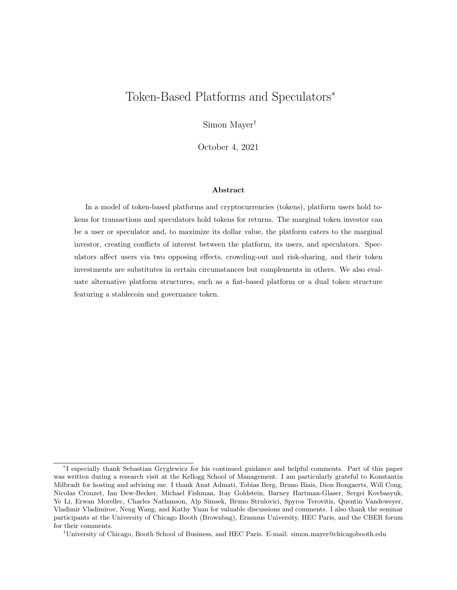# Token-Based Platforms and Speculators<sup>∗</sup>

Simon Mayer†

October 4, 2021

#### Abstract

In a model of token-based platforms and cryptocurrencies (tokens), platform users hold tokens for transactions and speculators hold tokens for returns. The marginal token investor can be a user or speculator and, to maximize its dollar value, the platform caters to the marginal investor, creating conflicts of interest between the platform, its users, and speculators. Speculators affect users via two opposing effects, crowding-out and risk-sharing, and their token investments are substitutes in certain circumstances but complements in others. We also evaluate alternative platform structures, such as a fiat-based platform or a dual token structure featuring a stablecoin and governance token.

<sup>∗</sup> I especially thank Sebastian Gryglewicz for his continued guidance and helpful comments. Part of this paper was written during a research visit at the Kellogg School of Management. I am particularly grateful to Konstantin Milbradt for hosting and advising me. I thank Anat Admati, Tobias Berg, Bruno Biais, Dion Bongaerts, Will Cong, Nicolas Crouzet, Ian Dew-Becker, Michael Fishman, Itay Goldstein, Barney Hartman-Glaser, Sergei Kovbasyuk, Ye Li, Erwan Morellec, Charles Nathanson, Alp Simsek, Bruno Strulovici, Spyros Terovitis, Quentin Vandeweyer, Vladimir Vladimirov, Neng Wang, and Kathy Yuan for valuable discussions and comments. I also thank the seminar participants at the University of Chicago Booth (Brownbag), Erasmus University, HEC Paris, and the CBER forum for their comments.

<sup>†</sup>University of Chicago, Booth School of Business, and HEC Paris. E-mail: simon.mayer@chicagobooth.edu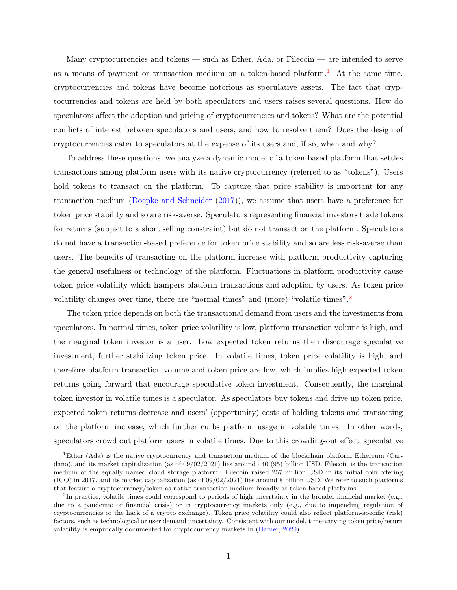Many cryptocurrencies and tokens — such as Ether, Ada, or Filecoin — are intended to serve as a means of payment or transaction medium on a token-based platform.<sup>[1](#page-1-0)</sup> At the same time, cryptocurrencies and tokens have become notorious as speculative assets. The fact that cryptocurrencies and tokens are held by both speculators and users raises several questions. How do speculators affect the adoption and pricing of cryptocurrencies and tokens? What are the potential conflicts of interest between speculators and users, and how to resolve them? Does the design of cryptocurrencies cater to speculators at the expense of its users and, if so, when and why?

To address these questions, we analyze a dynamic model of a token-based platform that settles transactions among platform users with its native cryptocurrency (referred to as "tokens"). Users hold tokens to transact on the platform. To capture that price stability is important for any transaction medium [\(Doepke and Schneider](#page-40-0) [\(2017\)](#page-40-0)), we assume that users have a preference for token price stability and so are risk-averse. Speculators representing financial investors trade tokens for returns (subject to a short selling constraint) but do not transact on the platform. Speculators do not have a transaction-based preference for token price stability and so are less risk-averse than users. The benefits of transacting on the platform increase with platform productivity capturing the general usefulness or technology of the platform. Fluctuations in platform productivity cause token price volatility which hampers platform transactions and adoption by users. As token price volatility changes over time, there are "normal times" and (more) "volatile times".[2](#page-1-1)

The token price depends on both the transactional demand from users and the investments from speculators. In normal times, token price volatility is low, platform transaction volume is high, and the marginal token investor is a user. Low expected token returns then discourage speculative investment, further stabilizing token price. In volatile times, token price volatility is high, and therefore platform transaction volume and token price are low, which implies high expected token returns going forward that encourage speculative token investment. Consequently, the marginal token investor in volatile times is a speculator. As speculators buy tokens and drive up token price, expected token returns decrease and users' (opportunity) costs of holding tokens and transacting on the platform increase, which further curbs platform usage in volatile times. In other words, speculators crowd out platform users in volatile times. Due to this crowding-out effect, speculative

<span id="page-1-0"></span><sup>&</sup>lt;sup>1</sup>Ether (Ada) is the native cryptocurrency and transaction medium of the blockchain platform Ethereum (Cardano), and its market capitalization (as of 09/02/2021) lies around 440 (95) billion USD. Filecoin is the transaction medium of the equally named cloud storage platform. Filecoin raised 257 million USD in its initial coin offering  $(ICO)$  in 2017, and its market capitalization (as of  $09/02/2021$ ) lies around 8 billion USD. We refer to such platforms that feature a cryptocurrency/token as native transaction medium broadly as token-based platforms.

<span id="page-1-1"></span><sup>&</sup>lt;sup>2</sup>In practice, volatile times could correspond to periods of high uncertainty in the broader financial market (e.g., due to a pandemic or financial crisis) or in cryptocurrency markets only (e.g., due to impending regulation of cryptocurrencies or the hack of a crypto exchange). Token price volatility could also reflect platform-specific (risk) factors, such as technological or user demand uncertainty. Consistent with our model, time-varying token price/return volatility is empirically documented for cryptocurrency markets in [\(Hafner,](#page-41-0) [2020\)](#page-41-0).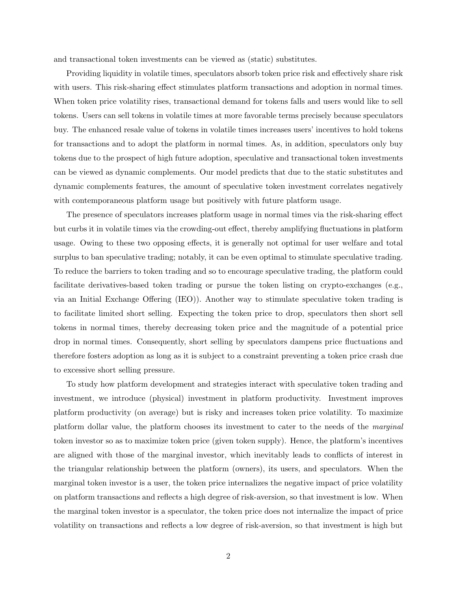and transactional token investments can be viewed as (static) substitutes.

Providing liquidity in volatile times, speculators absorb token price risk and effectively share risk with users. This risk-sharing effect stimulates platform transactions and adoption in normal times. When token price volatility rises, transactional demand for tokens falls and users would like to sell tokens. Users can sell tokens in volatile times at more favorable terms precisely because speculators buy. The enhanced resale value of tokens in volatile times increases users' incentives to hold tokens for transactions and to adopt the platform in normal times. As, in addition, speculators only buy tokens due to the prospect of high future adoption, speculative and transactional token investments can be viewed as dynamic complements. Our model predicts that due to the static substitutes and dynamic complements features, the amount of speculative token investment correlates negatively with contemporaneous platform usage but positively with future platform usage.

The presence of speculators increases platform usage in normal times via the risk-sharing effect but curbs it in volatile times via the crowding-out effect, thereby amplifying fluctuations in platform usage. Owing to these two opposing effects, it is generally not optimal for user welfare and total surplus to ban speculative trading; notably, it can be even optimal to stimulate speculative trading. To reduce the barriers to token trading and so to encourage speculative trading, the platform could facilitate derivatives-based token trading or pursue the token listing on crypto-exchanges (e.g., via an Initial Exchange Offering (IEO)). Another way to stimulate speculative token trading is to facilitate limited short selling. Expecting the token price to drop, speculators then short sell tokens in normal times, thereby decreasing token price and the magnitude of a potential price drop in normal times. Consequently, short selling by speculators dampens price fluctuations and therefore fosters adoption as long as it is subject to a constraint preventing a token price crash due to excessive short selling pressure.

To study how platform development and strategies interact with speculative token trading and investment, we introduce (physical) investment in platform productivity. Investment improves platform productivity (on average) but is risky and increases token price volatility. To maximize platform dollar value, the platform chooses its investment to cater to the needs of the marginal token investor so as to maximize token price (given token supply). Hence, the platform's incentives are aligned with those of the marginal investor, which inevitably leads to conflicts of interest in the triangular relationship between the platform (owners), its users, and speculators. When the marginal token investor is a user, the token price internalizes the negative impact of price volatility on platform transactions and reflects a high degree of risk-aversion, so that investment is low. When the marginal token investor is a speculator, the token price does not internalize the impact of price volatility on transactions and reflects a low degree of risk-aversion, so that investment is high but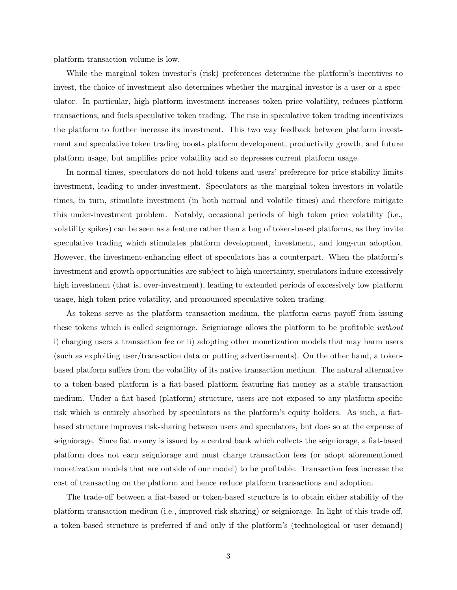platform transaction volume is low.

While the marginal token investor's (risk) preferences determine the platform's incentives to invest, the choice of investment also determines whether the marginal investor is a user or a speculator. In particular, high platform investment increases token price volatility, reduces platform transactions, and fuels speculative token trading. The rise in speculative token trading incentivizes the platform to further increase its investment. This two way feedback between platform investment and speculative token trading boosts platform development, productivity growth, and future platform usage, but amplifies price volatility and so depresses current platform usage.

In normal times, speculators do not hold tokens and users' preference for price stability limits investment, leading to under-investment. Speculators as the marginal token investors in volatile times, in turn, stimulate investment (in both normal and volatile times) and therefore mitigate this under-investment problem. Notably, occasional periods of high token price volatility (i.e., volatility spikes) can be seen as a feature rather than a bug of token-based platforms, as they invite speculative trading which stimulates platform development, investment, and long-run adoption. However, the investment-enhancing effect of speculators has a counterpart. When the platform's investment and growth opportunities are subject to high uncertainty, speculators induce excessively high investment (that is, over-investment), leading to extended periods of excessively low platform usage, high token price volatility, and pronounced speculative token trading.

As tokens serve as the platform transaction medium, the platform earns payoff from issuing these tokens which is called seigniorage. Seigniorage allows the platform to be profitable without i) charging users a transaction fee or ii) adopting other monetization models that may harm users (such as exploiting user/transaction data or putting advertisements). On the other hand, a tokenbased platform suffers from the volatility of its native transaction medium. The natural alternative to a token-based platform is a fiat-based platform featuring fiat money as a stable transaction medium. Under a fiat-based (platform) structure, users are not exposed to any platform-specific risk which is entirely absorbed by speculators as the platform's equity holders. As such, a fiatbased structure improves risk-sharing between users and speculators, but does so at the expense of seigniorage. Since fiat money is issued by a central bank which collects the seigniorage, a fiat-based platform does not earn seigniorage and must charge transaction fees (or adopt aforementioned monetization models that are outside of our model) to be profitable. Transaction fees increase the cost of transacting on the platform and hence reduce platform transactions and adoption.

The trade-off between a fiat-based or token-based structure is to obtain either stability of the platform transaction medium (i.e., improved risk-sharing) or seigniorage. In light of this trade-off, a token-based structure is preferred if and only if the platform's (technological or user demand)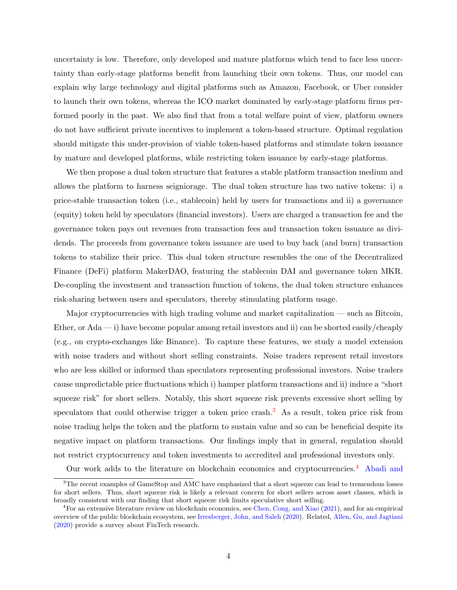uncertainty is low. Therefore, only developed and mature platforms which tend to face less uncertainty than early-stage platforms benefit from launching their own tokens. Thus, our model can explain why large technology and digital platforms such as Amazon, Facebook, or Uber consider to launch their own tokens, whereas the ICO market dominated by early-stage platform firms performed poorly in the past. We also find that from a total welfare point of view, platform owners do not have sufficient private incentives to implement a token-based structure. Optimal regulation should mitigate this under-provision of viable token-based platforms and stimulate token issuance by mature and developed platforms, while restricting token issuance by early-stage platforms.

We then propose a dual token structure that features a stable platform transaction medium and allows the platform to harness seigniorage. The dual token structure has two native tokens: i) a price-stable transaction token (i.e., stablecoin) held by users for transactions and ii) a governance (equity) token held by speculators (financial investors). Users are charged a transaction fee and the governance token pays out revenues from transaction fees and transaction token issuance as dividends. The proceeds from governance token issuance are used to buy back (and burn) transaction tokens to stabilize their price. This dual token structure resembles the one of the Decentralized Finance (DeFi) platform MakerDAO, featuring the stablecoin DAI and governance token MKR. De-coupling the investment and transaction function of tokens, the dual token structure enhances risk-sharing between users and speculators, thereby stimulating platform usage.

Major cryptocurrencies with high trading volume and market capitalization — such as Bitcoin, Ether, or  $\text{Ada} \longrightarrow$  i) have become popular among retail investors and ii) can be shorted easily/cheaply (e.g., on crypto-exchanges like Binance). To capture these features, we study a model extension with noise traders and without short selling constraints. Noise traders represent retail investors who are less skilled or informed than speculators representing professional investors. Noise traders cause unpredictable price fluctuations which i) hamper platform transactions and ii) induce a "short squeeze risk" for short sellers. Notably, this short squeeze risk prevents excessive short selling by speculators that could otherwise trigger a token price crash.<sup>[3](#page-4-0)</sup> As a result, token price risk from noise trading helps the token and the platform to sustain value and so can be beneficial despite its negative impact on platform transactions. Our findings imply that in general, regulation should not restrict cryptocurrency and token investments to accredited and professional investors only.

Our work adds to the literature on blockchain economics and cryptocurrencies.[4](#page-4-1) [Abadi and](#page-39-0)

<span id="page-4-0"></span><sup>&</sup>lt;sup>3</sup>[The recent examples of GameStop and AMC have emphasized that a short squeeze can lead to tremendous losses](#page-39-0) [for short sellers. Thus, short squeeze risk is likely a relevant concern for short sellers across asset classes, which is](#page-39-0) [broadly consistent with our finding that short squeeze risk limits speculative short selling.](#page-39-0)

<span id="page-4-1"></span><sup>4</sup>[For an extensive literature review on blockchain economics, see](#page-39-0) [Chen, Cong, and Xiao](#page-39-1) [\(2021\)](#page-39-1), and for an empirical [overview of the public blockchain ecosystem, see](#page-39-0) [Irresberger, John, and Saleh](#page-41-1) [\(2020\)](#page-41-1). Related, [Allen, Gu, and Jagtiani](#page-39-2) [\(2020\) provide a survey about FinTech research.](#page-39-0)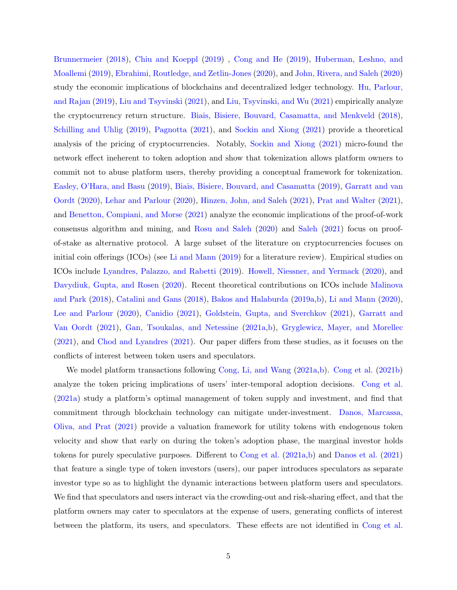[Brunnermeier](#page-39-0) [\(2018\)](#page-39-0), [Chiu and Koeppl](#page-39-3) [\(2019\)](#page-39-3) , [Cong and He](#page-40-1) [\(2019\)](#page-40-1), [Huberman, Leshno, and](#page-41-2) [Moallemi](#page-41-2) [\(2019\)](#page-41-2), [Ebrahimi, Routledge, and Zetlin-Jones](#page-40-2) [\(2020\)](#page-40-2), and [John, Rivera, and Saleh](#page-41-3) [\(2020\)](#page-41-3) study the economic implications of blockchains and decentralized ledger technology. [Hu, Parlour,](#page-41-4) [and Rajan](#page-41-4) [\(2019\)](#page-41-4), [Liu and Tsyvinski](#page-41-5) [\(2021\)](#page-41-5), and [Liu, Tsyvinski, and Wu](#page-42-0) [\(2021\)](#page-42-0) empirically analyze the cryptocurrency return structure. [Biais, Bisiere, Bouvard, Casamatta, and Menkveld](#page-39-4) [\(2018\)](#page-39-4), [Schilling and Uhlig](#page-42-1) [\(2019\)](#page-42-1), [Pagnotta](#page-42-2) [\(2021\)](#page-42-2), and [Sockin and Xiong](#page-42-3) [\(2021\)](#page-42-3) provide a theoretical analysis of the pricing of cryptocurrencies. Notably, [Sockin and Xiong](#page-42-3) [\(2021\)](#page-42-3) micro-found the network effect ineherent to token adoption and show that tokenization allows platform owners to commit not to abuse platform users, thereby providing a conceptual framework for tokenization. [Easley, O'Hara, and Basu](#page-40-3) [\(2019\)](#page-40-3), [Biais, Bisiere, Bouvard, and Casamatta](#page-39-5) [\(2019\)](#page-39-5), [Garratt and van](#page-40-4) [Oordt](#page-40-4) [\(2020\)](#page-40-4), [Lehar and Parlour](#page-41-6) [\(2020\)](#page-41-6), [Hinzen, John, and Saleh](#page-41-7) [\(2021\)](#page-41-7), [Prat and Walter](#page-42-4) [\(2021\)](#page-42-4), and [Benetton, Compiani, and Morse](#page-39-6) [\(2021\)](#page-39-6) analyze the economic implications of the proof-of-work consensus algorithm and mining, and [Rosu and Saleh](#page-42-5) [\(2020\)](#page-42-5) and [Saleh](#page-42-6) [\(2021\)](#page-42-6) focus on proofof-stake as alternative protocol. A large subset of the literature on cryptocurrencies focuses on initial coin offerings (ICOs) (see [Li and Mann](#page-41-8) [\(2019\)](#page-41-8) for a literature review). Empirical studies on ICOs include [Lyandres, Palazzo, and Rabetti](#page-42-7) [\(2019\)](#page-42-7). [Howell, Niessner, and Yermack](#page-41-9) [\(2020\)](#page-41-9), and [Davydiuk, Gupta, and Rosen](#page-40-5) [\(2020\)](#page-40-5). Recent theoretical contributions on ICOs include [Malinova](#page-42-8) [and Park](#page-42-8) [\(2018\)](#page-42-8), [Catalini and Gans](#page-39-7) [\(2018\)](#page-39-7), [Bakos and Halaburda](#page-39-8) [\(2019a](#page-39-8)[,b\)](#page-39-9), [Li and Mann](#page-41-10) [\(2020\)](#page-41-10), [Lee and Parlour](#page-41-11) [\(2020\)](#page-41-11), [Canidio](#page-39-10) [\(2021\)](#page-39-10), [Goldstein, Gupta, and Sverchkov](#page-41-12) [\(2021\)](#page-41-12), [Garratt and](#page-40-6) [Van Oordt](#page-40-6) [\(2021\)](#page-40-6), [Gan, Tsoukalas, and Netessine](#page-40-7) [\(2021a,](#page-40-7)[b\)](#page-40-8), [Gryglewicz, Mayer, and Morellec](#page-41-13) [\(2021\)](#page-41-13), and [Chod and Lyandres](#page-40-9) [\(2021\)](#page-40-9). Our paper differs from these studies, as it focuses on the conflicts of interest between token users and speculators.

We model platform transactions following [Cong, Li, and Wang](#page-40-10) [\(2021a,](#page-40-10)[b\)](#page-40-11). [Cong et al.](#page-40-11) [\(2021b\)](#page-40-11) analyze the token pricing implications of users' inter-temporal adoption decisions. [Cong et al.](#page-40-10) [\(2021a\)](#page-40-10) study a platform's optimal management of token supply and investment, and find that commitment through blockchain technology can mitigate under-investment. [Danos, Marcassa,](#page-40-12) [Oliva, and Prat](#page-40-12) [\(2021\)](#page-40-12) provide a valuation framework for utility tokens with endogenous token velocity and show that early on during the token's adoption phase, the marginal investor holds tokens for purely speculative purposes. Different to [Cong et al.](#page-40-10) [\(2021a,](#page-40-10)[b\)](#page-40-11) and [Danos et al.](#page-40-12) [\(2021\)](#page-40-12) that feature a single type of token investors (users), our paper introduces speculators as separate investor type so as to highlight the dynamic interactions between platform users and speculators. We find that speculators and users interact via the crowding-out and risk-sharing effect, and that the platform owners may cater to speculators at the expense of users, generating conflicts of interest between the platform, its users, and speculators. These effects are not identified in [Cong et al.](#page-40-10)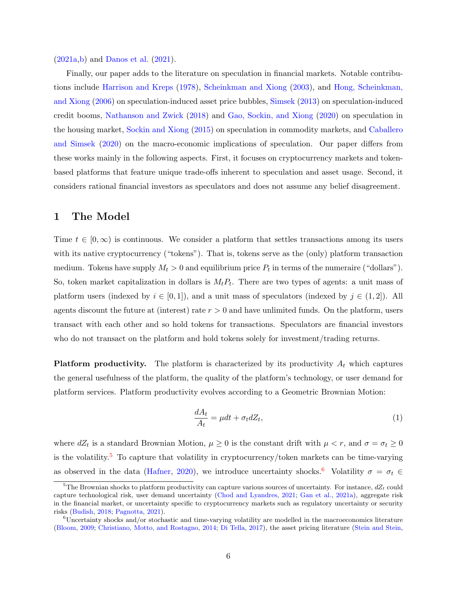[\(2021a,](#page-40-10)[b\)](#page-40-11) and [Danos et al.](#page-40-12) [\(2021\)](#page-40-12).

Finally, our paper adds to the literature on speculation in financial markets. Notable contributions include [Harrison and Kreps](#page-41-14) [\(1978\)](#page-41-14), [Scheinkman and Xiong](#page-42-9) [\(2003\)](#page-42-9), and [Hong, Scheinkman,](#page-41-15) [and Xiong](#page-41-15) [\(2006\)](#page-41-15) on speculation-induced asset price bubbles, [Simsek](#page-42-10) [\(2013\)](#page-42-10) on speculation-induced credit booms, [Nathanson and Zwick](#page-42-11) [\(2018\)](#page-42-11) and [Gao, Sockin, and Xiong](#page-40-13) [\(2020\)](#page-40-13) on speculation in the housing market, [Sockin and Xiong](#page-42-12) [\(2015\)](#page-42-12) on speculation in commodity markets, and [Caballero](#page-39-11) [and Simsek](#page-39-11) [\(2020\)](#page-39-11) on the macro-economic implications of speculation. Our paper differs from these works mainly in the following aspects. First, it focuses on cryptocurrency markets and tokenbased platforms that feature unique trade-offs inherent to speculation and asset usage. Second, it considers rational financial investors as speculators and does not assume any belief disagreement.

# <span id="page-6-3"></span>1 The Model

Time  $t \in [0,\infty)$  is continuous. We consider a platform that settles transactions among its users with its native cryptocurrency ("tokens"). That is, tokens serve as the (only) platform transaction medium. Tokens have supply  $M_t > 0$  and equilibrium price  $P_t$  in terms of the numeraire ("dollars"). So, token market capitalization in dollars is  $M_t P_t$ . There are two types of agents: a unit mass of platform users (indexed by  $i \in [0,1]$ ), and a unit mass of speculators (indexed by  $j \in (1,2]$ ). All agents discount the future at (interest) rate  $r > 0$  and have unlimited funds. On the platform, users transact with each other and so hold tokens for transactions. Speculators are financial investors who do not transact on the platform and hold tokens solely for investment/trading returns.

**Platform productivity.** The platform is characterized by its productivity  $A_t$  which captures the general usefulness of the platform, the quality of the platform's technology, or user demand for platform services. Platform productivity evolves according to a Geometric Brownian Motion:

<span id="page-6-2"></span>
$$
\frac{dA_t}{A_t} = \mu dt + \sigma_t dZ_t,\tag{1}
$$

where  $dZ_t$  is a standard Brownian Motion,  $\mu \geq 0$  is the constant drift with  $\mu < r$ , and  $\sigma = \sigma_t \geq 0$ is the volatility.<sup>[5](#page-6-0)</sup> To capture that volatility in cryptocurrency/token markets can be time-varying as observed in the data [\(Hafner,](#page-41-0) [2020\)](#page-41-0), we introduce uncertainty shocks.<sup>[6](#page-6-1)</sup> Volatility  $\sigma = \sigma_t \in$ 

<span id="page-6-0"></span><sup>&</sup>lt;sup>5</sup>The Brownian shocks to platform productivity can capture various sources of uncertainty. For instance,  $dZ_t$  could capture technological risk, user demand uncertainty [\(Chod and Lyandres,](#page-40-9) [2021;](#page-40-9) [Gan et al.,](#page-40-7) [2021a\)](#page-40-7), aggregate risk in the financial market, or uncertainty specific to cryptocurrency markets such as regulatory uncertainty or security risks [\(Budish,](#page-39-12) [2018;](#page-39-12) [Pagnotta,](#page-42-2) [2021\)](#page-42-2).

<span id="page-6-1"></span><sup>6</sup>Uncertainty shocks and/or stochastic and time-varying volatility are modelled in the macroeconomics literature [\(Bloom,](#page-39-13) [2009;](#page-39-13) [Christiano, Motto, and Rostagno,](#page-40-14) [2014;](#page-40-14) [Di Tella,](#page-40-15) [2017\)](#page-40-15), the asset pricing literature [\(Stein and Stein,](#page-42-13)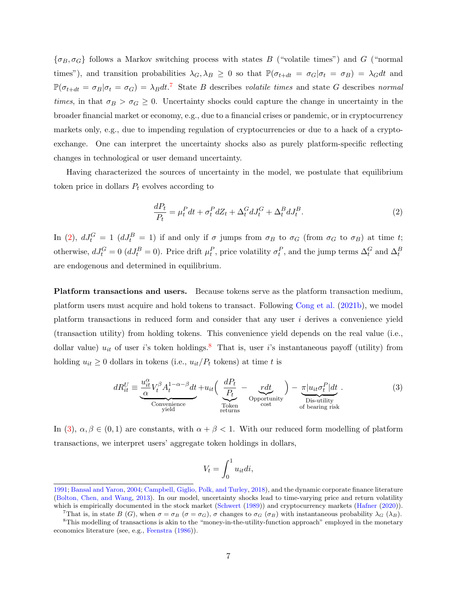$\{\sigma_B, \sigma_G\}$  follows a Markov switching process with states B ("volatile times") and G ("normal") times"), and transition probabilities  $\lambda_G$ ,  $\lambda_B \geq 0$  so that  $\mathbb{P}(\sigma_{t+dt} = \sigma_G | \sigma_t = \sigma_B) = \lambda_G dt$  and  $\mathbb{P}(\sigma_{t+dt} = \sigma_B|\sigma_t = \sigma_G) = \lambda_B dt$ .<sup>[7](#page-7-0)</sup> State B describes volatile times and state G describes normal times, in that  $\sigma_B > \sigma_G \geq 0$ . Uncertainty shocks could capture the change in uncertainty in the broader financial market or economy, e.g., due to a financial crises or pandemic, or in cryptocurrency markets only, e.g., due to impending regulation of cryptocurrencies or due to a hack of a cryptoexchange. One can interpret the uncertainty shocks also as purely platform-specific reflecting changes in technological or user demand uncertainty.

Having characterized the sources of uncertainty in the model, we postulate that equilibrium token price in dollars  $P_t$  evolves according to

<span id="page-7-1"></span>
$$
\frac{dP_t}{P_t} = \mu_t^P dt + \sigma_t^P dZ_t + \Delta_t^G dJ_t^G + \Delta_t^B dJ_t^B.
$$
\n<sup>(2)</sup>

In [\(2\)](#page-7-1),  $dJ_t^G = 1$  ( $dJ_t^B = 1$ ) if and only if  $\sigma$  jumps from  $\sigma_B$  to  $\sigma_G$  (from  $\sigma_G$  to  $\sigma_B$ ) at time t; otherwise,  $dJ_t^G = 0$  ( $dJ_t^B = 0$ ). Price drift  $\mu_t^P$ , price volatility  $\sigma_t^P$ , and the jump terms  $\Delta_t^G$  and  $\Delta_t^B$ are endogenous and determined in equilibrium.

Platform transactions and users. Because tokens serve as the platform transaction medium, platform users must acquire and hold tokens to transact. Following [Cong et al.](#page-40-11) [\(2021b\)](#page-40-11), we model platform transactions in reduced form and consider that any user  $i$  derives a convenience yield (transaction utility) from holding tokens. This convenience yield depends on the real value (i.e., dollar value)  $u_{it}$  of user i's token holdings.<sup>[8](#page-7-2)</sup> That is, user i's instantaneous payoff (utility) from holding  $u_{it} \geq 0$  dollars in tokens (i.e.,  $u_{it}/P_t$  tokens) at time t is

<span id="page-7-3"></span>
$$
dR_{it}^U \equiv \underbrace{\frac{u_{it}^{\alpha}}{\alpha} V_t^{\beta} A_t^{1-\alpha-\beta} dt}_{\text{Convenience}} + u_{it} \left( \underbrace{\frac{dP_t}{P_t}}_{\text{Token}} - \underbrace{r dt}_{\text{opentunity}} \right) - \underbrace{\pi |u_{it} \sigma_t^P| dt}_{\text{Dis-utility of bearing risk}}.
$$
 (3)

In [\(3\)](#page-7-3),  $\alpha, \beta \in (0, 1)$  are constants, with  $\alpha + \beta < 1$ . With our reduced form modelling of platform transactions, we interpret users' aggregate token holdings in dollars,

$$
V_t = \int_0^1 u_{it} di,
$$

[<sup>1991;</sup>](#page-42-13) [Bansal and Yaron,](#page-39-14) [2004;](#page-39-14) [Campbell, Giglio, Polk, and Turley,](#page-39-15) [2018\)](#page-39-15), and the dynamic corporate finance literature [\(Bolton, Chen, and Wang,](#page-39-16) [2013\)](#page-39-16). In our model, uncertainty shocks lead to time-varying price and return volatility which is empirically documented in the stock market [\(Schwert](#page-42-14) [\(1989\)](#page-42-14)) and cryptocurrency markets [\(Hafner](#page-41-0) [\(2020\)](#page-41-0)).

<span id="page-7-2"></span><span id="page-7-0"></span>That is, in state B (G), when  $\sigma = \sigma_B$  ( $\sigma = \sigma_G$ ),  $\sigma$  changes to  $\sigma_G$  ( $\sigma_B$ ) with instantaneous probability  $\lambda_G$  ( $\lambda_B$ ).

<sup>8</sup>This modelling of transactions is akin to the "money-in-the-utility-function approach" employed in the monetary economics literature (see, e.g., [Feenstra](#page-40-16) [\(1986\)](#page-40-16)).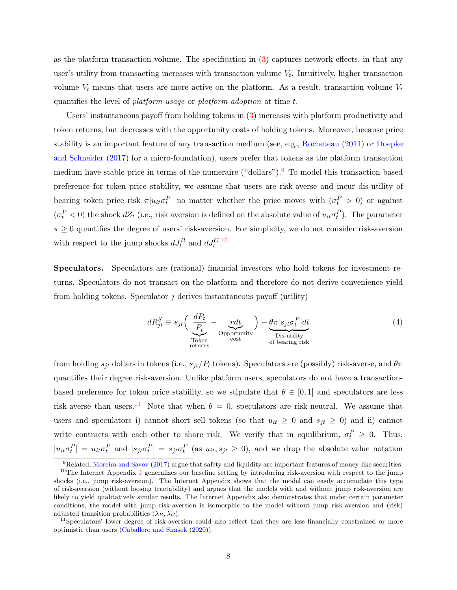as the platform transaction volume. The specification in [\(3\)](#page-7-3) captures network effects, in that any user's utility from transacting increases with transaction volume  $V_t$ . Intuitively, higher transaction volume  $V_t$  means that users are more active on the platform. As a result, transaction volume  $V_t$ quantifies the level of *platform usage* or *platform adoption* at time t.

Users' instantaneous payoff from holding tokens in [\(3\)](#page-7-3) increases with platform productivity and token returns, but decreases with the opportunity costs of holding tokens. Moreover, because price stability is an important feature of any transaction medium (see, e.g., [Rocheteau](#page-42-15) [\(2011\)](#page-42-15) or [Doepke](#page-40-0) [and Schneider](#page-40-0) [\(2017\)](#page-40-0) for a micro-foundation), users prefer that tokens as the platform transaction medium have stable price in terms of the numeraire ("dollars").<sup>[9](#page-8-0)</sup> To model this transaction-based preference for token price stability, we assume that users are risk-averse and incur dis-utility of bearing token price risk  $\pi | u_{it} \sigma_t^P|$  no matter whether the price moves with  $(\sigma_t^P > 0)$  or against  $(\sigma_t^P < 0)$  the shock  $dZ_t$  (i.e., risk aversion is defined on the absolute value of  $u_{it}\sigma_t^P$ ). The parameter  $\pi \geq 0$  quantifies the degree of users' risk-aversion. For simplicity, we do not consider risk-aversion with respect to the jump shocks  $dJ_t^B$  and  $dJ_t^{G,10}$  $dJ_t^{G,10}$  $dJ_t^{G,10}$ 

Speculators. Speculators are (rational) financial investors who hold tokens for investment returns. Speculators do not transact on the platform and therefore do not derive convenience yield from holding tokens. Speculator  $j$  derives instantaneous payoff (utility)

$$
dR_{jt}^{S} \equiv s_{jt} \left( \underbrace{\frac{dP_t}{P_t}}_{\substack{\text{Token} \\ \text{returns}}} - \underbrace{\frac{rdt}{\text{opentuity}}}_{\text{cost}} \right) - \underbrace{\theta \pi | s_{jt} \sigma_t^P | dt}_{\substack{\text{Dis-utility} \\ \text{of bearing risk}}} \tag{4}
$$

from holding  $s_{jt}$  dollars in tokens (i.e.,  $s_{jt}/P_t$  tokens). Speculators are (possibly) risk-averse, and  $\theta \pi$ quantifies their degree risk-aversion. Unlike platform users, speculators do not have a transactionbased preference for token price stability, so we stipulate that  $\theta \in [0,1]$  and speculators are less risk-averse than users.<sup>[11](#page-8-2)</sup> Note that when  $\theta = 0$ , speculators are risk-neutral. We assume that users and speculators i) cannot short sell tokens (so that  $u_{it} \geq 0$  and  $s_{jt} \geq 0$ ) and ii) cannot write contracts with each other to share risk. We verify that in equilibrium,  $\sigma_t^P \geq 0$ . Thus,  $|u_{it}\sigma_t^P| = u_{it}\sigma_t^P$  and  $|s_{jt}\sigma_t^P| = s_{jt}\sigma_t^P$  (as  $u_{it}, s_{jt} \geq 0$ ), and we drop the absolute value notation

<span id="page-8-1"></span><span id="page-8-0"></span> ${}^{9}$ Related, [Moreira and Savov](#page-42-16) [\(2017\)](#page-42-16) argue that safety and liquidity are important features of money-like securities.

<sup>&</sup>lt;sup>10</sup>The Internet Appendix [J](#page-61-0) generalizes our baseline setting by introducing risk-aversion with respect to the jump shocks (i.e., jump risk-aversion). The Internet Appendix shows that the model can easily accomodate this type of risk-aversion (without loosing tractability) and argues that the models with and without jump risk-aversion are likely to yield qualitatively similar results. The Internet Appendix also demonstrates that under certain parameter conditions, the model with jump risk-aversion is isomorphic to the model without jump risk-aversion and (risk) adjusted transition probabilities  $(\lambda_B, \lambda_G)$ .

<span id="page-8-2"></span><sup>&</sup>lt;sup>11</sup>Speculators' lower degree of risk-aversion could also reflect that they are less financially constrained or more optimistic than users [\(Caballero and Simsek](#page-39-11) [\(2020\)](#page-39-11)).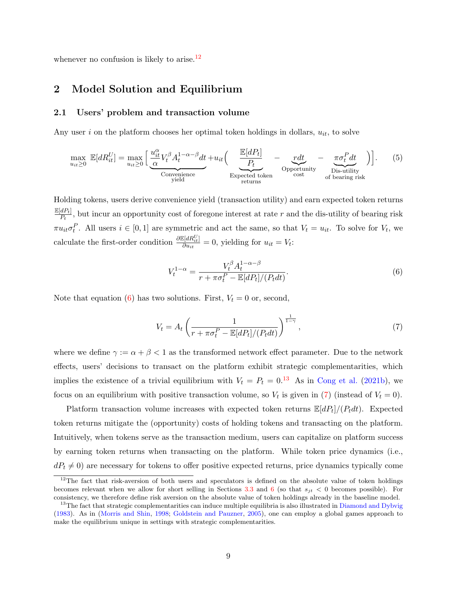whenever no confusion is likely to arise.<sup>[12](#page-9-0)</sup>

# 2 Model Solution and Equilibrium

### 2.1 Users' problem and transaction volume

Any user i on the platform chooses her optimal token holdings in dollars,  $u_{it}$ , to solve

<span id="page-9-4"></span>
$$
\max_{u_{it}\geq 0} \mathbb{E}[dR_{it}^U] = \max_{u_{it}\geq 0} \left[ \underbrace{\frac{u_{it}^{\alpha}}{\alpha} V_t^{\beta} A_t^{1-\alpha-\beta} dt}_{\text{Convenience}} + u_{it} \left( \underbrace{\frac{\mathbb{E}[dP_t]}{P_t}}_{\text{Expected token}} - \underbrace{r dt}_{\text{cost}} - \underbrace{\pi \sigma_t^P dt}_{\text{Dis-utility}} \right) \right].
$$
 (5)

Holding tokens, users derive convenience yield (transaction utility) and earn expected token returns  $\mathbb{E}[dP_t]$  $\frac{dP_t}{P_t}$ , but incur an opportunity cost of foregone interest at rate r and the dis-utility of bearing risk  $\pi u_{it} \sigma_t^P$ . All users  $i \in [0,1]$  are symmetric and act the same, so that  $V_t = u_{it}$ . To solve for  $V_t$ , we calculate the first-order condition  $\frac{\partial \mathbb{E}[dR_U^U]}{\partial w_U}$  $\frac{\partial u_i}{\partial u_{it}} = 0$ , yielding for  $u_{it} = V_t$ :

<span id="page-9-1"></span>
$$
V_t^{1-\alpha} = \frac{V_t^{\beta} A_t^{1-\alpha-\beta}}{r + \pi \sigma_t^P - \mathbb{E}[dP_t]/(P_t dt)}.
$$
\n
$$
(6)
$$

Note that equation [\(6\)](#page-9-1) has two solutions. First,  $V_t = 0$  or, second,

<span id="page-9-3"></span>
$$
V_t = A_t \left( \frac{1}{r + \pi \sigma_t^P - \mathbb{E}[dP_t]/(P_t dt)} \right)^{\frac{1}{1 - \gamma}},\tag{7}
$$

where we define  $\gamma := \alpha + \beta < 1$  as the transformed network effect parameter. Due to the network effects, users' decisions to transact on the platform exhibit strategic complementarities, which implies the existence of a trivial equilibrium with  $V_t = P_t = 0.13$  $V_t = P_t = 0.13$  As in [Cong et al.](#page-40-11) [\(2021b\)](#page-40-11), we focus on an equilibrium with positive transaction volume, so  $V_t$  is given in [\(7\)](#page-9-3) (instead of  $V_t = 0$ ).

Platform transaction volume increases with expected token returns  $\mathbb{E}[dP_t]/(P_tdt)$ . Expected token returns mitigate the (opportunity) costs of holding tokens and transacting on the platform. Intuitively, when tokens serve as the transaction medium, users can capitalize on platform success by earning token returns when transacting on the platform. While token price dynamics (i.e.,  $dP_t \neq 0$ ) are necessary for tokens to offer positive expected returns, price dynamics typically come

<span id="page-9-0"></span> $12$ The fact that risk-aversion of both users and speculators is defined on the absolute value of token holdings becomes relevant when we allow for short selling in Sections [3.3](#page-19-0) and [6](#page-35-0) (so that  $s_{it} < 0$  becomes possible). For consistency, we therefore define risk aversion on the absolute value of token holdings already in the baseline model.

<span id="page-9-2"></span><sup>&</sup>lt;sup>13</sup>The fact that strategic complementarities can induce multiple equilibria is also illustrated in [Diamond and Dybvig](#page-40-17) [\(1983\)](#page-40-17). As in [\(Morris and Shin,](#page-42-17) [1998;](#page-42-17) [Goldstein and Pauzner,](#page-41-16) [2005\)](#page-41-16), one can employ a global games approach to make the equilibrium unique in settings with strategic complementarities.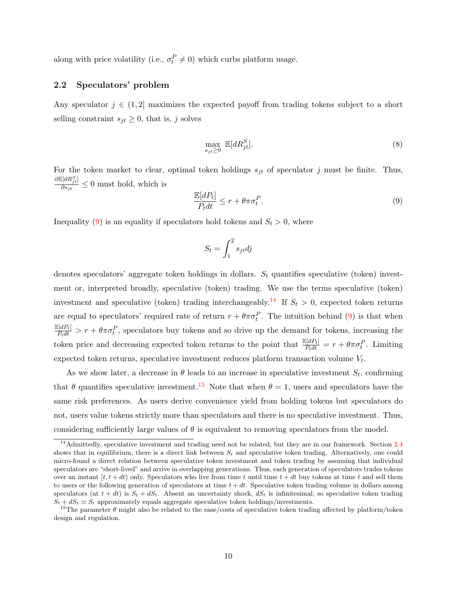along with price volatility (i.e.,  $\sigma_t^P \neq 0$ ) which curbs platform usage.

### 2.2 Speculators' problem

Any speculator  $j \in (1, 2]$  maximizes the expected payoff from trading tokens subject to a short selling constraint  $s_{jt} \geq 0$ , that is, j solves

<span id="page-10-3"></span>
$$
\max_{s_{jt} \ge 0} \mathbb{E}[dR_{jt}^S]. \tag{8}
$$

For the token market to clear, optimal token holdings  $s_{jt}$  of speculator j must be finite. Thus,  $\partial \mathbb{E}[dR^S_{jt}]$  $\frac{\partial \{a_{i}u_{j}^{t}\}}{\partial s_{j}^{t}} \leq 0$  must hold, which is

<span id="page-10-0"></span>
$$
\frac{\mathbb{E}[dP_t]}{P_t dt} \le r + \theta \pi \sigma_t^P. \tag{9}
$$

Inequality [\(9\)](#page-10-0) is an equality if speculators hold tokens and  $S_t > 0$ , where

$$
S_t = \int_1^2 s_{jt} dj
$$

denotes speculators' aggregate token holdings in dollars.  $S_t$  quantifies speculative (token) investment or, interpreted broadly, speculative (token) trading. We use the terms speculative (token) investment and speculative (token) trading interchangeably.<sup>[14](#page-10-1)</sup> If  $S_t > 0$ , expected token returns are equal to speculators' required rate of return  $r + \theta \pi \sigma_t^P$ . The intuition behind [\(9\)](#page-10-0) is that when  $\frac{\mathbb{E}[dP_t]}{P_tdt} > r + \theta \pi \sigma_t^P$ , speculators buy tokens and so drive up the demand for tokens, increasing the token price and decreasing expected token returns to the point that  $\frac{\mathbb{E}[dP_t]}{P_tdt} = r + \theta \pi \sigma_t^P$ . Limiting expected token returns, speculative investment reduces platform transaction volume  $V_t$ .

As we show later, a decrease in  $\theta$  leads to an increase in speculative investment  $S_t$ , confirming that  $\theta$  quantifies speculative investment.<sup>[15](#page-10-2)</sup> Note that when  $\theta = 1$ , users and speculators have the same risk preferences. As users derive convenience yield from holding tokens but speculators do not, users value tokens strictly more than speculators and there is no speculative investment. Thus, considering sufficiently large values of  $\theta$  is equivalent to removing speculators from the model.

<span id="page-10-1"></span><sup>&</sup>lt;sup>14</sup>Admittedly, speculative investment and trading need not be related, but they are in our framework. Section [2.4](#page-12-0) shows that in equilibrium, there is a direct link between  $S_t$  and speculative token trading. Alternatively, one could micro-found a direct relation between speculative token investment and token trading by assuming that individual speculators are "short-lived" and arrive in overlapping generations. Thus, each generation of speculators trades tokens over an instant  $[t, t+dt)$  only. Speculators who live from time t until time  $t+dt$  buy tokens at time t and sell them to users or the following generation of speculators at time  $t + dt$ . Speculative token trading volume in dollars among speculators (at  $t + dt$ ) is  $S_t + dS_t$ . Absent an uncertainty shock,  $dS_t$  is infinitesimal, so speculative token trading  $S_t + dS_t \simeq S_t$  approximately equals aggregate speculative token holdings/investments.

<span id="page-10-2"></span><sup>&</sup>lt;sup>15</sup>The parameter  $\theta$  might also be related to the ease/costs of speculative token trading affected by platform/token design and regulation.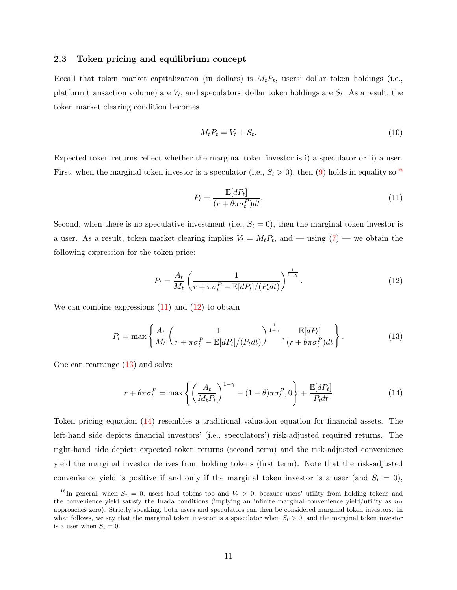### 2.3 Token pricing and equilibrium concept

Recall that token market capitalization (in dollars) is  $M_t P_t$ , users' dollar token holdings (i.e., platform transaction volume) are  $V_t$ , and speculators' dollar token holdings are  $S_t$ . As a result, the token market clearing condition becomes

<span id="page-11-5"></span>
$$
M_t P_t = V_t + S_t. \tag{10}
$$

Expected token returns reflect whether the marginal token investor is i) a speculator or ii) a user. First, when the marginal token investor is a speculator (i.e.,  $S_t > 0$ ), then [\(9\)](#page-10-0) holds in equality so<sup>[16](#page-11-0)</sup>

<span id="page-11-1"></span>
$$
P_t = \frac{\mathbb{E}[dP_t]}{(r + \theta \pi \sigma_t^P)dt}.
$$
\n(11)

Second, when there is no speculative investment (i.e.,  $S_t = 0$ ), then the marginal token investor is a user. As a result, token market clearing implies  $V_t = M_t P_t$ , and — using  $(7)$  — we obtain the following expression for the token price:

<span id="page-11-2"></span>
$$
P_t = \frac{A_t}{M_t} \left( \frac{1}{r + \pi \sigma_t^P - \mathbb{E}[dP_t]/(P_t dt)} \right)^{\frac{1}{1 - \gamma}}.
$$
\n(12)

We can combine expressions  $(11)$  and  $(12)$  to obtain

<span id="page-11-3"></span>
$$
P_t = \max\left\{\frac{A_t}{M_t}\left(\frac{1}{r + \pi\sigma_t^P - \mathbb{E}[dP_t]/(P_t dt)}\right)^{\frac{1}{1-\gamma}}, \frac{\mathbb{E}[dP_t]}{(r + \theta\pi\sigma_t^P)dt}\right\}.
$$
(13)

One can rearrange [\(13\)](#page-11-3) and solve

<span id="page-11-4"></span>
$$
r + \theta \pi \sigma_t^P = \max \left\{ \left( \frac{A_t}{M_t P_t} \right)^{1-\gamma} - (1-\theta) \pi \sigma_t^P, 0 \right\} + \frac{\mathbb{E}[dP_t]}{P_t dt} \tag{14}
$$

Token pricing equation [\(14\)](#page-11-4) resembles a traditional valuation equation for financial assets. The left-hand side depicts financial investors' (i.e., speculators') risk-adjusted required returns. The right-hand side depicts expected token returns (second term) and the risk-adjusted convenience yield the marginal investor derives from holding tokens (first term). Note that the risk-adjusted convenience yield is positive if and only if the marginal token investor is a user (and  $S_t = 0$ ),

<span id="page-11-0"></span><sup>&</sup>lt;sup>16</sup>In general, when  $S_t = 0$ , users hold tokens too and  $V_t > 0$ , because users' utility from holding tokens and the convenience yield satisfy the Inada conditions (implying an infinite marginal convenience yield/utility as  $u_{it}$ approaches zero). Strictly speaking, both users and speculators can then be considered marginal token investors. In what follows, we say that the marginal token investor is a speculator when  $S_t > 0$ , and the marginal token investor is a user when  $S_t = 0$ .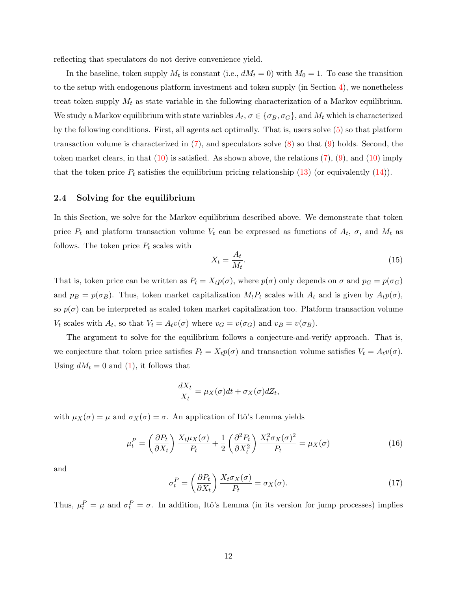reflecting that speculators do not derive convenience yield.

In the baseline, token supply  $M_t$  is constant (i.e.,  $dM_t = 0$ ) with  $M_0 = 1$ . To ease the transition to the setup with endogenous platform investment and token supply (in Section [4\)](#page-21-0), we nonetheless treat token supply  $M_t$  as state variable in the following characterization of a Markov equilibrium. We study a Markov equilibrium with state variables  $A_t$ ,  $\sigma \in {\sigma_B, \sigma_G}$ , and  $M_t$  which is characterized by the following conditions. First, all agents act optimally. That is, users solve [\(5\)](#page-9-4) so that platform transaction volume is characterized in [\(7\)](#page-9-3), and speculators solve [\(8\)](#page-10-3) so that [\(9\)](#page-10-0) holds. Second, the token market clears, in that  $(10)$  is satisfied. As shown above, the relations  $(7)$ ,  $(9)$ , and  $(10)$  imply that the token price  $P_t$  satisfies the equilibrium pricing relationship [\(13\)](#page-11-3) (or equivalently [\(14\)](#page-11-4)).

### <span id="page-12-0"></span>2.4 Solving for the equilibrium

In this Section, we solve for the Markov equilibrium described above. We demonstrate that token price  $P_t$  and platform transaction volume  $V_t$  can be expressed as functions of  $A_t$ ,  $\sigma$ , and  $M_t$  as follows. The token price  $P_t$  scales with

$$
X_t = \frac{A_t}{M_t}.\tag{15}
$$

That is, token price can be written as  $P_t = X_t p(\sigma)$ , where  $p(\sigma)$  only depends on  $\sigma$  and  $p_G = p(\sigma_G)$ and  $p_B = p(\sigma_B)$ . Thus, token market capitalization  $M_t P_t$  scales with  $A_t$  and is given by  $A_t p(\sigma)$ , so  $p(\sigma)$  can be interpreted as scaled token market capitalization too. Platform transaction volume  $V_t$  scales with  $A_t$ , so that  $V_t = A_t v(\sigma)$  where  $v_G = v(\sigma_G)$  and  $v_B = v(\sigma_B)$ .

The argument to solve for the equilibrium follows a conjecture-and-verify approach. That is, we conjecture that token price satisfies  $P_t = X_t p(\sigma)$  and transaction volume satisfies  $V_t = A_t v(\sigma)$ . Using  $dM_t = 0$  and [\(1\)](#page-6-2), it follows that

$$
\frac{dX_t}{X_t} = \mu_X(\sigma)dt + \sigma_X(\sigma)dZ_t,
$$

with  $\mu_X(\sigma) = \mu$  and  $\sigma_X(\sigma) = \sigma$ . An application of Itô's Lemma yields

<span id="page-12-1"></span>
$$
\mu_t^P = \left(\frac{\partial P_t}{\partial X_t}\right) \frac{X_t \mu_X(\sigma)}{P_t} + \frac{1}{2} \left(\frac{\partial^2 P_t}{\partial X_t^2}\right) \frac{X_t^2 \sigma_X(\sigma)^2}{P_t} = \mu_X(\sigma) \tag{16}
$$

and

<span id="page-12-2"></span>
$$
\sigma_t^P = \left(\frac{\partial P_t}{\partial X_t}\right) \frac{X_t \sigma_X(\sigma)}{P_t} = \sigma_X(\sigma). \tag{17}
$$

Thus,  $\mu_t^P = \mu$  and  $\sigma_t^P = \sigma$ . In addition, Itô's Lemma (in its version for jump processes) implies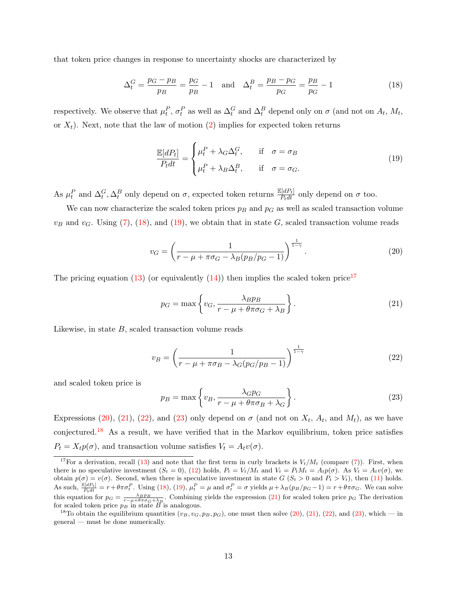that token price changes in response to uncertainty shocks are characterized by

<span id="page-13-0"></span>
$$
\Delta_t^G = \frac{p_G - p_B}{p_B} = \frac{p_G}{p_B} - 1 \quad \text{and} \quad \Delta_t^B = \frac{p_B - p_G}{p_G} = \frac{p_B}{p_G} - 1 \tag{18}
$$

respectively. We observe that  $\mu_t^P$ ,  $\sigma_t^P$  as well as  $\Delta_t^G$  and  $\Delta_t^B$  depend only on  $\sigma$  (and not on  $A_t$ ,  $M_t$ , or  $X_t$ ). Next, note that the law of motion [\(2\)](#page-7-1) implies for expected token returns

<span id="page-13-1"></span>
$$
\frac{\mathbb{E}[dP_t]}{P_t dt} = \begin{cases} \mu_t^P + \lambda_G \Delta_t^G, & \text{if } \sigma = \sigma_B \\ \mu_t^P + \lambda_B \Delta_t^B, & \text{if } \sigma = \sigma_G. \end{cases}
$$
\n(19)

As  $\mu_t^P$  and  $\Delta_t^G$ ,  $\Delta_t^B$  only depend on  $\sigma$ , expected token returns  $\frac{\mathbb{E}[dP_t]}{P_tdt}$  only depend on  $\sigma$  too.

We can now characterize the scaled token prices  $p_B$  and  $p_G$  as well as scaled transaction volume  $v_B$  and  $v_G$ . Using [\(7\)](#page-9-3), [\(18\)](#page-13-0), and [\(19\)](#page-13-1), we obtain that in state G, scaled transaction volume reads

<span id="page-13-3"></span>
$$
v_G = \left(\frac{1}{r - \mu + \pi \sigma_G - \lambda_B (p_B/p_G - 1)}\right)^{\frac{1}{1 - \gamma}}.
$$
\n(20)

The pricing equation [\(13\)](#page-11-3) (or equivalently [\(14\)](#page-11-4)) then implies the scaled token price<sup>[17](#page-13-2)</sup>

<span id="page-13-4"></span>
$$
p_G = \max\left\{v_G, \frac{\lambda_B p_B}{r - \mu + \theta \pi \sigma_G + \lambda_B}\right\}.
$$
\n(21)

Likewise, in state  $B$ , scaled transaction volume reads

<span id="page-13-5"></span>
$$
v_B = \left(\frac{1}{r - \mu + \pi \sigma_B - \lambda_G (p_G/p_B - 1)}\right)^{\frac{1}{1 - \gamma}}
$$
\n(22)

and scaled token price is

<span id="page-13-6"></span>
$$
p_B = \max\left\{v_B, \frac{\lambda G p_G}{r - \mu + \theta \pi \sigma_B + \lambda_G}\right\}.
$$
\n(23)

Expressions [\(20\)](#page-13-3), [\(21\)](#page-13-4), [\(22\)](#page-13-5), and [\(23\)](#page-13-6) only depend on  $\sigma$  (and not on  $X_t$ ,  $A_t$ , and  $M_t$ ), as we have conjectured.[18](#page-13-7) As a result, we have verified that in the Markov equilibrium, token price satisfies  $P_t = X_t p(\sigma)$ , and transaction volume satisfies  $V_t = A_t v(\sigma)$ .

<span id="page-13-2"></span><sup>&</sup>lt;sup>17</sup>For a derivation, recall [\(13\)](#page-11-3) and note that the first term in curly brackets is  $V_t/M_t$  (compare [\(7\)](#page-9-3)). First, when there is no speculative investment  $(S_t = 0)$ , [\(12\)](#page-11-2) holds,  $P_t = V_t/M_t$  and  $V_t = P_tM_t = A_t p(\sigma)$ . As  $V_t = A_t v(\sigma)$ , we obtain  $p(\sigma) = v(\sigma)$ . Second, when there is speculative investment in state  $G(S_t > 0$  and  $P_t > V_t$ , then [\(11\)](#page-11-1) holds. As such,  $\frac{\mathbb{E}[dP_t]}{P_tdt} = r + \theta \pi \sigma_t^P$ . Using [\(18\)](#page-13-0), [\(19\)](#page-13-1),  $\mu_t^P = \mu$  and  $\sigma_t^P = \sigma$  yields  $\mu + \lambda_B(p_B/p_G - 1) = r + \theta \pi \sigma_G$ . We can solve this equation for  $p_G = \frac{\lambda_B p_B}{r - \mu + \theta \pi \sigma_G + \lambda_B}$ . Combining yields the expression [\(21\)](#page-13-4) for scaled token price  $p_G$  The derivation for scaled token price  $p_B$  in state  $\widetilde{B}$  is analogous.

<span id="page-13-7"></span><sup>&</sup>lt;sup>18</sup>To obtain the equilibrium quantities  $(v_B, v_G, p_B, p_G)$ , one must then solve  $(20)$ ,  $(21)$ ,  $(22)$ , and  $(23)$ , which — in general — must be done numerically.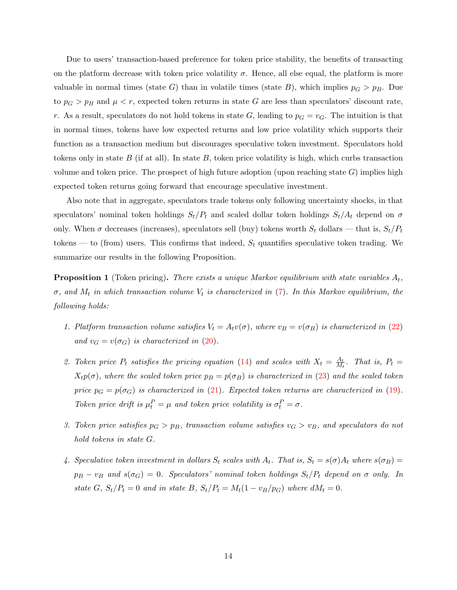Due to users' transaction-based preference for token price stability, the benefits of transacting on the platform decrease with token price volatility  $\sigma$ . Hence, all else equal, the platform is more valuable in normal times (state G) than in volatile times (state B), which implies  $p_G > p_B$ . Due to  $p_G > p_B$  and  $\mu < r$ , expected token returns in state G are less than speculators' discount rate, r. As a result, speculators do not hold tokens in state G, leading to  $p<sub>G</sub> = v<sub>G</sub>$ . The intuition is that in normal times, tokens have low expected returns and low price volatility which supports their function as a transaction medium but discourages speculative token investment. Speculators hold tokens only in state  $B$  (if at all). In state  $B$ , token price volatility is high, which curbs transaction volume and token price. The prospect of high future adoption (upon reaching state  $G$ ) implies high expected token returns going forward that encourage speculative investment.

Also note that in aggregate, speculators trade tokens only following uncertainty shocks, in that speculators' nominal token holdings  $S_t/P_t$  and scaled dollar token holdings  $S_t/A_t$  depend on  $\sigma$ only. When  $\sigma$  decreases (increases), speculators sell (buy) tokens worth  $S_t$  dollars — that is,  $S_t/P_t$ tokens — to (from) users. This confirms that indeed,  $S_t$  quantifies speculative token trading. We summarize our results in the following Proposition.

<span id="page-14-0"></span>**Proposition 1** (Token pricing). There exists a unique Markov equilibrium with state variables  $A_t$ ,  $\sigma$ , and  $M_t$  in which transaction volume  $V_t$  is characterized in [\(7\)](#page-9-3). In this Markov equilibrium, the following holds:

- 1. Platform transaction volume satisfies  $V_t = A_t v(\sigma)$ , where  $v_B = v(\sigma_B)$  is characterized in [\(22\)](#page-13-5) and  $v_G = v(\sigma_G)$  is characterized in [\(20\)](#page-13-3).
- 2. Token price  $P_t$  satisfies the pricing equation [\(14\)](#page-11-4) and scales with  $X_t = \frac{A_t}{M_t}$  $\frac{A_t}{M_t}$ . That is,  $P_t =$  $X_t p(\sigma)$ , where the scaled token price  $p_B = p(\sigma_B)$  is characterized in [\(23\)](#page-13-6) and the scaled token price  $p_G = p(\sigma_G)$  is characterized in [\(21\)](#page-13-4). Expected token returns are characterized in [\(19\)](#page-13-1). Token price drift is  $\mu_t^P = \mu$  and token price volatility is  $\sigma_t^P = \sigma$ .
- 3. Token price satisfies  $p_G > p_B$ , transaction volume satisfies  $v_G > v_B$ , and speculators do not hold tokens in state G.
- 4. Speculative token investment in dollars  $S_t$  scales with  $A_t$ . That is,  $S_t = s(\sigma)A_t$  where  $s(\sigma_B)$  $p_B - v_B$  and  $s(\sigma_G) = 0$ . Speculators' nominal token holdings  $S_t/P_t$  depend on  $\sigma$  only. In state G,  $S_t/P_t = 0$  and in state B,  $S_t/P_t = M_t(1 - v_B/p_G)$  where  $dM_t = 0$ .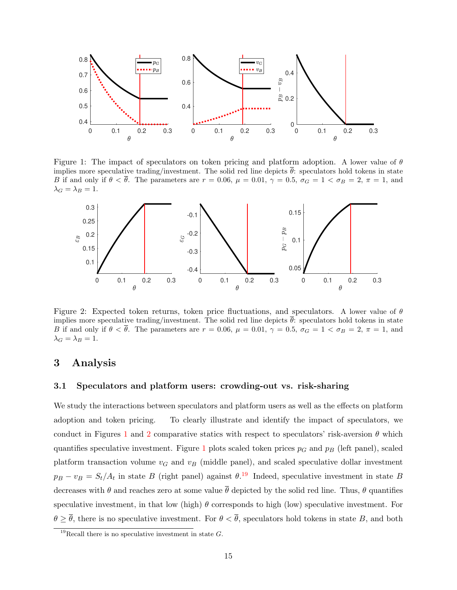<span id="page-15-0"></span>

Figure 1: The impact of speculators on token pricing and platform adoption. A lower value of  $\theta$ implies more speculative trading/investment. The solid red line depicts  $\bar{\theta}$ : speculators hold tokens in state B if and only if  $\theta < \bar{\theta}$ . The parameters are  $r = 0.06$ ,  $\mu = 0.01$ ,  $\gamma = 0.5$ ,  $\sigma_G = 1 < \sigma_B = 2$ ,  $\pi = 1$ , and  $\lambda_G = \lambda_B = 1.$ 

<span id="page-15-1"></span>

Figure 2: Expected token returns, token price fluctuations, and speculators. A lower value of  $\theta$ implies more speculative trading/investment. The solid red line depicts  $\hat{\theta}$ : speculators hold tokens in state B if and only if  $\theta < \bar{\theta}$ . The parameters are  $r = 0.06$ ,  $\mu = 0.01$ ,  $\gamma = 0.5$ ,  $\sigma_G = 1 < \sigma_B = 2$ ,  $\pi = 1$ , and  $\lambda_G = \lambda_B = 1.$ 

### 3 Analysis

### 3.1 Speculators and platform users: crowding-out vs. risk-sharing

We study the interactions between speculators and platform users as well as the effects on platform adoption and token pricing. To clearly illustrate and identify the impact of speculators, we conduct in Figures [1](#page-15-0) and [2](#page-15-1) comparative statics with respect to speculators' risk-aversion  $\theta$  which quantifies speculative investment. Figure [1](#page-15-0) plots scaled token prices  $p<sub>G</sub>$  and  $p<sub>B</sub>$  (left panel), scaled platform transaction volume  $v_G$  and  $v_B$  (middle panel), and scaled speculative dollar investment  $p_B - v_B = S_t/A_t$  in state B (right panel) against  $\theta$ .<sup>[19](#page-15-2)</sup> Indeed, speculative investment in state B decreases with  $\theta$  and reaches zero at some value  $\bar{\theta}$  depicted by the solid red line. Thus,  $\theta$  quantifies speculative investment, in that low (high)  $\theta$  corresponds to high (low) speculative investment. For  $\theta \geq \overline{\theta}$ , there is no speculative investment. For  $\theta < \overline{\theta}$ , speculators hold tokens in state B, and both

<span id="page-15-2"></span><sup>&</sup>lt;sup>19</sup>Recall there is no speculative investment in state  $G$ .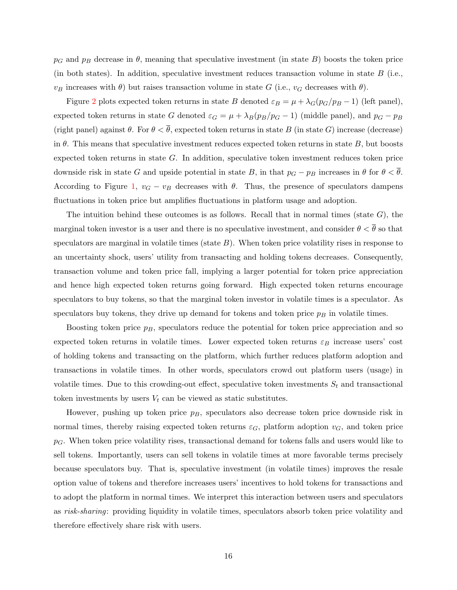$p_G$  and  $p_B$  decrease in  $\theta$ , meaning that speculative investment (in state B) boosts the token price (in both states). In addition, speculative investment reduces transaction volume in state  $B$  (i.e.,  $v_B$  increases with  $\theta$ ) but raises transaction volume in state G (i.e.,  $v_G$  decreases with  $\theta$ ).

Figure [2](#page-15-1) plots expected token returns in state B denoted  $\varepsilon_B = \mu + \lambda_G(p_G/p_B - 1)$  (left panel), expected token returns in state G denoted  $\varepsilon_G = \mu + \lambda_B(p_B/p_G - 1)$  (middle panel), and  $p_G - p_B$ (right panel) against  $\theta$ . For  $\theta < \overline{\theta}$ , expected token returns in state B (in state G) increase (decrease) in  $\theta$ . This means that speculative investment reduces expected token returns in state  $B$ , but boosts expected token returns in state G. In addition, speculative token investment reduces token price downside risk in state G and upside potential in state B, in that  $p_G - p_B$  increases in  $\theta$  for  $\theta < \theta$ . According to Figure [1,](#page-15-0)  $v_G - v_B$  decreases with  $\theta$ . Thus, the presence of speculators dampens fluctuations in token price but amplifies fluctuations in platform usage and adoption.

The intuition behind these outcomes is as follows. Recall that in normal times (state  $G$ ), the marginal token investor is a user and there is no speculative investment, and consider  $\theta < \overline{\theta}$  so that speculators are marginal in volatile times (state  $B$ ). When token price volatility rises in response to an uncertainty shock, users' utility from transacting and holding tokens decreases. Consequently, transaction volume and token price fall, implying a larger potential for token price appreciation and hence high expected token returns going forward. High expected token returns encourage speculators to buy tokens, so that the marginal token investor in volatile times is a speculator. As speculators buy tokens, they drive up demand for tokens and token price  $p_B$  in volatile times.

Boosting token price  $p_B$ , speculators reduce the potential for token price appreciation and so expected token returns in volatile times. Lower expected token returns  $\varepsilon_B$  increase users' cost of holding tokens and transacting on the platform, which further reduces platform adoption and transactions in volatile times. In other words, speculators crowd out platform users (usage) in volatile times. Due to this crowding-out effect, speculative token investments  $S_t$  and transactional token investments by users  $V_t$  can be viewed as static substitutes.

However, pushing up token price  $p_B$ , speculators also decrease token price downside risk in normal times, thereby raising expected token returns  $\varepsilon_G$ , platform adoption  $v_G$ , and token price  $p<sub>G</sub>$ . When token price volatility rises, transactional demand for tokens falls and users would like to sell tokens. Importantly, users can sell tokens in volatile times at more favorable terms precisely because speculators buy. That is, speculative investment (in volatile times) improves the resale option value of tokens and therefore increases users' incentives to hold tokens for transactions and to adopt the platform in normal times. We interpret this interaction between users and speculators as risk-sharing: providing liquidity in volatile times, speculators absorb token price volatility and therefore effectively share risk with users.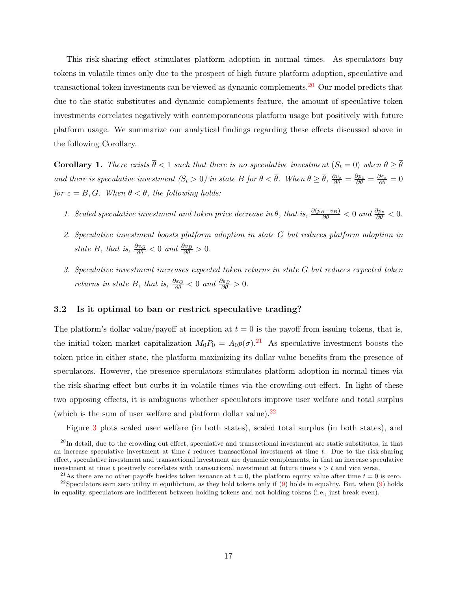This risk-sharing effect stimulates platform adoption in normal times. As speculators buy tokens in volatile times only due to the prospect of high future platform adoption, speculative and transactional token investments can be viewed as dynamic complements.[20](#page-17-0) Our model predicts that due to the static substitutes and dynamic complements feature, the amount of speculative token investments correlates negatively with contemporaneous platform usage but positively with future platform usage. We summarize our analytical findings regarding these effects discussed above in the following Corollary.

<span id="page-17-3"></span>**Corollary 1.** There exists  $\bar{\theta} < 1$  such that there is no speculative investment  $(S_t = 0)$  when  $\theta \geq \bar{\theta}$ and there is speculative investment  $(S_t > 0)$  in state B for  $\theta < \overline{\theta}$ . When  $\theta \geq \overline{\theta}$ ,  $\frac{\partial v_z}{\partial \theta} = \frac{\partial p_z}{\partial \theta} = \frac{\partial \varepsilon_z}{\partial \theta} = 0$ for  $z = B, G$ . When  $\theta < \overline{\theta}$ , the following holds:

- 1. Scaled speculative investment and token price decrease in  $\theta$ , that is,  $\frac{\partial(p_B v_B)}{\partial \theta} < 0$  and  $\frac{\partial p_z}{\partial \theta} < 0$ .
- 2. Speculative investment boosts platform adoption in state G but reduces platform adoption in state B, that is,  $\frac{\partial v_G}{\partial \theta} < 0$  and  $\frac{\partial v_B}{\partial \theta} > 0$ .
- 3. Speculative investment increases expected token returns in state G but reduces expected token returns in state B, that is,  $\frac{\partial \varepsilon_G}{\partial \theta} < 0$  and  $\frac{\partial \varepsilon_B}{\partial \theta} > 0$ .

### 3.2 Is it optimal to ban or restrict speculative trading?

The platform's dollar value/payoff at inception at  $t = 0$  is the payoff from issuing tokens, that is, the initial token market capitalization  $M_0P_0 = A_0p(\sigma)$ .<sup>[21](#page-17-1)</sup> As speculative investment boosts the token price in either state, the platform maximizing its dollar value benefits from the presence of speculators. However, the presence speculators stimulates platform adoption in normal times via the risk-sharing effect but curbs it in volatile times via the crowding-out effect. In light of these two opposing effects, it is ambiguous whether speculators improve user welfare and total surplus (which is the sum of user welfare and platform dollar value). $^{22}$  $^{22}$  $^{22}$ 

<span id="page-17-0"></span>Figure [3](#page-18-0) plots scaled user welfare (in both states), scaled total surplus (in both states), and

 $^{20}$ In detail, due to the crowding out effect, speculative and transactional investment are static substitutes, in that an increase speculative investment at time  $t$  reduces transactional investment at time  $t$ . Due to the risk-sharing effect, speculative investment and transactional investment are dynamic complements, in that an increase speculative investment at time t positively correlates with transactional investment at future times  $s > t$  and vice versa.

<span id="page-17-2"></span><span id="page-17-1"></span><sup>&</sup>lt;sup>21</sup>As there are no other payoffs besides token issuance at  $t = 0$ , the platform equity value after time  $t = 0$  is zero. <sup>22</sup>Speculators earn zero utility in equilibrium, as they hold tokens only if  $(9)$  holds in equality. But, when  $(9)$  holds

in equality, speculators are indifferent between holding tokens and not holding tokens (i.e., just break even).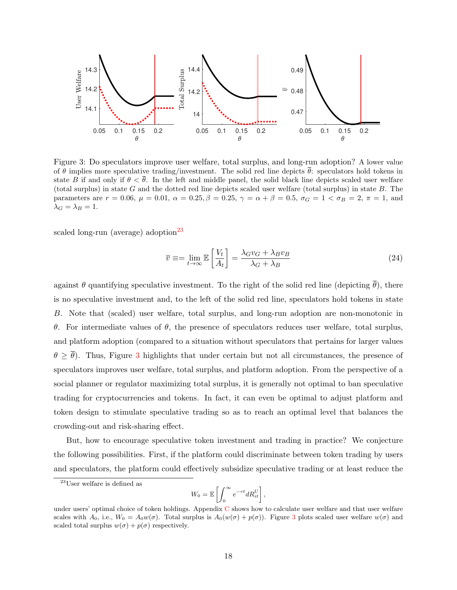<span id="page-18-0"></span>

Figure 3: Do speculators improve user welfare, total surplus, and long-run adoption? A lower value of  $\theta$  implies more speculative trading/investment. The solid red line depicts  $\bar{\theta}$ : speculators hold tokens in state B if and only if  $\theta < \overline{\theta}$ . In the left and middle panel, the solid black line depicts scaled user welfare (total surplus) in state  $G$  and the dotted red line depicts scaled user welfare (total surplus) in state  $B$ . The parameters are  $r = 0.06$ ,  $\mu = 0.01$ ,  $\alpha = 0.25$ ,  $\beta = 0.25$ ,  $\gamma = \alpha + \beta = 0.5$ ,  $\sigma_G = 1 < \sigma_B = 2$ ,  $\pi = 1$ , and  $\lambda_G = \lambda_B = 1.$ 

scaled long-run (average) adoption<sup>[23](#page-18-1)</sup>

$$
\overline{v} \equiv = \lim_{t \to \infty} \mathbb{E} \left[ \frac{V_t}{A_t} \right] = \frac{\lambda_G v_G + \lambda_B v_B}{\lambda_G + \lambda_B} \tag{24}
$$

against  $\theta$  quantifying speculative investment. To the right of the solid red line (depicting  $\bar{\theta}$ ), there is no speculative investment and, to the left of the solid red line, speculators hold tokens in state B. Note that (scaled) user welfare, total surplus, and long-run adoption are non-monotonic in θ. For intermediate values of θ, the presence of speculators reduces user welfare, total surplus, and platform adoption (compared to a situation without speculators that pertains for larger values  $\theta \geq \overline{\theta}$ ). Thus, Figure [3](#page-18-0) highlights that under certain but not all circumstances, the presence of speculators improves user welfare, total surplus, and platform adoption. From the perspective of a social planner or regulator maximizing total surplus, it is generally not optimal to ban speculative trading for cryptocurrencies and tokens. In fact, it can even be optimal to adjust platform and token design to stimulate speculative trading so as to reach an optimal level that balances the crowding-out and risk-sharing effect.

But, how to encourage speculative token investment and trading in practice? We conjecture the following possibilities. First, if the platform could discriminate between token trading by users and speculators, the platform could effectively subsidize speculative trading or at least reduce the

$$
W_0 = \mathbb{E}\left[\int_0^\infty e^{-rt} dR_{it}^U\right],
$$

<span id="page-18-1"></span> $23$ User welfare is defined as

under users' optimal choice of token holdings. Appendix [C](#page-45-0) shows how to calculate user welfare and that user welfare scales with  $A_0$ , i.e.,  $W_0 = A_0 w(\sigma)$ . Total surplus is  $A_0(w(\sigma) + p(\sigma))$ . Figure [3](#page-18-0) plots scaled user welfare  $w(\sigma)$  and scaled total surplus  $w(\sigma) + p(\sigma)$  respectively.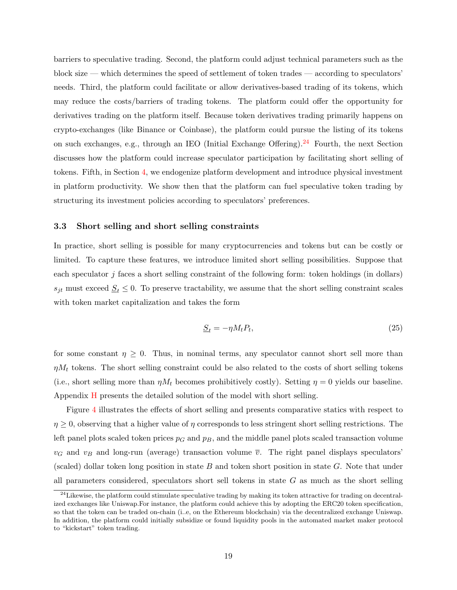barriers to speculative trading. Second, the platform could adjust technical parameters such as the block size — which determines the speed of settlement of token trades — according to speculators' needs. Third, the platform could facilitate or allow derivatives-based trading of its tokens, which may reduce the costs/barriers of trading tokens. The platform could offer the opportunity for derivatives trading on the platform itself. Because token derivatives trading primarily happens on crypto-exchanges (like Binance or Coinbase), the platform could pursue the listing of its tokens on such exchanges, e.g., through an IEO (Initial Exchange Offering).<sup>[24](#page-19-1)</sup> Fourth, the next Section discusses how the platform could increase speculator participation by facilitating short selling of tokens. Fifth, in Section [4,](#page-21-0) we endogenize platform development and introduce physical investment in platform productivity. We show then that the platform can fuel speculative token trading by structuring its investment policies according to speculators' preferences.

### <span id="page-19-0"></span>3.3 Short selling and short selling constraints

In practice, short selling is possible for many cryptocurrencies and tokens but can be costly or limited. To capture these features, we introduce limited short selling possibilities. Suppose that each speculator j faces a short selling constraint of the following form: token holdings (in dollars)  $s_{jt}$  must exceed  $S_t \leq 0$ . To preserve tractability, we assume that the short selling constraint scales with token market capitalization and takes the form

$$
\underline{S}_t = -\eta M_t P_t,\tag{25}
$$

for some constant  $\eta \geq 0$ . Thus, in nominal terms, any speculator cannot short sell more than  $\eta M_t$  tokens. The short selling constraint could be also related to the costs of short selling tokens (i.e., short selling more than  $\eta M_t$  becomes prohibitively costly). Setting  $\eta = 0$  yields our baseline. Appendix [H](#page-54-0) presents the detailed solution of the model with short selling.

Figure [4](#page-20-0) illustrates the effects of short selling and presents comparative statics with respect to  $\eta \geq 0$ , observing that a higher value of  $\eta$  corresponds to less stringent short selling restrictions. The left panel plots scaled token prices  $p_G$  and  $p_B$ , and the middle panel plots scaled transaction volume  $v_G$  and  $v_B$  and long-run (average) transaction volume  $\overline{v}$ . The right panel displays speculators' (scaled) dollar token long position in state  $B$  and token short position in state  $G$ . Note that under all parameters considered, speculators short sell tokens in state  $G$  as much as the short selling

<span id="page-19-1"></span> $^{24}$ Likewise, the platform could stimulate speculative trading by making its token attractive for trading on decentralized exchanges like Uniswap.For instance, the platform could achieve this by adopting the ERC20 token specification, so that the token can be traded on-chain (i..e, on the Ethereum blockchain) via the decentralized exchange Uniswap. In addition, the platform could initially subsidize or found liquidity pools in the automated market maker protocol to "kickstart" token trading.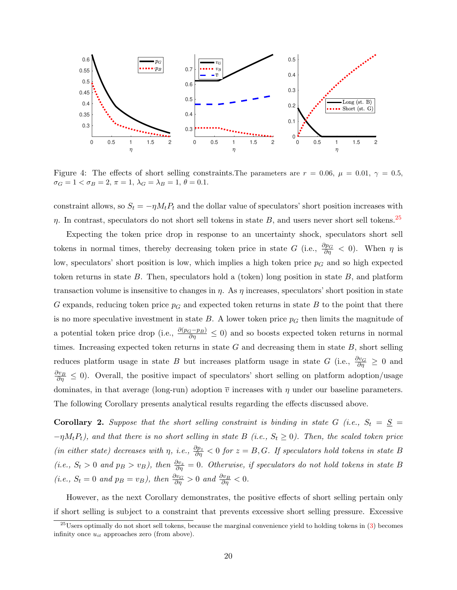<span id="page-20-0"></span>

Figure 4: The effects of short selling constraints. The parameters are  $r = 0.06$ ,  $\mu = 0.01$ ,  $\gamma = 0.5$ ,  $\sigma_G = 1 < \sigma_B = 2, \, \pi = 1, \, \lambda_G = \lambda_B = 1, \, \theta = 0.1.$ 

constraint allows, so  $S_t = -\eta M_t P_t$  and the dollar value of speculators' short position increases with  $\eta$ . In contrast, speculators do not short sell tokens in state B, and users never short sell tokens.<sup>[25](#page-20-1)</sup>

Expecting the token price drop in response to an uncertainty shock, speculators short sell tokens in normal times, thereby decreasing token price in state G (i.e.,  $\frac{\partial p_G}{\partial \eta} < 0$ ). When  $\eta$  is low, speculators' short position is low, which implies a high token price  $p<sub>G</sub>$  and so high expected token returns in state  $B$ . Then, speculators hold a (token) long position in state  $B$ , and platform transaction volume is insensitive to changes in  $\eta$ . As  $\eta$  increases, speculators' short position in state G expands, reducing token price  $p<sub>G</sub>$  and expected token returns in state B to the point that there is no more speculative investment in state  $B$ . A lower token price  $p<sub>G</sub>$  then limits the magnitude of a potential token price drop (i.e.,  $\frac{\partial(p_G-p_B)}{\partial \eta} \leq 0$ ) and so boosts expected token returns in normal times. Increasing expected token returns in state  $G$  and decreasing them in state  $B$ , short selling reduces platform usage in state B but increases platform usage in state G (i.e.,  $\frac{\partial v_G}{\partial \eta} \geq 0$  and  $\frac{\partial v_B}{\partial \eta} \leq 0$ . Overall, the positive impact of speculators' short selling on platform adoption/usage dominates, in that average (long-run) adoption  $\bar{v}$  increases with  $\eta$  under our baseline parameters. The following Corollary presents analytical results regarding the effects discussed above.

<span id="page-20-2"></span>Corollary 2. Suppose that the short selling constraint is binding in state G (i.e.,  $S_t = \underline{S}$ )  $-\eta M_tP_t$ ), and that there is no short selling in state B (i.e.,  $S_t \geq 0$ ). Then, the scaled token price (in either state) decreases with  $\eta$ , i.e.,  $\frac{\partial p_z}{\partial \eta} < 0$  for  $z = B, G$ . If speculators hold tokens in state B (i.e.,  $S_t > 0$  and  $p_B > v_B$ ), then  $\frac{\partial v_z}{\partial \eta} = 0$ . Otherwise, if speculators do not hold tokens in state B (i.e.,  $S_t = 0$  and  $p_B = v_B$ ), then  $\frac{\partial v_G}{\partial \eta} > 0$  and  $\frac{\partial v_B}{\partial \eta} < 0$ .

However, as the next Corollary demonstrates, the positive effects of short selling pertain only if short selling is subject to a constraint that prevents excessive short selling pressure. Excessive

<span id="page-20-1"></span><sup>&</sup>lt;sup>25</sup>Users optimally do not short sell tokens, because the marginal convenience yield to holding tokens in  $(3)$  becomes infinity once  $u_{it}$  approaches zero (from above).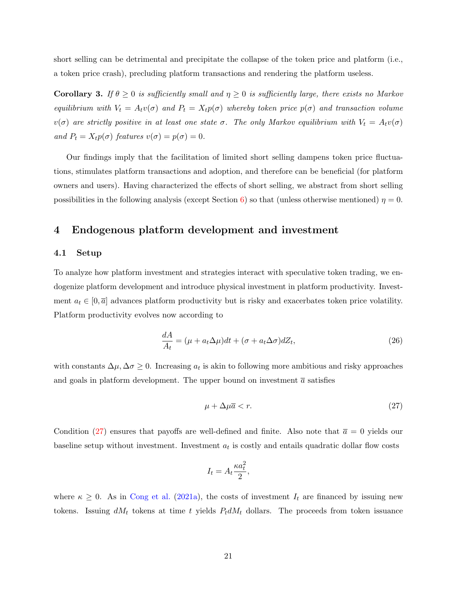short selling can be detrimental and precipitate the collapse of the token price and platform (i.e., a token price crash), precluding platform transactions and rendering the platform useless.

<span id="page-21-3"></span>**Corollary 3.** If  $\theta \geq 0$  is sufficiently small and  $\eta \geq 0$  is sufficiently large, there exists no Markov equilibrium with  $V_t = A_t v(\sigma)$  and  $P_t = X_t p(\sigma)$  whereby token price  $p(\sigma)$  and transaction volume  $v(\sigma)$  are strictly positive in at least one state  $\sigma$ . The only Markov equilibrium with  $V_t = A_t v(\sigma)$ and  $P_t = X_t p(\sigma)$  features  $v(\sigma) = p(\sigma) = 0$ .

Our findings imply that the facilitation of limited short selling dampens token price fluctuations, stimulates platform transactions and adoption, and therefore can be beneficial (for platform owners and users). Having characterized the effects of short selling, we abstract from short selling possibilities in the following analysis (except Section [6\)](#page-35-0) so that (unless otherwise mentioned)  $\eta = 0$ .

### <span id="page-21-0"></span>4 Endogenous platform development and investment

### 4.1 Setup

To analyze how platform investment and strategies interact with speculative token trading, we endogenize platform development and introduce physical investment in platform productivity. Investment  $a_t \in [0, \bar{a}]$  advances platform productivity but is risky and exacerbates token price volatility. Platform productivity evolves now according to

<span id="page-21-2"></span>
$$
\frac{dA}{A_t} = (\mu + a_t \Delta \mu)dt + (\sigma + a_t \Delta \sigma)dZ_t,
$$
\n(26)

with constants  $\Delta \mu, \Delta \sigma \geq 0$ . Increasing  $a_t$  is akin to following more ambitious and risky approaches and goals in platform development. The upper bound on investment  $\bar{a}$  satisfies

<span id="page-21-1"></span>
$$
\mu + \Delta \mu \overline{a} < r. \tag{27}
$$

Condition [\(27\)](#page-21-1) ensures that payoffs are well-defined and finite. Also note that  $\bar{a} = 0$  yields our baseline setup without investment. Investment  $a_t$  is costly and entails quadratic dollar flow costs

$$
I_t = A_t \frac{\kappa a_t^2}{2},
$$

where  $\kappa \geq 0$ . As in [Cong et al.](#page-40-10) [\(2021a\)](#page-40-10), the costs of investment  $I_t$  are financed by issuing new tokens. Issuing  $dM_t$  tokens at time t yields  $P_t dM_t$  dollars. The proceeds from token issuance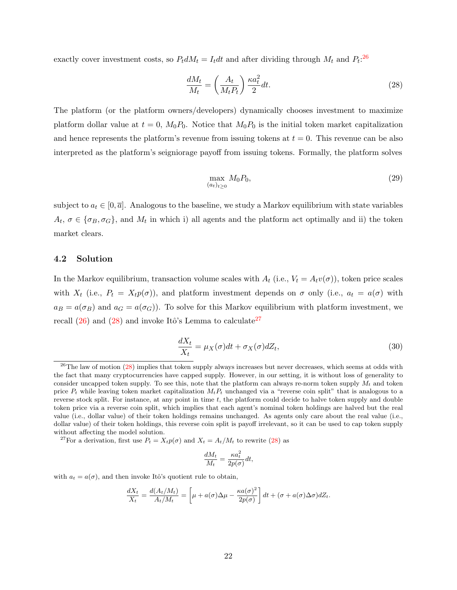exactly cover investment costs, so  $P_t dM_t = I_t dt$  and after dividing through  $M_t$  and  $P_t$ <sup>[26](#page-22-0)</sup>

<span id="page-22-1"></span>
$$
\frac{dM_t}{M_t} = \left(\frac{A_t}{M_t P_t}\right) \frac{\kappa a_t^2}{2} dt.
$$
\n(28)

The platform (or the platform owners/developers) dynamically chooses investment to maximize platform dollar value at  $t = 0$ ,  $M_0P_0$ . Notice that  $M_0P_0$  is the initial token market capitalization and hence represents the platform's revenue from issuing tokens at  $t = 0$ . This revenue can be also interpreted as the platform's seigniorage payoff from issuing tokens. Formally, the platform solves

<span id="page-22-3"></span>
$$
\max_{(a_t)_{t\geq 0}} M_0 P_0,\tag{29}
$$

subject to  $a_t \in [0, \bar{a}]$ . Analogous to the baseline, we study a Markov equilibrium with state variables  $A_t, \sigma \in {\{\sigma_B, \sigma_G\}}$ , and  $M_t$  in which i) all agents and the platform act optimally and ii) the token market clears.

### 4.2 Solution

In the Markov equilibrium, transaction volume scales with  $A_t$  (i.e.,  $V_t = A_t v(\sigma)$ ), token price scales with  $X_t$  (i.e.,  $P_t = X_t p(\sigma)$ ), and platform investment depends on  $\sigma$  only (i.e.,  $a_t = a(\sigma)$  with  $a_B = a(\sigma_B)$  and  $a_G = a(\sigma_G)$ . To solve for this Markov equilibrium with platform investment, we recall  $(26)$  and  $(28)$  and invoke Itô's Lemma to calculate<sup>[27](#page-22-2)</sup>

$$
\frac{dX_t}{X_t} = \mu_X(\sigma)dt + \sigma_X(\sigma)dZ_t,
$$
\n(30)

<span id="page-22-2"></span><sup>27</sup>For a derivation, first use  $P_t = X_t p(\sigma)$  and  $X_t = A_t/M_t$  to rewrite [\(28\)](#page-22-1) as

$$
\frac{dM_t}{M_t} = \frac{\kappa a_t^2}{2p(\sigma)} dt,
$$

with  $a_t = a(\sigma)$ , and then invoke Itô's quotient rule to obtain,

$$
\frac{dX_t}{X_t} = \frac{d(A_t/M_t)}{A_t/M_t} = \left[\mu + a(\sigma)\Delta\mu - \frac{\kappa a(\sigma)^2}{2p(\sigma)}\right]dt + (\sigma + a(\sigma)\Delta\sigma)dZ_t.
$$

<span id="page-22-0"></span> $^{26}$ The law of motion [\(28\)](#page-22-1) implies that token supply always increases but never decreases, which seems at odds with the fact that many cryptocurrencies have capped supply. However, in our setting, it is without loss of generality to consider uncapped token supply. To see this, note that the platform can always re-norm token supply  $M_t$  and token price  $P_t$  while leaving token market capitalization  $M_tP_t$  unchanged via a "reverse coin split" that is analogous to a reverse stock split. For instance, at any point in time  $t$ , the platform could decide to halve token supply and double token price via a reverse coin split, which implies that each agent's nominal token holdings are halved but the real value (i.e., dollar value) of their token holdings remains unchanged. As agents only care about the real value (i.e., dollar value) of their token holdings, this reverse coin split is payoff irrelevant, so it can be used to cap token supply without affecting the model solution.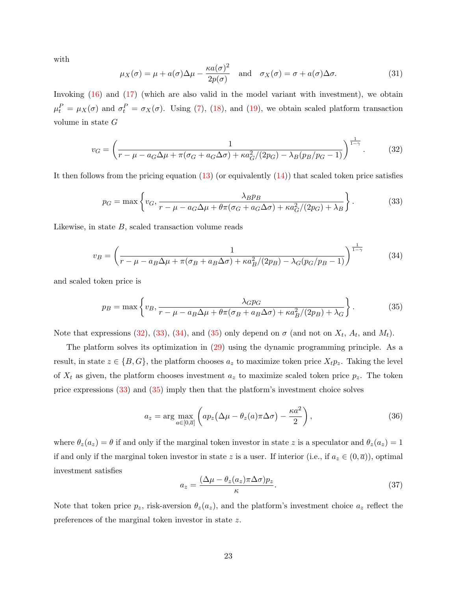with

<span id="page-23-5"></span>
$$
\mu_X(\sigma) = \mu + a(\sigma)\Delta\mu - \frac{\kappa a(\sigma)^2}{2p(\sigma)} \quad \text{and} \quad \sigma_X(\sigma) = \sigma + a(\sigma)\Delta\sigma. \tag{31}
$$

Invoking [\(16\)](#page-12-1) and [\(17\)](#page-12-2) (which are also valid in the model variant with investment), we obtain  $\mu_t^P = \mu_X(\sigma)$  and  $\sigma_t^P = \sigma_X(\sigma)$ . Using [\(7\)](#page-9-3), [\(18\)](#page-13-0), and [\(19\)](#page-13-1), we obtain scaled platform transaction volume in state G

<span id="page-23-0"></span>
$$
v_G = \left(\frac{1}{r - \mu - a_G \Delta \mu + \pi (\sigma_G + a_G \Delta \sigma) + \kappa a_G^2 / (2p_G) - \lambda_B (p_B / p_G - 1)}\right)^{\frac{1}{1 - \gamma}}.
$$
(32)

It then follows from the pricing equation [\(13\)](#page-11-3) (or equivalently [\(14\)](#page-11-4)) that scaled token price satisfies

<span id="page-23-1"></span>
$$
p_G = \max\left\{v_G, \frac{\lambda_B p_B}{r - \mu - a_G \Delta \mu + \theta \pi (\sigma_G + a_G \Delta \sigma) + \kappa a_G^2 / (2p_G) + \lambda_B}\right\}.
$$
(33)

Likewise, in state  $B$ , scaled transaction volume reads

<span id="page-23-2"></span>
$$
v_B = \left(\frac{1}{r - \mu - a_B \Delta \mu + \pi(\sigma_B + a_B \Delta \sigma) + \kappa a_B^2/(2p_B) - \lambda_G(p_G/p_B - 1)}\right)^{\frac{1}{1 - \gamma}}
$$
(34)

and scaled token price is

<span id="page-23-3"></span>
$$
p_B = \max\left\{v_B, \frac{\lambda_G p_G}{r - \mu - a_B \Delta \mu + \theta \pi (\sigma_B + a_B \Delta \sigma) + \kappa a_B^2/(2p_B) + \lambda_G}\right\}.
$$
(35)

Note that expressions [\(32\)](#page-23-0), [\(33\)](#page-23-1), [\(34\)](#page-23-2), and [\(35\)](#page-23-3) only depend on  $\sigma$  (and not on  $X_t$ ,  $A_t$ , and  $M_t$ ).

The platform solves its optimization in [\(29\)](#page-22-3) using the dynamic programming principle. As a result, in state  $z \in \{B, G\}$ , the platform chooses  $a_z$  to maximize token price  $X_t p_z$ . Taking the level of  $X_t$  as given, the platform chooses investment  $a_z$  to maximize scaled token price  $p_z$ . The token price expressions [\(33\)](#page-23-1) and [\(35\)](#page-23-3) imply then that the platform's investment choice solves

<span id="page-23-4"></span>
$$
a_z = \arg\max_{a \in [0,\overline{a}]} \left( ap_z \left(\Delta \mu - \theta_z(a)\pi \Delta \sigma \right) - \frac{\kappa a^2}{2} \right),\tag{36}
$$

where  $\theta_z(a_z) = \theta$  if and only if the marginal token investor in state z is a speculator and  $\theta_z(a_z) = 1$ if and only if the marginal token investor in state z is a user. If interior (i.e., if  $a_z \in (0, \overline{a})$ ), optimal investment satisfies

<span id="page-23-6"></span>
$$
a_z = \frac{(\Delta \mu - \theta_z(a_z)\pi \Delta \sigma)p_z}{\kappa}.
$$
\n(37)

Note that token price  $p_z$ , risk-aversion  $\theta_z(a_z)$ , and the platform's investment choice  $a_z$  reflect the preferences of the marginal token investor in state z.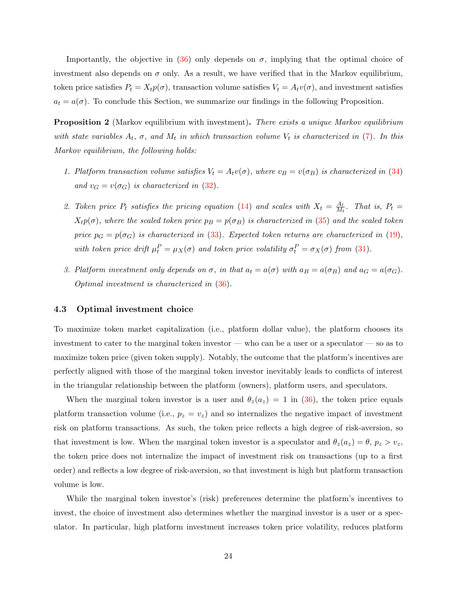Importantly, the objective in [\(36\)](#page-23-4) only depends on  $\sigma$ , implying that the optimal choice of investment also depends on  $\sigma$  only. As a result, we have verified that in the Markov equilibrium, token price satisfies  $P_t = X_t p(\sigma)$ , transaction volume satisfies  $V_t = A_t v(\sigma)$ , and investment satisfies  $a_t = a(\sigma)$ . To conclude this Section, we summarize our findings in the following Proposition.

<span id="page-24-0"></span>**Proposition 2** (Markov equilibrium with investment). There exists a unique Markov equilibrium with state variables  $A_t$ ,  $\sigma$ , and  $M_t$  in which transaction volume  $V_t$  is characterized in [\(7\)](#page-9-3). In this Markov equilibrium, the following holds:

- 1. Platform transaction volume satisfies  $V_t = A_t v(\sigma)$ , where  $v_B = v(\sigma_B)$  is characterized in [\(34\)](#page-23-2) and  $v_G = v(\sigma_G)$  is characterized in [\(32\)](#page-23-0).
- 2. Token price  $P_t$  satisfies the pricing equation [\(14\)](#page-11-4) and scales with  $X_t = \frac{A_t}{M_t}$  $\frac{A_t}{M_t}$ . That is,  $P_t =$  $X_t p(\sigma)$ , where the scaled token price  $p_B = p(\sigma_B)$  is characterized in [\(35\)](#page-23-3) and the scaled token price  $p_G = p(\sigma_G)$  is characterized in [\(33\)](#page-23-1). Expected token returns are characterized in [\(19\)](#page-13-1), with token price drift  $\mu_t^P = \mu_X(\sigma)$  and token price volatility  $\sigma_t^P = \sigma_X(\sigma)$  from [\(31\)](#page-23-5).
- 3. Platform investment only depends on  $\sigma$ , in that  $a_t = a(\sigma)$  with  $a_B = a(\sigma_B)$  and  $a_G = a(\sigma_G)$ . Optimal investment is characterized in [\(36\)](#page-23-4).

### 4.3 Optimal investment choice

To maximize token market capitalization (i.e., platform dollar value), the platform chooses its investment to cater to the marginal token investor — who can be a user or a speculator — so as to maximize token price (given token supply). Notably, the outcome that the platform's incentives are perfectly aligned with those of the marginal token investor inevitably leads to conflicts of interest in the triangular relationship between the platform (owners), platform users, and speculators.

When the marginal token investor is a user and  $\theta_z(a_z) = 1$  in [\(36\)](#page-23-4), the token price equals platform transaction volume (i.e.,  $p_z = v_z$ ) and so internalizes the negative impact of investment risk on platform transactions. As such, the token price reflects a high degree of risk-aversion, so that investment is low. When the marginal token investor is a speculator and  $\theta_z(a_z) = \theta$ ,  $p_z > v_z$ , the token price does not internalize the impact of investment risk on transactions (up to a first order) and reflects a low degree of risk-aversion, so that investment is high but platform transaction volume is low.

While the marginal token investor's (risk) preferences determine the platform's incentives to invest, the choice of investment also determines whether the marginal investor is a user or a speculator. In particular, high platform investment increases token price volatility, reduces platform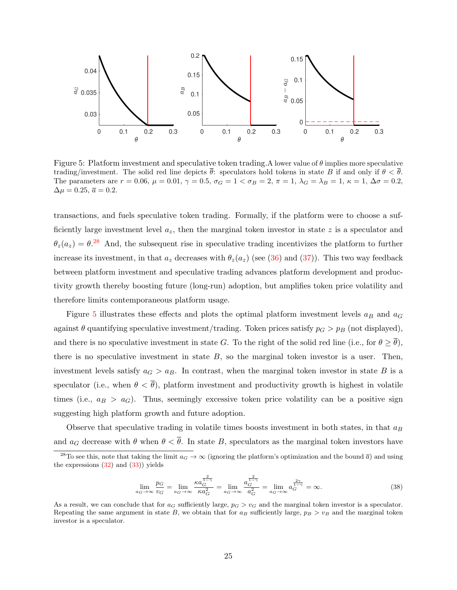<span id="page-25-1"></span>

Figure 5: Platform investment and speculative token trading. A lower value of  $\theta$  implies more speculative trading/investment. The solid red line depicts  $\bar{\theta}$ : speculators hold tokens in state B if and only if  $\theta < \bar{\theta}$ . The parameters are  $r = 0.06$ ,  $\mu = 0.01$ ,  $\gamma = 0.5$ ,  $\sigma_G = 1 < \sigma_B = 2$ ,  $\pi = 1$ ,  $\lambda_G = \lambda_B = 1$ ,  $\kappa = 1$ ,  $\Delta \sigma = 0.2$ ,  $\Delta \mu = 0.25, \overline{a} = 0.2.$ 

transactions, and fuels speculative token trading. Formally, if the platform were to choose a sufficiently large investment level  $a_z$ , then the marginal token investor in state z is a speculator and  $\theta_z(a_z) = \theta^{28}$  $\theta_z(a_z) = \theta^{28}$  $\theta_z(a_z) = \theta^{28}$  And, the subsequent rise in speculative trading incentivizes the platform to further increase its investment, in that  $a_z$  decreases with  $\theta_z(a_z)$  (see [\(36\)](#page-23-4) and [\(37\)](#page-23-6)). This two way feedback between platform investment and speculative trading advances platform development and productivity growth thereby boosting future (long-run) adoption, but amplifies token price volatility and therefore limits contemporaneous platform usage.

Figure [5](#page-25-1) illustrates these effects and plots the optimal platform investment levels  $a_B$  and  $a_G$ against  $\theta$  quantifying speculative investment/trading. Token prices satisfy  $p_G > p_B$  (not displayed), and there is no speculative investment in state G. To the right of the solid red line (i.e., for  $\theta \ge \theta$ ), there is no speculative investment in state  $B$ , so the marginal token investor is a user. Then, investment levels satisfy  $a_G > a_B$ . In contrast, when the marginal token investor in state B is a speculator (i.e., when  $\theta < \overline{\theta}$ ), platform investment and productivity growth is highest in volatile times (i.e.,  $a_B > a_G$ ). Thus, seemingly excessive token price volatility can be a positive sign suggesting high platform growth and future adoption.

Observe that speculative trading in volatile times boosts investment in both states, in that  $a_B$ and  $a_G$  decrease with  $\theta$  when  $\theta < \overline{\theta}$ . In state B, speculators as the marginal token investors have

$$
\lim_{a_G \to \infty} \frac{p_G}{v_G} = \lim_{a_G \to \infty} \frac{\kappa a_G^{\frac{2}{1-\gamma}}}{\kappa a_G^2} = \lim_{a_G \to \infty} \frac{a_G^{\frac{2}{1-\gamma}}}{a_G^2} = \lim_{a_G \to \infty} a_G^{\frac{2\gamma}{1-\gamma}} = \infty.
$$
\n(38)

<span id="page-25-0"></span><sup>&</sup>lt;sup>28</sup>To see this, note that taking the limit  $a_G \to \infty$  (ignoring the platform's optimization and the bound  $\overline{a}$ ) and using the expressions  $(32)$  and  $(33)$ ) yields

As a result, we can conclude that for  $a_G$  sufficiently large,  $p_G > v_G$  and the marginal token investor is a speculator. Repeating the same argument in state B, we obtain that for  $a_B$  sufficiently large,  $p_B > v_B$  and the marginal token investor is a speculator.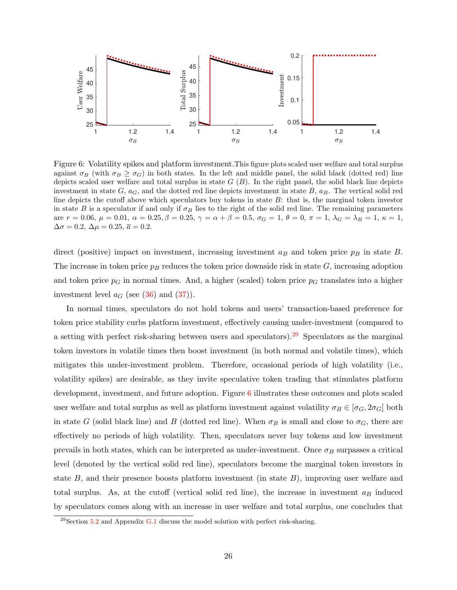<span id="page-26-1"></span>

Figure 6: Volatility spikes and platform investment.This figure plots scaled user welfare and total surplus against  $\sigma_B$  (with  $\sigma_B \geq \sigma_G$ ) in both states. In the left and middle panel, the solid black (dotted red) line depicts scaled user welfare and total surplus in state  $G(B)$ . In the right panel, the solid black line depicts investment in state  $G, a_G$ , and the dotted red line depicts investment in state  $B, a_B$ . The vertical solid red line depicts the cutoff above which speculators buy tokens in state  $B$ : that is, the marginal token investor in state B is a speculator if and only if  $\sigma_B$  lies to the right of the solid red line. The remaining parameters are  $r = 0.06$ ,  $\mu = 0.01$ ,  $\alpha = 0.25$ ,  $\beta = 0.25$ ,  $\gamma = \alpha + \beta = 0.5$ ,  $\sigma_G = 1$ ,  $\theta = 0$ ,  $\pi = 1$ ,  $\lambda_G = \lambda_B = 1$ ,  $\kappa = 1$ ,  $\Delta \sigma = 0.2$ ,  $\Delta \mu = 0.25$ ,  $\overline{a} = 0.2$ .

direct (positive) impact on investment, increasing investment  $a_B$  and token price  $p_B$  in state B. The increase in token price  $p_B$  reduces the token price downside risk in state  $G$ , increasing adoption and token price  $p<sub>G</sub>$  in normal times. And, a higher (scaled) token price  $p<sub>G</sub>$  translates into a higher investment level  $a_G$  (see [\(36\)](#page-23-4) and [\(37\)](#page-23-6)).

In normal times, speculators do not hold tokens and users' transaction-based preference for token price stability curbs platform investment, effectively causing under-investment (compared to a setting with perfect risk-sharing between users and speculators).[29](#page-26-0) Speculators as the marginal token investors in volatile times then boost investment (in both normal and volatile times), which mitigates this under-investment problem. Therefore, occasional periods of high volatility (i.e., volatility spikes) are desirable, as they invite speculative token trading that stimulates platform development, investment, and future adoption. Figure [6](#page-26-1) illustrates these outcomes and plots scaled user welfare and total surplus as well as platform investment against volatility  $\sigma_B \in [\sigma_G, 2\sigma_G]$  both in state G (solid black line) and B (dotted red line). When  $\sigma_B$  is small and close to  $\sigma_G$ , there are effectively no periods of high volatility. Then, speculators never buy tokens and low investment prevails in both states, which can be interpreted as under-investment. Once  $\sigma_B$  surpasses a critical level (denoted by the vertical solid red line), speculators become the marginal token investors in state  $B$ , and their presence boosts platform investment (in state  $B$ ), improving user welfare and total surplus. As, at the cutoff (vertical solid red line), the increase in investment  $a_B$  induced by speculators comes along with an increase in user welfare and total surplus, one concludes that

<span id="page-26-0"></span> $^{29}$ Section [5.2](#page-33-0) and Appendix [G.1](#page-54-1) discuss the model solution with perfect risk-sharing.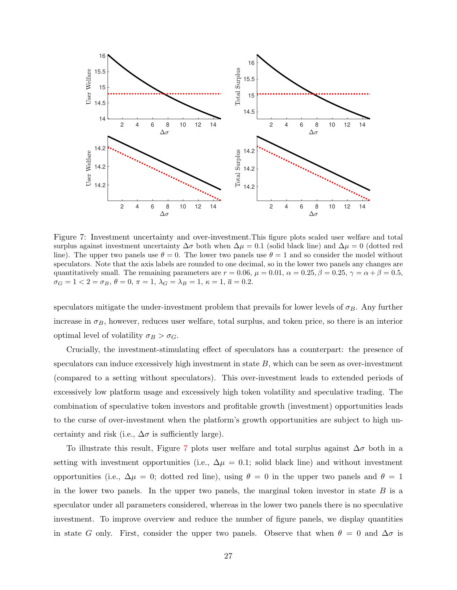<span id="page-27-0"></span>

Figure 7: Investment uncertainty and over-investment.This figure plots scaled user welfare and total surplus against investment uncertainty  $\Delta \sigma$  both when  $\Delta \mu = 0.1$  (solid black line) and  $\Delta \mu = 0$  (dotted red line). The upper two panels use  $\theta = 0$ . The lower two panels use  $\theta = 1$  and so consider the model without speculators. Note that the axis labels are rounded to one decimal, so in the lower two panels any changes are quantitatively small. The remaining parameters are  $r = 0.06$ ,  $\mu = 0.01$ ,  $\alpha = 0.25$ ,  $\beta = 0.25$ ,  $\gamma = \alpha + \beta = 0.5$ ,  $\sigma_G = 1 < 2 = \sigma_B, \, \theta = 0, \, \pi = 1, \, \lambda_G = \lambda_B = 1, \, \kappa = 1, \, \overline{a} = 0.2.$ 

speculators mitigate the under-investment problem that prevails for lower levels of  $\sigma_B$ . Any further increase in  $\sigma_B$ , however, reduces user welfare, total surplus, and token price, so there is an interior optimal level of volatility  $\sigma_B > \sigma_G$ .

Crucially, the investment-stimulating effect of speculators has a counterpart: the presence of speculators can induce excessively high investment in state  $B$ , which can be seen as over-investment (compared to a setting without speculators). This over-investment leads to extended periods of excessively low platform usage and excessively high token volatility and speculative trading. The combination of speculative token investors and profitable growth (investment) opportunities leads to the curse of over-investment when the platform's growth opportunities are subject to high uncertainty and risk (i.e.,  $\Delta \sigma$  is sufficiently large).

To illustrate this result, Figure [7](#page-27-0) plots user welfare and total surplus against  $\Delta \sigma$  both in a setting with investment opportunities (i.e.,  $\Delta \mu = 0.1$ ; solid black line) and without investment opportunities (i.e.,  $\Delta \mu = 0$ ; dotted red line), using  $\theta = 0$  in the upper two panels and  $\theta = 1$ in the lower two panels. In the upper two panels, the marginal token investor in state  $B$  is a speculator under all parameters considered, whereas in the lower two panels there is no speculative investment. To improve overview and reduce the number of figure panels, we display quantities in state G only. First, consider the upper two panels. Observe that when  $\theta = 0$  and  $\Delta \sigma$  is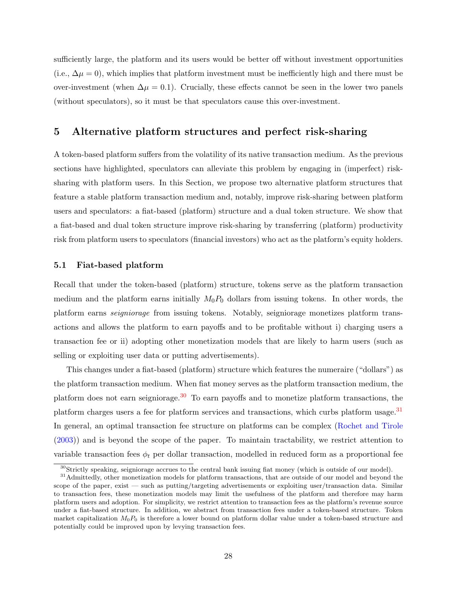sufficiently large, the platform and its users would be better off without investment opportunities (i.e.,  $\Delta \mu = 0$ ), which implies that platform investment must be inefficiently high and there must be over-investment (when  $\Delta \mu = 0.1$ ). Crucially, these effects cannot be seen in the lower two panels (without speculators), so it must be that speculators cause this over-investment.

# 5 Alternative platform structures and perfect risk-sharing

A token-based platform suffers from the volatility of its native transaction medium. As the previous sections have highlighted, speculators can alleviate this problem by engaging in (imperfect) risksharing with platform users. In this Section, we propose two alternative platform structures that feature a stable platform transaction medium and, notably, improve risk-sharing between platform users and speculators: a fiat-based (platform) structure and a dual token structure. We show that a fiat-based and dual token structure improve risk-sharing by transferring (platform) productivity risk from platform users to speculators (financial investors) who act as the platform's equity holders.

### <span id="page-28-2"></span>5.1 Fiat-based platform

Recall that under the token-based (platform) structure, tokens serve as the platform transaction medium and the platform earns initially  $M_0P_0$  dollars from issuing tokens. In other words, the platform earns seigniorage from issuing tokens. Notably, seigniorage monetizes platform transactions and allows the platform to earn payoffs and to be profitable without i) charging users a transaction fee or ii) adopting other monetization models that are likely to harm users (such as selling or exploiting user data or putting advertisements).

This changes under a fiat-based (platform) structure which features the numeraire ("dollars") as the platform transaction medium. When fiat money serves as the platform transaction medium, the platform does not earn seigniorage.<sup>[30](#page-28-0)</sup> To earn payoffs and to monetize platform transactions, the platform charges users a fee for platform services and transactions, which curbs platform usage.<sup>[31](#page-28-1)</sup> In general, an optimal transaction fee structure on platforms can be complex [\(Rochet and Tirole](#page-42-18) [\(2003\)](#page-42-18)) and is beyond the scope of the paper. To maintain tractability, we restrict attention to variable transaction fees  $\phi_t$  per dollar transaction, modelled in reduced form as a proportional fee

<span id="page-28-1"></span><span id="page-28-0"></span><sup>&</sup>lt;sup>30</sup>Strictly speaking, seigniorage accrues to the central bank issuing fiat money (which is outside of our model).

<sup>&</sup>lt;sup>31</sup>Admittedly, other monetization models for platform transactions, that are outside of our model and beyond the scope of the paper, exist — such as putting/targeting advertisements or exploiting user/transaction data. Similar to transaction fees, these monetization models may limit the usefulness of the platform and therefore may harm platform users and adoption. For simplicity, we restrict attention to transaction fees as the platform's revenue source under a fiat-based structure. In addition, we abstract from transaction fees under a token-based structure. Token market capitalization  $M_0P_0$  is therefore a lower bound on platform dollar value under a token-based structure and potentially could be improved upon by levying transaction fees.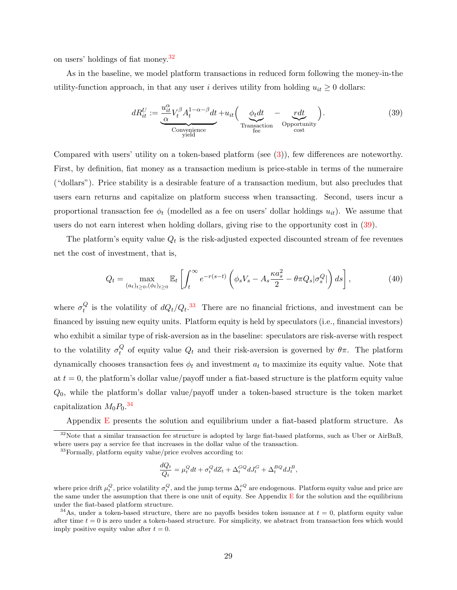on users' holdings of fiat money.[32](#page-29-0)

As in the baseline, we model platform transactions in reduced form following the money-in-the utility-function approach, in that any user i derives utility from holding  $u_{it} \geq 0$  dollars:

<span id="page-29-1"></span>
$$
dR_{it}^U := \underbrace{\frac{u_{it}^{\alpha}}{\alpha} V_t^{\beta} A_t^{1-\alpha-\beta} dt}_{\text{Convenience}} + u_{it} \left( \underbrace{\phi_t dt}_{\text{Transaction}} - \underbrace{r dt}_{\text{opportunity}} \right). \tag{39}
$$

Compared with users' utility on a token-based platform (see [\(3\)](#page-7-3)), few differences are noteworthy. First, by definition, fiat money as a transaction medium is price-stable in terms of the numeraire ("dollars"). Price stability is a desirable feature of a transaction medium, but also precludes that users earn returns and capitalize on platform success when transacting. Second, users incur a proportional transaction fee  $\phi_t$  (modelled as a fee on users' dollar holdings  $u_{it}$ ). We assume that users do not earn interest when holding dollars, giving rise to the opportunity cost in [\(39\)](#page-29-1).

The platform's equity value  $Q_t$  is the risk-adjusted expected discounted stream of fee revenues net the cost of investment, that is,

<span id="page-29-4"></span>
$$
Q_t = \max_{(a_t)_{t \ge 0, (\phi_t)_{t \ge 0}} \mathbb{E}_t \left[ \int_t^{\infty} e^{-r(s-t)} \left( \phi_s V_s - A_s \frac{\kappa a_s^2}{2} - \theta \pi Q_s |\sigma_s^Q| \right) ds \right],
$$
 (40)

where  $\sigma_t^Q$  $\epsilon_t^Q$  is the volatility of  $dQ_t/Q_t$ .<sup>[33](#page-29-2)</sup> There are no financial frictions, and investment can be financed by issuing new equity units. Platform equity is held by speculators (i.e., financial investors) who exhibit a similar type of risk-aversion as in the baseline: speculators are risk-averse with respect to the volatility  $\sigma_t^Q$ <sup> $Q_t$ </sup> of equity value  $Q_t$  and their risk-aversion is governed by θπ. The platform dynamically chooses transaction fees  $\phi_t$  and investment  $a_t$  to maximize its equity value. Note that at  $t = 0$ , the platform's dollar value/payoff under a fiat-based structure is the platform equity value  $Q_0$ , while the platform's dollar value/payoff under a token-based structure is the token market capitalization  $M_0 P_0$ .<sup>[34](#page-29-3)</sup>

<span id="page-29-0"></span>Appendix  $E$  presents the solution and equilibrium under a fiat-based platform structure. As

$$
\frac{dQ_t}{Q_t} = \mu_t^Q dt + \sigma_t^Q dZ_t + \Delta_t^{GQ} dJ_t^G + \Delta_t^{BQ} dJ_t^B,
$$

 $32$ Note that a similar transaction fee structure is adopted by large fiat-based platforms, such as Uber or AirBnB, where users pay a service fee that increases in the dollar value of the transaction.

<span id="page-29-2"></span> $33$ Formally, platform equity value/price evolves according to:

where price drift  $\mu_t^Q$ , price volatility  $\sigma_t^Q$ , and the jump terms  $\Delta_t^{zQ}$  are endogenous. Platform equity value and price are the same under the assumption that there is one unit of equity. See Appendix  $E$  for the solution and the equilibrium under the fiat-based platform structure.

<span id="page-29-3"></span> $34\text{As}$ , under a token-based structure, there are no payoffs besides token issuance at  $t = 0$ , platform equity value after time  $t = 0$  is zero under a token-based structure. For simplicity, we abstract from transaction fees which would imply positive equity value after  $t = 0$ .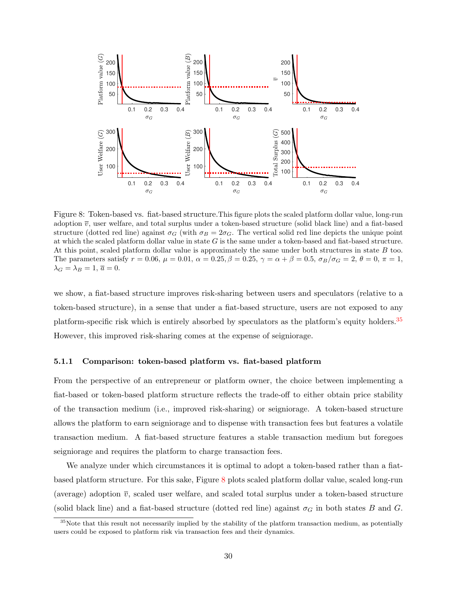<span id="page-30-1"></span>

Figure 8: Token-based vs. fiat-based structure.This figure plots the scaled platform dollar value, long-run adoption  $\overline{v}$ , user welfare, and total surplus under a token-based structure (solid black line) and a fiat-based structure (dotted red line) against  $\sigma_G$  (with  $\sigma_B = 2\sigma_G$ . The vertical solid red line depicts the unique point at which the scaled platform dollar value in state  $G$  is the same under a token-based and fiat-based structure. At this point, scaled platform dollar value is approximately the same under both structures in state B too. The parameters satisfy  $r = 0.06$ ,  $\mu = 0.01$ ,  $\alpha = 0.25$ ,  $\beta = 0.25$ ,  $\gamma = \alpha + \beta = 0.5$ ,  $\sigma_B/\sigma_G = 2$ ,  $\theta = 0$ ,  $\pi = 1$ ,  $\lambda_G = \lambda_B = 1, \overline{a} = 0.$ 

we show, a fiat-based structure improves risk-sharing between users and speculators (relative to a token-based structure), in a sense that under a fiat-based structure, users are not exposed to any platform-specific risk which is entirely absorbed by speculators as the platform's equity holders.[35](#page-30-0) However, this improved risk-sharing comes at the expense of seigniorage.

#### 5.1.1 Comparison: token-based platform vs. fiat-based platform

From the perspective of an entrepreneur or platform owner, the choice between implementing a fiat-based or token-based platform structure reflects the trade-off to either obtain price stability of the transaction medium (i.e., improved risk-sharing) or seigniorage. A token-based structure allows the platform to earn seigniorage and to dispense with transaction fees but features a volatile transaction medium. A fiat-based structure features a stable transaction medium but foregoes seigniorage and requires the platform to charge transaction fees.

We analyze under which circumstances it is optimal to adopt a token-based rather than a fiatbased platform structure. For this sake, Figure [8](#page-30-1) plots scaled platform dollar value, scaled long-run (average) adoption  $\overline{v}$ , scaled user welfare, and scaled total surplus under a token-based structure (solid black line) and a fiat-based structure (dotted red line) against  $\sigma_G$  in both states B and G.

<span id="page-30-0"></span> $35$ Note that this result not necessarily implied by the stability of the platform transaction medium, as potentially users could be exposed to platform risk via transaction fees and their dynamics.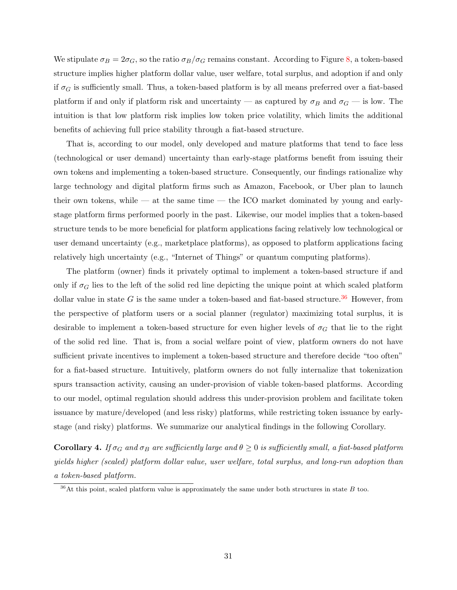We stipulate  $\sigma_B = 2\sigma_G$ , so the ratio  $\sigma_B/\sigma_G$  remains constant. According to Figure [8,](#page-30-1) a token-based structure implies higher platform dollar value, user welfare, total surplus, and adoption if and only if  $\sigma_G$  is sufficiently small. Thus, a token-based platform is by all means preferred over a fiat-based platform if and only if platform risk and uncertainty — as captured by  $\sigma_B$  and  $\sigma_G$  — is low. The intuition is that low platform risk implies low token price volatility, which limits the additional benefits of achieving full price stability through a fiat-based structure.

That is, according to our model, only developed and mature platforms that tend to face less (technological or user demand) uncertainty than early-stage platforms benefit from issuing their own tokens and implementing a token-based structure. Consequently, our findings rationalize why large technology and digital platform firms such as Amazon, Facebook, or Uber plan to launch their own tokens, while — at the same time — the ICO market dominated by young and earlystage platform firms performed poorly in the past. Likewise, our model implies that a token-based structure tends to be more beneficial for platform applications facing relatively low technological or user demand uncertainty (e.g., marketplace platforms), as opposed to platform applications facing relatively high uncertainty (e.g., "Internet of Things" or quantum computing platforms).

The platform (owner) finds it privately optimal to implement a token-based structure if and only if  $\sigma_G$  lies to the left of the solid red line depicting the unique point at which scaled platform dollar value in state G is the same under a token-based and fiat-based structure.<sup>[36](#page-31-0)</sup> However, from the perspective of platform users or a social planner (regulator) maximizing total surplus, it is desirable to implement a token-based structure for even higher levels of  $\sigma_G$  that lie to the right of the solid red line. That is, from a social welfare point of view, platform owners do not have sufficient private incentives to implement a token-based structure and therefore decide "too often" for a fiat-based structure. Intuitively, platform owners do not fully internalize that tokenization spurs transaction activity, causing an under-provision of viable token-based platforms. According to our model, optimal regulation should address this under-provision problem and facilitate token issuance by mature/developed (and less risky) platforms, while restricting token issuance by earlystage (and risky) platforms. We summarize our analytical findings in the following Corollary.

<span id="page-31-1"></span>Corollary 4. If  $\sigma_G$  and  $\sigma_B$  are sufficiently large and  $\theta \geq 0$  is sufficiently small, a fiat-based platform yields higher (scaled) platform dollar value, user welfare, total surplus, and long-run adoption than a token-based platform.

<span id="page-31-0"></span> $36$ At this point, scaled platform value is approximately the same under both structures in state B too.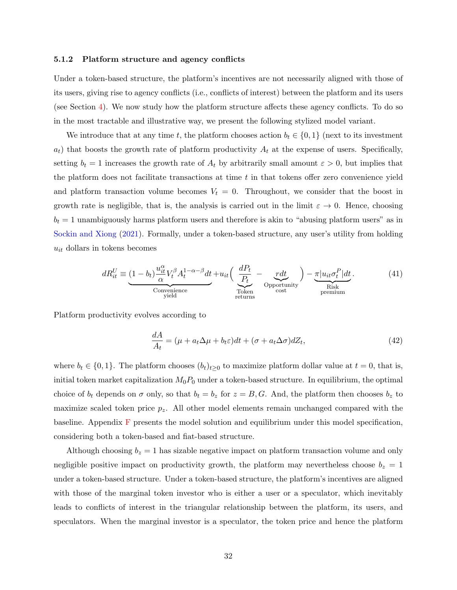#### <span id="page-32-0"></span>5.1.2 Platform structure and agency conflicts

Under a token-based structure, the platform's incentives are not necessarily aligned with those of its users, giving rise to agency conflicts (i.e., conflicts of interest) between the platform and its users (see Section [4\)](#page-21-0). We now study how the platform structure affects these agency conflicts. To do so in the most tractable and illustrative way, we present the following stylized model variant.

We introduce that at any time t, the platform chooses action  $b_t \in \{0,1\}$  (next to its investment  $a_t$ ) that boosts the growth rate of platform productivity  $A_t$  at the expense of users. Specifically, setting  $b_t = 1$  increases the growth rate of  $A_t$  by arbitrarily small amount  $\varepsilon > 0$ , but implies that the platform does not facilitate transactions at time  $t$  in that tokens offer zero convenience yield and platform transaction volume becomes  $V_t = 0$ . Throughout, we consider that the boost in growth rate is negligible, that is, the analysis is carried out in the limit  $\varepsilon \to 0$ . Hence, choosing  $b_t = 1$  unambiguously harms platform users and therefore is akin to "abusing platform users" as in [Sockin and Xiong](#page-42-3) [\(2021\)](#page-42-3). Formally, under a token-based structure, any user's utility from holding  $u_{it}$  dollars in tokens becomes

<span id="page-32-1"></span>
$$
dR_{it}^U \equiv \underbrace{(1-b_t)\frac{u_{it}^{\alpha}}{\alpha}V_t^{\beta}A_t^{1-\alpha-\beta}dt}_{\text{Convenience}} + u_{it}\left(\underbrace{\frac{dP_t}{P_t}}_{\text{Token}} - \underbrace{rdt}_{\text{Opportunity}}\right) - \underbrace{\pi|u_{it}\sigma_t^P|dt}_{\text{Risk}}.
$$
\n
$$
(41)
$$

Platform productivity evolves according to

<span id="page-32-2"></span>
$$
\frac{dA}{A_t} = (\mu + a_t \Delta \mu + b_t \varepsilon) dt + (\sigma + a_t \Delta \sigma) dZ_t,
$$
\n(42)

where  $b_t \in \{0, 1\}$ . The platform chooses  $(b_t)_{t\geq 0}$  to maximize platform dollar value at  $t = 0$ , that is, initial token market capitalization  $M_0P_0$  under a token-based structure. In equilibrium, the optimal choice of  $b_t$  depends on  $\sigma$  only, so that  $b_t = b_z$  for  $z = B, G$ . And, the platform then chooses  $b_z$  to maximize scaled token price  $p_z$ . All other model elements remain unchanged compared with the baseline. Appendix [F](#page-48-0) presents the model solution and equilibrium under this model specification, considering both a token-based and fiat-based structure.

Although choosing  $b_z = 1$  has sizable negative impact on platform transaction volume and only negligible positive impact on productivity growth, the platform may nevertheless choose  $b_z = 1$ under a token-based structure. Under a token-based structure, the platform's incentives are aligned with those of the marginal token investor who is either a user or a speculator, which inevitably leads to conflicts of interest in the triangular relationship between the platform, its users, and speculators. When the marginal investor is a speculator, the token price and hence the platform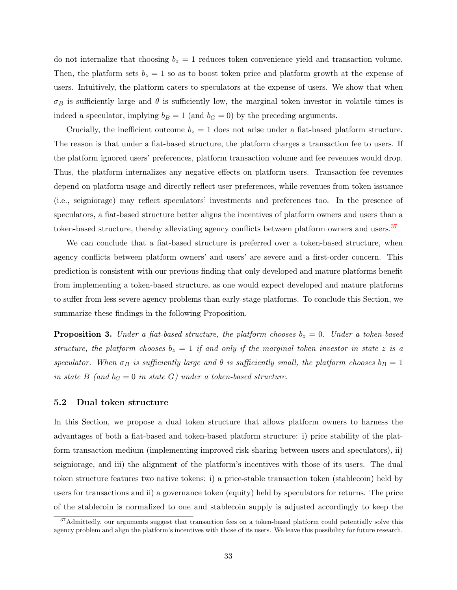do not internalize that choosing  $b_z = 1$  reduces token convenience yield and transaction volume. Then, the platform sets  $b_z = 1$  so as to boost token price and platform growth at the expense of users. Intuitively, the platform caters to speculators at the expense of users. We show that when  $\sigma_B$  is sufficiently large and  $\theta$  is sufficiently low, the marginal token investor in volatile times is indeed a speculator, implying  $b_B = 1$  (and  $b_G = 0$ ) by the preceding arguments.

Crucially, the inefficient outcome  $b_z = 1$  does not arise under a fiat-based platform structure. The reason is that under a fiat-based structure, the platform charges a transaction fee to users. If the platform ignored users' preferences, platform transaction volume and fee revenues would drop. Thus, the platform internalizes any negative effects on platform users. Transaction fee revenues depend on platform usage and directly reflect user preferences, while revenues from token issuance (i.e., seigniorage) may reflect speculators' investments and preferences too. In the presence of speculators, a fiat-based structure better aligns the incentives of platform owners and users than a token-based structure, thereby alleviating agency conflicts between platform owners and users.<sup>[37](#page-33-1)</sup>

We can conclude that a fiat-based structure is preferred over a token-based structure, when agency conflicts between platform owners' and users' are severe and a first-order concern. This prediction is consistent with our previous finding that only developed and mature platforms benefit from implementing a token-based structure, as one would expect developed and mature platforms to suffer from less severe agency problems than early-stage platforms. To conclude this Section, we summarize these findings in the following Proposition.

<span id="page-33-2"></span>**Proposition 3.** Under a fiat-based structure, the platform chooses  $b_z = 0$ . Under a token-based structure, the platform chooses  $b_z = 1$  if and only if the marginal token investor in state z is a speculator. When  $\sigma_B$  is sufficiently large and  $\theta$  is sufficiently small, the platform chooses  $b_B = 1$ in state  $B$  (and  $b_G = 0$  in state G) under a token-based structure.

### <span id="page-33-0"></span>5.2 Dual token structure

In this Section, we propose a dual token structure that allows platform owners to harness the advantages of both a fiat-based and token-based platform structure: i) price stability of the platform transaction medium (implementing improved risk-sharing between users and speculators), ii) seigniorage, and iii) the alignment of the platform's incentives with those of its users. The dual token structure features two native tokens: i) a price-stable transaction token (stablecoin) held by users for transactions and ii) a governance token (equity) held by speculators for returns. The price of the stablecoin is normalized to one and stablecoin supply is adjusted accordingly to keep the

<span id="page-33-1"></span><sup>&</sup>lt;sup>37</sup>Admittedly, our arguments suggest that transaction fees on a token-based platform could potentially solve this agency problem and align the platform's incentives with those of its users. We leave this possibility for future research.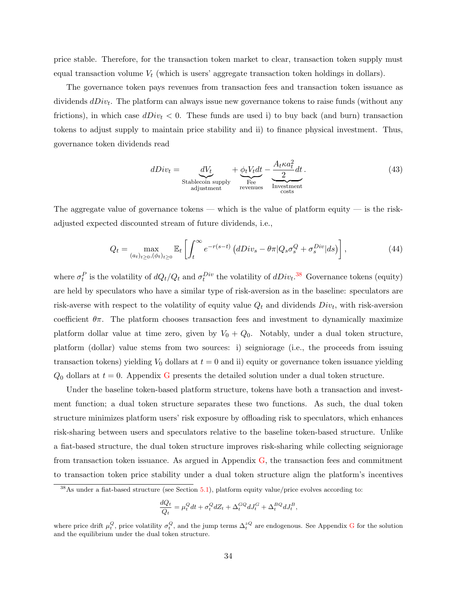price stable. Therefore, for the transaction token market to clear, transaction token supply must equal transaction volume  $V_t$  (which is users' aggregate transaction token holdings in dollars).

The governance token pays revenues from transaction fees and transaction token issuance as dividends  $dDiv_t$ . The platform can always issue new governance tokens to raise funds (without any frictions), in which case  $dDiv_t < 0$ . These funds are used i) to buy back (and burn) transaction tokens to adjust supply to maintain price stability and ii) to finance physical investment. Thus, governance token dividends read

<span id="page-34-1"></span>
$$
dDiv_t = \underbrace{dV_t}_{\text{Stablecoin supply}} + \underbrace{\phi_t V_t dt}_{\text{Free}} - \underbrace{\frac{A_t \kappa a_t^2}{2} dt}_{\text{Investment}}.
$$
\n(43)

The aggregate value of governance tokens — which is the value of platform equity — is the riskadjusted expected discounted stream of future dividends, i.e.,

<span id="page-34-2"></span>
$$
Q_t = \max_{(a_t)_{t \ge 0}, (\phi_t)_{t \ge 0}} \mathbb{E}_t \left[ \int_t^{\infty} e^{-r(s-t)} \left( dDiv_s - \theta \pi | Q_s \sigma_s^Q + \sigma_s^{Div} | ds \right) \right], \tag{44}
$$

where  $\sigma_t^P$  is the volatility of  $dQ_t/Q_t$  and  $\sigma_t^{Div}$  the volatility of  $dDiv_t$ <sup>[38](#page-34-0)</sup> Governance tokens (equity) are held by speculators who have a similar type of risk-aversion as in the baseline: speculators are risk-averse with respect to the volatility of equity value  $Q_t$  and dividends  $Div_t$ , with risk-aversion coefficient  $\theta \pi$ . The platform chooses transaction fees and investment to dynamically maximize platform dollar value at time zero, given by  $V_0 + Q_0$ . Notably, under a dual token structure, platform (dollar) value stems from two sources: i) seigniorage (i.e., the proceeds from issuing transaction tokens) yielding  $V_0$  dollars at  $t = 0$  and ii) equity or governance token issuance yielding  $Q_0$  dollars at  $t = 0$ . Appendix [G](#page-51-0) presents the detailed solution under a dual token structure.

Under the baseline token-based platform structure, tokens have both a transaction and investment function; a dual token structure separates these two functions. As such, the dual token structure minimizes platform users' risk exposure by offloading risk to speculators, which enhances risk-sharing between users and speculators relative to the baseline token-based structure. Unlike a fiat-based structure, the dual token structure improves risk-sharing while collecting seigniorage from transaction token issuance. As argued in Appendix [G,](#page-51-0) the transaction fees and commitment to transaction token price stability under a dual token structure align the platform's incentives

$$
\frac{dQ_t}{Q_t} = \mu_t^Q dt + \sigma_t^Q dZ_t + \Delta_t^{GQ} dJ_t^G + \Delta_t^{BQ} dJ_t^B,
$$

<span id="page-34-0"></span><sup>&</sup>lt;sup>38</sup>As under a fiat-based structure (see Section [5.1\)](#page-28-2), platform equity value/price evolves according to:

where price drift  $\mu_t^Q$ , price volatility  $\sigma_t^Q$ , and the jump terms  $\Delta_t^{zQ}$  are endogenous. See Appendix [G](#page-51-0) for the solution and the equilibrium under the dual token structure.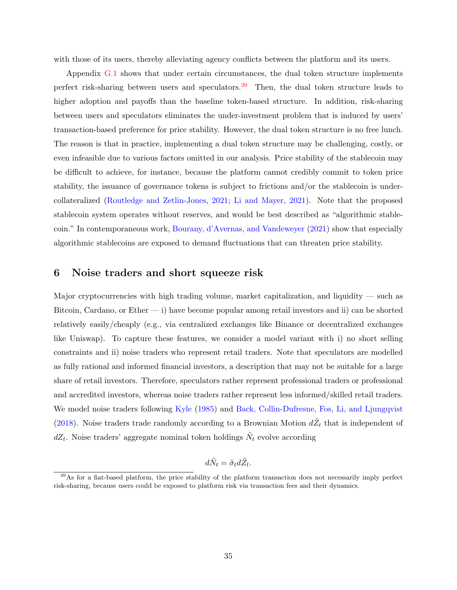with those of its users, thereby alleviating agency conflicts between the platform and its users.

Appendix [G.1](#page-54-1) shows that under certain circumstances, the dual token structure implements perfect risk-sharing between users and speculators.[39](#page-35-1) Then, the dual token structure leads to higher adoption and payoffs than the baseline token-based structure. In addition, risk-sharing between users and speculators eliminates the under-investment problem that is induced by users' transaction-based preference for price stability. However, the dual token structure is no free lunch. The reason is that in practice, implementing a dual token structure may be challenging, costly, or even infeasible due to various factors omitted in our analysis. Price stability of the stablecoin may be difficult to achieve, for instance, because the platform cannot credibly commit to token price stability, the issuance of governance tokens is subject to frictions and/or the stablecoin is undercollateralized [\(Routledge and Zetlin-Jones,](#page-42-19) [2021;](#page-42-19) [Li and Mayer,](#page-41-17) [2021\)](#page-41-17). Note that the proposed stablecoin system operates without reserves, and would be best described as "algorithmic stablecoin." In contemporaneous work, [Bourany, d'Avernas, and Vandeweyer](#page-39-17) [\(2021\)](#page-39-17) show that especially algorithmic stablecoins are exposed to demand fluctuations that can threaten price stability.

# <span id="page-35-0"></span>6 Noise traders and short squeeze risk

Major cryptocurrencies with high trading volume, market capitalization, and liquidity  $-$  such as Bitcoin, Cardano, or  $E$ ther  $- i$ ) have become popular among retail investors and ii) can be shorted relatively easily/cheaply (e.g., via centralized exchanges like Binance or decentralized exchanges like Uniswap). To capture these features, we consider a model variant with i) no short selling constraints and ii) noise traders who represent retail traders. Note that speculators are modelled as fully rational and informed financial investors, a description that may not be suitable for a large share of retail investors. Therefore, speculators rather represent professional traders or professional and accredited investors, whereas noise traders rather represent less informed/skilled retail traders. We model noise traders following [Kyle](#page-41-18) [\(1985\)](#page-41-18) and [Back, Collin-Dufresne, Fos, Li, and Ljungqvist](#page-39-18) [\(2018\)](#page-39-18). Noise traders trade randomly according to a Brownian Motion  $d\tilde{Z}_t$  that is independent of  $dZ_t$ . Noise traders' aggregate nominal token holdings  $\tilde{N}_t$  evolve according

$$
d\tilde{N}_t = \tilde{\sigma}_t d\tilde{Z}_t.
$$

<span id="page-35-1"></span> $39\text{As}$  for a fiat-based platform, the price stability of the platform transaction does not necessarily imply perfect risk-sharing, because users could be exposed to platform risk via transaction fees and their dynamics.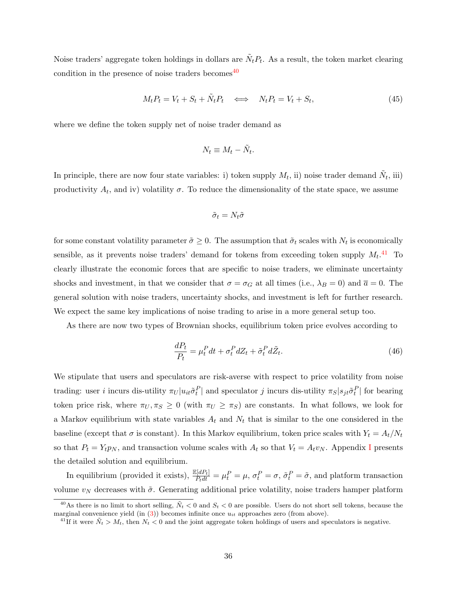Noise traders' aggregate token holdings in dollars are  $\tilde{N}_t P_t$ . As a result, the token market clearing condition in the presence of noise traders becomes  $40$ 

<span id="page-36-2"></span>
$$
M_t P_t = V_t + S_t + \tilde{N}_t P_t \iff N_t P_t = V_t + S_t,\tag{45}
$$

where we define the token supply net of noise trader demand as

$$
N_t \equiv M_t - \tilde{N}_t.
$$

In principle, there are now four state variables: i) token supply  $M_t$ , ii) noise trader demand  $\tilde{N}_t$ , iii) productivity  $A_t$ , and iv) volatility  $\sigma$ . To reduce the dimensionality of the state space, we assume

$$
\tilde{\sigma}_t = N_t \tilde{\sigma}
$$

for some constant volatility parameter  $\tilde{\sigma} \geq 0$ . The assumption that  $\tilde{\sigma}_t$  scales with  $N_t$  is economically sensible, as it prevents noise traders' demand for tokens from exceeding token supply  $M_t$ .<sup>[41](#page-36-1)</sup> To clearly illustrate the economic forces that are specific to noise traders, we eliminate uncertainty shocks and investment, in that we consider that  $\sigma = \sigma_G$  at all times (i.e.,  $\lambda_B = 0$ ) and  $\overline{a} = 0$ . The general solution with noise traders, uncertainty shocks, and investment is left for further research. We expect the same key implications of noise trading to arise in a more general setup too.

As there are now two types of Brownian shocks, equilibrium token price evolves according to

$$
\frac{dP_t}{P_t} = \mu_t^P dt + \sigma_t^P dZ_t + \tilde{\sigma}_t^P d\tilde{Z}_t.
$$
\n(46)

We stipulate that users and speculators are risk-averse with respect to price volatility from noise trading: user *i* incurs dis-utility  $\pi_U | u_{it} \tilde{\sigma}_t^P|$  and speculator *j* incurs dis-utility  $\pi_S | s_{jt} \tilde{\sigma}_t^P|$  for bearing token price risk, where  $\pi_U, \pi_S \geq 0$  (with  $\pi_U \geq \pi_S$ ) are constants. In what follows, we look for a Markov equilibrium with state variables  $A_t$  and  $N_t$  that is similar to the one considered in the baseline (except that  $\sigma$  is constant). In this Markov equilibrium, token price scales with  $Y_t = A_t/N_t$ so that  $P_t = Y_t p_N$ , and transaction volume scales with  $A_t$  so that  $V_t = A_t v_N$ . Appendix [I](#page-58-0) presents the detailed solution and equilibrium.

In equilibrium (provided it exists),  $\frac{\mathbb{E}[dP_t]}{P_tdt} = \mu_t^P = \mu$ ,  $\sigma_t^P = \sigma$ ,  $\tilde{\sigma}_t^P = \tilde{\sigma}$ , and platform transaction volume  $v_N$  decreases with  $\tilde{\sigma}$ . Generating additional price volatility, noise traders hamper platform

<span id="page-36-0"></span><sup>&</sup>lt;sup>40</sup>As there is no limit to short selling,  $\tilde{N}_t < 0$  and  $S_t < 0$  are possible. Users do not short sell tokens, because the marginal convenience yield  $(in (3))$  $(in (3))$  $(in (3))$  becomes infinite once  $u_{it}$  approaches zero (from above).

<span id="page-36-1"></span><sup>&</sup>lt;sup>41</sup>If it were  $\tilde{N}_t > M_t$ , then  $N_t < 0$  and the joint aggregate token holdings of users and speculators is negative.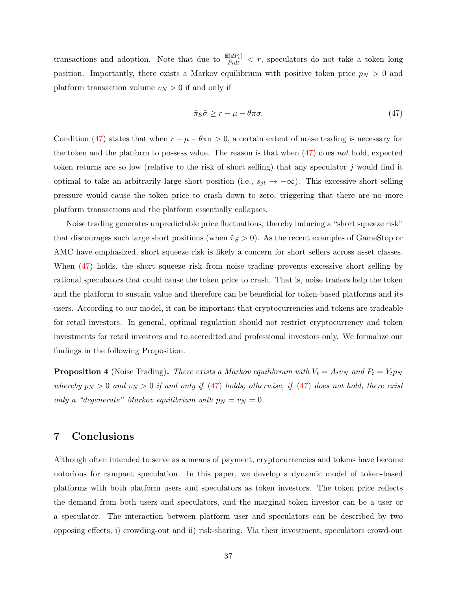transactions and adoption. Note that due to  $\frac{\mathbb{E}[dP_t]}{P_tdt} < r$ , speculators do not take a token long position. Importantly, there exists a Markov equilibrium with positive token price  $p<sub>N</sub> > 0$  and platform transaction volume  $v_N > 0$  if and only if

<span id="page-37-0"></span>
$$
\tilde{\pi}_S \tilde{\sigma} \ge r - \mu - \theta \pi \sigma. \tag{47}
$$

Condition [\(47\)](#page-37-0) states that when  $r - \mu - \theta \pi \sigma > 0$ , a certain extent of noise trading is necessary for the token and the platform to possess value. The reason is that when [\(47\)](#page-37-0) does not hold, expected token returns are so low (relative to the risk of short selling) that any speculator j would find it optimal to take an arbitrarily large short position (i.e.,  $s_{jt} \to -\infty$ ). This excessive short selling pressure would cause the token price to crash down to zero, triggering that there are no more platform transactions and the platform essentially collapses.

Noise trading generates unpredictable price fluctuations, thereby inducing a "short squeeze risk" that discourages such large short positions (when  $\tilde{\pi}_S > 0$ ). As the recent examples of GameStop or AMC have emphasized, short squeeze risk is likely a concern for short sellers across asset classes. When  $(47)$  holds, the short squeeze risk from noise trading prevents excessive short selling by rational speculators that could cause the token price to crash. That is, noise traders help the token and the platform to sustain value and therefore can be beneficial for token-based platforms and its users. According to our model, it can be important that cryptocurrencies and tokens are tradeable for retail investors. In general, optimal regulation should not restrict cryptocurrency and token investments for retail investors and to accredited and professional investors only. We formalize our findings in the following Proposition.

<span id="page-37-1"></span>**Proposition 4** (Noise Trading). There exists a Markov equilibrium with  $V_t = A_t v_N$  and  $P_t = Y_t p_N$ whereby  $p_N > 0$  and  $v_N > 0$  if and only if [\(47\)](#page-37-0) holds; otherwise, if (47) does not hold, there exist only a "degenerate" Markov equilibrium with  $p_N = v_N = 0$ .

# 7 Conclusions

Although often intended to serve as a means of payment, cryptocurrencies and tokens have become notorious for rampant speculation. In this paper, we develop a dynamic model of token-based platforms with both platform users and speculators as token investors. The token price reflects the demand from both users and speculators, and the marginal token investor can be a user or a speculator. The interaction between platform user and speculators can be described by two opposing effects, i) crowding-out and ii) risk-sharing. Via their investment, speculators crowd-out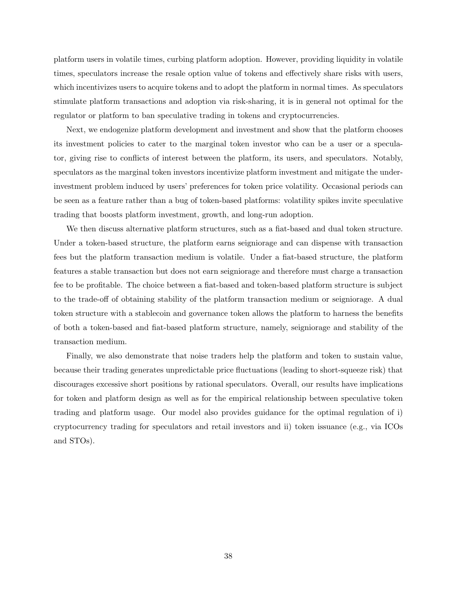platform users in volatile times, curbing platform adoption. However, providing liquidity in volatile times, speculators increase the resale option value of tokens and effectively share risks with users, which incentivizes users to acquire tokens and to adopt the platform in normal times. As speculators stimulate platform transactions and adoption via risk-sharing, it is in general not optimal for the regulator or platform to ban speculative trading in tokens and cryptocurrencies.

Next, we endogenize platform development and investment and show that the platform chooses its investment policies to cater to the marginal token investor who can be a user or a speculator, giving rise to conflicts of interest between the platform, its users, and speculators. Notably, speculators as the marginal token investors incentivize platform investment and mitigate the underinvestment problem induced by users' preferences for token price volatility. Occasional periods can be seen as a feature rather than a bug of token-based platforms: volatility spikes invite speculative trading that boosts platform investment, growth, and long-run adoption.

We then discuss alternative platform structures, such as a fiat-based and dual token structure. Under a token-based structure, the platform earns seigniorage and can dispense with transaction fees but the platform transaction medium is volatile. Under a fiat-based structure, the platform features a stable transaction but does not earn seigniorage and therefore must charge a transaction fee to be profitable. The choice between a fiat-based and token-based platform structure is subject to the trade-off of obtaining stability of the platform transaction medium or seigniorage. A dual token structure with a stablecoin and governance token allows the platform to harness the benefits of both a token-based and fiat-based platform structure, namely, seigniorage and stability of the transaction medium.

Finally, we also demonstrate that noise traders help the platform and token to sustain value, because their trading generates unpredictable price fluctuations (leading to short-squeeze risk) that discourages excessive short positions by rational speculators. Overall, our results have implications for token and platform design as well as for the empirical relationship between speculative token trading and platform usage. Our model also provides guidance for the optimal regulation of i) cryptocurrency trading for speculators and retail investors and ii) token issuance (e.g., via ICOs and STOs).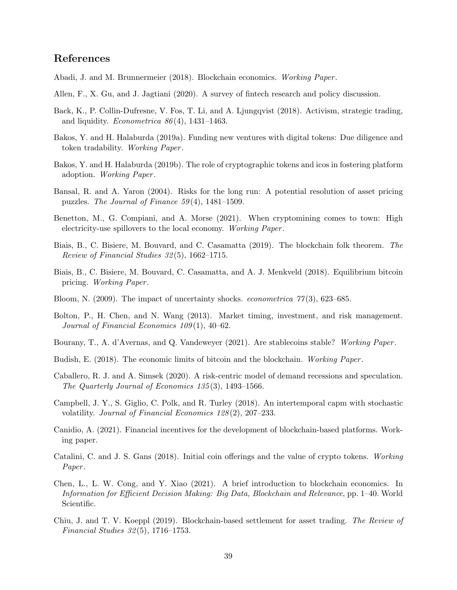# References

- <span id="page-39-0"></span>Abadi, J. and M. Brunnermeier (2018). Blockchain economics. Working Paper .
- <span id="page-39-2"></span>Allen, F., X. Gu, and J. Jagtiani (2020). A survey of fintech research and policy discussion.
- <span id="page-39-18"></span>Back, K., P. Collin-Dufresne, V. Fos, T. Li, and A. Ljungqvist (2018). Activism, strategic trading, and liquidity. *Econometrica*  $86(4)$ , 1431–1463.
- <span id="page-39-8"></span>Bakos, Y. and H. Halaburda (2019a). Funding new ventures with digital tokens: Due diligence and token tradability. Working Paper.
- <span id="page-39-9"></span>Bakos, Y. and H. Halaburda (2019b). The role of cryptographic tokens and icos in fostering platform adoption. Working Paper .
- <span id="page-39-14"></span>Bansal, R. and A. Yaron (2004). Risks for the long run: A potential resolution of asset pricing puzzles. The Journal of Finance  $59(4)$ , 1481–1509.
- <span id="page-39-6"></span>Benetton, M., G. Compiani, and A. Morse (2021). When cryptomining comes to town: High electricity-use spillovers to the local economy. Working Paper .
- <span id="page-39-5"></span>Biais, B., C. Bisiere, M. Bouvard, and C. Casamatta (2019). The blockchain folk theorem. The Review of Financial Studies 32 (5), 1662–1715.
- <span id="page-39-4"></span>Biais, B., C. Bisiere, M. Bouvard, C. Casamatta, and A. J. Menkveld (2018). Equilibrium bitcoin pricing. Working Paper .
- <span id="page-39-13"></span>Bloom, N. (2009). The impact of uncertainty shocks. *econometrica*  $77(3)$ , 623–685.
- <span id="page-39-16"></span>Bolton, P., H. Chen, and N. Wang (2013). Market timing, investment, and risk management. Journal of Financial Economics 109 (1), 40–62.
- <span id="page-39-17"></span>Bourany, T., A. d'Avernas, and Q. Vandeweyer (2021). Are stablecoins stable? Working Paper.
- <span id="page-39-12"></span>Budish, E. (2018). The economic limits of bitcoin and the blockchain. Working Paper.
- <span id="page-39-11"></span>Caballero, R. J. and A. Simsek (2020). A risk-centric model of demand recessions and speculation. The Quarterly Journal of Economics 135 (3), 1493–1566.
- <span id="page-39-15"></span>Campbell, J. Y., S. Giglio, C. Polk, and R. Turley (2018). An intertemporal capm with stochastic volatility. Journal of Financial Economics 128(2), 207–233.
- <span id="page-39-10"></span>Canidio, A. (2021). Financial incentives for the development of blockchain-based platforms. Working paper.
- <span id="page-39-7"></span>Catalini, C. and J. S. Gans (2018). Initial coin offerings and the value of crypto tokens. Working Paper.
- <span id="page-39-1"></span>Chen, L., L. W. Cong, and Y. Xiao (2021). A brief introduction to blockchain economics. In Information for Efficient Decision Making: Big Data, Blockchain and Relevance, pp. 1–40. World Scientific.
- <span id="page-39-3"></span>Chiu, J. and T. V. Koeppl (2019). Blockchain-based settlement for asset trading. The Review of Financial Studies 32 (5), 1716–1753.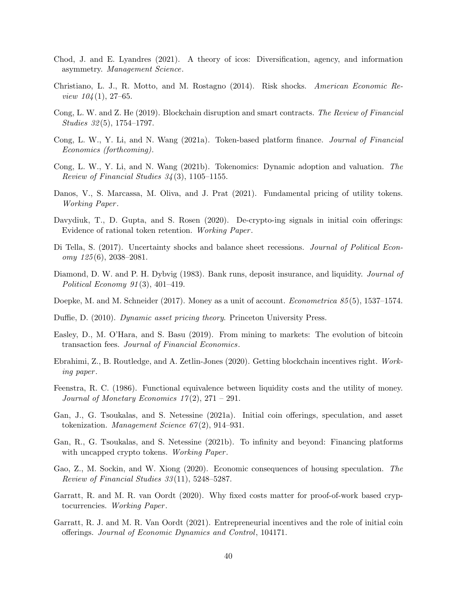- <span id="page-40-9"></span>Chod, J. and E. Lyandres (2021). A theory of icos: Diversification, agency, and information asymmetry. Management Science.
- <span id="page-40-14"></span>Christiano, L. J., R. Motto, and M. Rostagno (2014). Risk shocks. American Economic Re*view*  $104(1)$ *, 27–65.*
- <span id="page-40-1"></span>Cong, L. W. and Z. He (2019). Blockchain disruption and smart contracts. The Review of Financial Studies  $32(5)$ , 1754–1797.
- <span id="page-40-10"></span>Cong, L. W., Y. Li, and N. Wang (2021a). Token-based platform finance. Journal of Financial Economics (forthcoming).
- <span id="page-40-11"></span>Cong, L. W., Y. Li, and N. Wang (2021b). Tokenomics: Dynamic adoption and valuation. The Review of Financial Studies  $34(3)$ , 1105–1155.
- <span id="page-40-12"></span>Danos, V., S. Marcassa, M. Oliva, and J. Prat (2021). Fundamental pricing of utility tokens. Working Paper .
- <span id="page-40-5"></span>Davydiuk, T., D. Gupta, and S. Rosen (2020). De-crypto-ing signals in initial coin offerings: Evidence of rational token retention. Working Paper .
- <span id="page-40-15"></span>Di Tella, S. (2017). Uncertainty shocks and balance sheet recessions. Journal of Political Econ $omy\ 125(6),\ 2038-2081.$
- <span id="page-40-17"></span>Diamond, D. W. and P. H. Dybvig (1983). Bank runs, deposit insurance, and liquidity. Journal of Political Economy 91 (3), 401–419.
- <span id="page-40-0"></span>Doepke, M. and M. Schneider (2017). Money as a unit of account. *Econometrica* 85(5), 1537–1574.
- <span id="page-40-18"></span>Duffie, D. (2010). Dynamic asset pricing theory. Princeton University Press.
- <span id="page-40-3"></span>Easley, D., M. O'Hara, and S. Basu (2019). From mining to markets: The evolution of bitcoin transaction fees. Journal of Financial Economics.
- <span id="page-40-2"></span>Ebrahimi, Z., B. Routledge, and A. Zetlin-Jones (2020). Getting blockchain incentives right. Working paper .
- <span id="page-40-16"></span>Feenstra, R. C. (1986). Functional equivalence between liquidity costs and the utility of money. Journal of Monetary Economics  $17(2)$ ,  $271 - 291$ .
- <span id="page-40-7"></span>Gan, J., G. Tsoukalas, and S. Netessine (2021a). Initial coin offerings, speculation, and asset tokenization. Management Science  $67(2)$ , 914–931.
- <span id="page-40-8"></span>Gan, R., G. Tsoukalas, and S. Netessine (2021b). To infinity and beyond: Financing platforms with uncapped crypto tokens. Working Paper.
- <span id="page-40-13"></span>Gao, Z., M. Sockin, and W. Xiong (2020). Economic consequences of housing speculation. The Review of Financial Studies 33 (11), 5248–5287.
- <span id="page-40-4"></span>Garratt, R. and M. R. van Oordt (2020). Why fixed costs matter for proof-of-work based cryptocurrencies. Working Paper.
- <span id="page-40-6"></span>Garratt, R. J. and M. R. Van Oordt (2021). Entrepreneurial incentives and the role of initial coin offerings. Journal of Economic Dynamics and Control, 104171.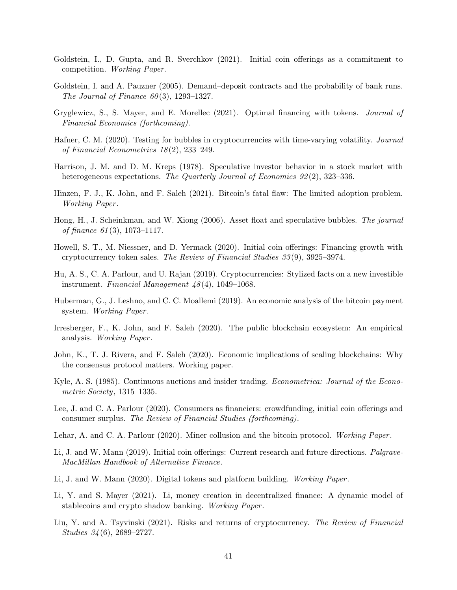- <span id="page-41-12"></span>Goldstein, I., D. Gupta, and R. Sverchkov (2021). Initial coin offerings as a commitment to competition. Working Paper.
- <span id="page-41-16"></span>Goldstein, I. and A. Pauzner (2005). Demand–deposit contracts and the probability of bank runs. The Journal of Finance  $60(3)$ , 1293–1327.
- <span id="page-41-13"></span>Gryglewicz, S., S. Mayer, and E. Morellec (2021). Optimal financing with tokens. Journal of Financial Economics (forthcoming).
- <span id="page-41-0"></span>Hafner, C. M. (2020). Testing for bubbles in cryptocurrencies with time-varying volatility. Journal of Financial Econometrics 18 (2), 233–249.
- <span id="page-41-14"></span>Harrison, J. M. and D. M. Kreps (1978). Speculative investor behavior in a stock market with heterogeneous expectations. The Quarterly Journal of Economics 92(2), 323–336.
- <span id="page-41-7"></span>Hinzen, F. J., K. John, and F. Saleh (2021). Bitcoin's fatal flaw: The limited adoption problem. Working Paper .
- <span id="page-41-15"></span>Hong, H., J. Scheinkman, and W. Xiong (2006). Asset float and speculative bubbles. The journal of finance  $61(3)$ , 1073-1117.
- <span id="page-41-9"></span>Howell, S. T., M. Niessner, and D. Yermack (2020). Initial coin offerings: Financing growth with cryptocurrency token sales. The Review of Financial Studies 33 (9), 3925–3974.
- <span id="page-41-4"></span>Hu, A. S., C. A. Parlour, and U. Rajan (2019). Cryptocurrencies: Stylized facts on a new investible instrument. Financial Management 48 (4), 1049–1068.
- <span id="page-41-2"></span>Huberman, G., J. Leshno, and C. C. Moallemi (2019). An economic analysis of the bitcoin payment system. Working Paper.
- <span id="page-41-1"></span>Irresberger, F., K. John, and F. Saleh (2020). The public blockchain ecosystem: An empirical analysis. Working Paper .
- <span id="page-41-3"></span>John, K., T. J. Rivera, and F. Saleh (2020). Economic implications of scaling blockchains: Why the consensus protocol matters. Working paper.
- <span id="page-41-18"></span>Kyle, A. S. (1985). Continuous auctions and insider trading. *Econometrica: Journal of the Econo*metric Society, 1315–1335.
- <span id="page-41-11"></span>Lee, J. and C. A. Parlour (2020). Consumers as financiers: crowdfunding, initial coin offerings and consumer surplus. The Review of Financial Studies (forthcoming).
- <span id="page-41-6"></span>Lehar, A. and C. A. Parlour (2020). Miner collusion and the bitcoin protocol. Working Paper.
- <span id="page-41-8"></span>Li, J. and W. Mann (2019). Initial coin offerings: Current research and future directions. Palgrave-MacMillan Handbook of Alternative Finance.
- <span id="page-41-10"></span>Li, J. and W. Mann (2020). Digital tokens and platform building. Working Paper.
- <span id="page-41-17"></span>Li, Y. and S. Mayer (2021). Li, money creation in decentralized finance: A dynamic model of stablecoins and crypto shadow banking. Working Paper .
- <span id="page-41-5"></span>Liu, Y. and A. Tsyvinski (2021). Risks and returns of cryptocurrency. The Review of Financial Studies 34 (6), 2689–2727.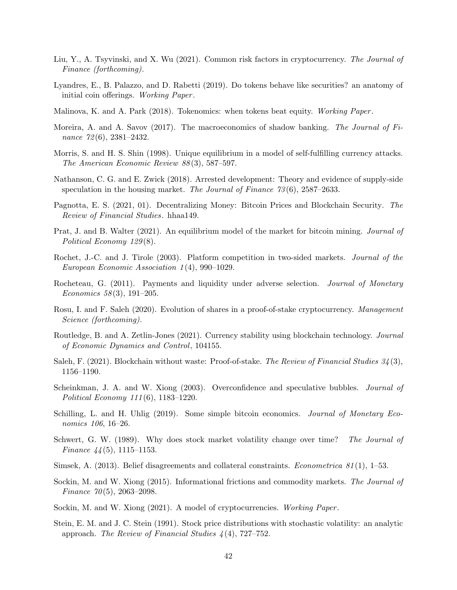- <span id="page-42-0"></span>Liu, Y., A. Tsyvinski, and X. Wu (2021). Common risk factors in cryptocurrency. The Journal of Finance (forthcoming).
- <span id="page-42-7"></span>Lyandres, E., B. Palazzo, and D. Rabetti (2019). Do tokens behave like securities? an anatomy of initial coin offerings. Working Paper.
- <span id="page-42-8"></span>Malinova, K. and A. Park (2018). Tokenomics: when tokens beat equity. Working Paper .
- <span id="page-42-16"></span>Moreira, A. and A. Savov (2017). The macroeconomics of shadow banking. The Journal of Finance 72(6), 2381-2432.
- <span id="page-42-17"></span>Morris, S. and H. S. Shin (1998). Unique equilibrium in a model of self-fulfilling currency attacks. The American Economic Review 88 (3), 587–597.
- <span id="page-42-11"></span>Nathanson, C. G. and E. Zwick (2018). Arrested development: Theory and evidence of supply-side speculation in the housing market. The Journal of Finance 73 (6), 2587–2633.
- <span id="page-42-2"></span>Pagnotta, E. S. (2021, 01). Decentralizing Money: Bitcoin Prices and Blockchain Security. The Review of Financial Studies. hhaa149.
- <span id="page-42-4"></span>Prat, J. and B. Walter (2021). An equilibrium model of the market for bitcoin mining. *Journal of* Political Economy 129(8).
- <span id="page-42-18"></span>Rochet, J.-C. and J. Tirole (2003). Platform competition in two-sided markets. Journal of the European Economic Association 1 (4), 990–1029.
- <span id="page-42-15"></span>Rocheteau, G. (2011). Payments and liquidity under adverse selection. *Journal of Monetary* Economics 58(3), 191–205.
- <span id="page-42-5"></span>Rosu, I. and F. Saleh (2020). Evolution of shares in a proof-of-stake cryptocurrency. Management Science (forthcoming).
- <span id="page-42-19"></span>Routledge, B. and A. Zetlin-Jones (2021). Currency stability using blockchain technology. Journal of Economic Dynamics and Control, 104155.
- <span id="page-42-6"></span>Saleh, F. (2021). Blockchain without waste: Proof-of-stake. The Review of Financial Studies  $34(3)$ , 1156–1190.
- <span id="page-42-9"></span>Scheinkman, J. A. and W. Xiong (2003). Overconfidence and speculative bubbles. *Journal of* Political Economy 111 (6), 1183–1220.
- <span id="page-42-1"></span>Schilling, L. and H. Uhlig (2019). Some simple bitcoin economics. Journal of Monetary Economics 106, 16–26.
- <span id="page-42-14"></span>Schwert, G. W. (1989). Why does stock market volatility change over time? The Journal of Finance  $44(5)$ , 1115–1153.
- <span id="page-42-10"></span>Simsek, A. (2013). Belief disagreements and collateral constraints. *Econometrica 81*(1), 1–53.
- <span id="page-42-12"></span>Sockin, M. and W. Xiong (2015). Informational frictions and commodity markets. The Journal of Finance  $70(5)$ , 2063–2098.
- <span id="page-42-3"></span>Sockin, M. and W. Xiong (2021). A model of cryptocurrencies. Working Paper.
- <span id="page-42-13"></span>Stein, E. M. and J. C. Stein (1991). Stock price distributions with stochastic volatility: an analytic approach. The Review of Financial Studies  $\frac{1}{4}(4)$ , 727–752.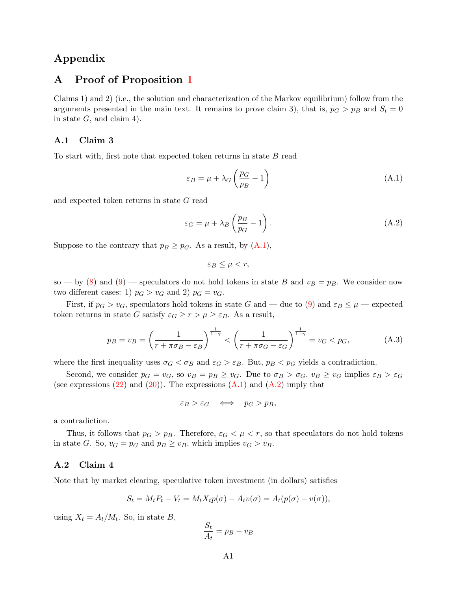# Appendix

# A Proof of Proposition [1](#page-14-0)

Claims 1) and 2) (i.e., the solution and characterization of the Markov equilibrium) follow from the arguments presented in the main text. It remains to prove claim 3), that is,  $p_G > p_B$  and  $S_t = 0$ in state  $G$ , and claim 4).

### A.1 Claim 3

To start with, first note that expected token returns in state B read

<span id="page-43-0"></span>
$$
\varepsilon_B = \mu + \lambda_G \left(\frac{p_G}{p_B} - 1\right) \tag{A.1}
$$

and expected token returns in state G read

<span id="page-43-1"></span>
$$
\varepsilon_G = \mu + \lambda_B \left(\frac{p_B}{p_G} - 1\right). \tag{A.2}
$$

Suppose to the contrary that  $p_B \geq p_G$ . As a result, by  $(A.1)$ ,

$$
\varepsilon_B \le \mu < r,
$$

so — by [\(8\)](#page-10-3) and [\(9\)](#page-10-0) — speculators do not hold tokens in state B and  $v_B = p_B$ . We consider now two different cases: 1)  $p_G > v_G$  and 2)  $p_G = v_G$ .

First, if  $p_G > v_G$ , speculators hold tokens in state G and — due to [\(9\)](#page-10-0) and  $\varepsilon_B \leq \mu$  — expected token returns in state G satisfy  $\varepsilon_G \ge r > \mu \ge \varepsilon_B$ . As a result,

$$
p_B = v_B = \left(\frac{1}{r + \pi \sigma_B - \varepsilon_B}\right)^{\frac{1}{1 - \gamma}} < \left(\frac{1}{r + \pi \sigma_G - \varepsilon_G}\right)^{\frac{1}{1 - \gamma}} = v_G < p_G,\tag{A.3}
$$

where the first inequality uses  $\sigma_G < \sigma_B$  and  $\varepsilon_G > \varepsilon_B$ . But,  $p_B < p_G$  yields a contradiction.

Second, we consider  $p_G = v_G$ , so  $v_B = p_B \ge v_G$ . Due to  $\sigma_B > \sigma_G$ ,  $v_B \ge v_G$  implies  $\varepsilon_B > \varepsilon_G$ (see expressions  $(22)$  and  $(20)$ ). The expressions  $(A.1)$  and  $(A.2)$  imply that

$$
\varepsilon_B > \varepsilon_G \quad \Longleftrightarrow \quad p_G > p_B,
$$

a contradiction.

Thus, it follows that  $p_G > p_B$ . Therefore,  $\varepsilon_G < \mu < r$ , so that speculators do not hold tokens in state G. So,  $v_G = p_G$  and  $p_B \ge v_B$ , which implies  $v_G > v_B$ .

### A.2 Claim 4

Note that by market clearing, speculative token investment (in dollars) satisfies

$$
S_t = M_t P_t - V_t = M_t X_t p(\sigma) - A_t v(\sigma) = A_t (p(\sigma) - v(\sigma)),
$$

using  $X_t = A_t/M_t$ . So, in state B,

$$
\frac{S_t}{A_t} = p_B - v_B
$$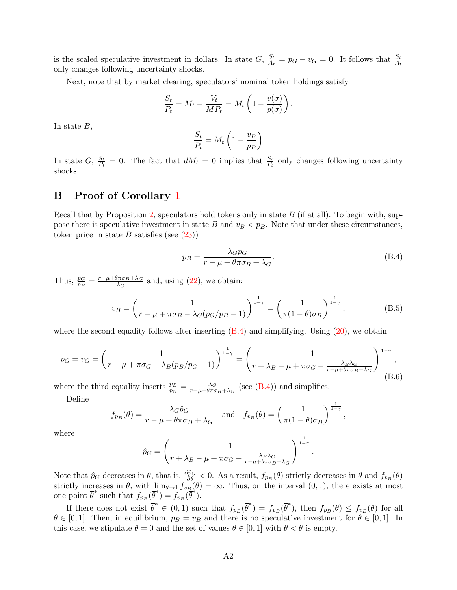is the scaled speculative investment in dollars. In state  $G, \frac{S_t}{A}$  $\frac{S_t}{A_t} = p_G - v_G = 0.$  It follows that  $\frac{S_t}{A_t}$ only changes following uncertainty shocks.

Next, note that by market clearing, speculators' nominal token holdings satisfy

$$
\frac{S_t}{P_t} = M_t - \frac{V_t}{MP_t} = M_t \left( 1 - \frac{v(\sigma)}{p(\sigma)} \right).
$$

In state  $B$ ,

$$
\frac{S_t}{P_t} = M_t \left( 1 - \frac{v_B}{p_B} \right)
$$

In state  $G, \frac{S_t}{P_t}$  $\frac{S_t}{P_t} = 0$ . The fact that  $dM_t = 0$  implies that  $\frac{S_t}{P_t}$  only changes following uncertainty shocks.

# B Proof of Corollary [1](#page-17-3)

Recall that by Proposition [2,](#page-24-0) speculators hold tokens only in state  $B$  (if at all). To begin with, suppose there is speculative investment in state B and  $v_B < p_B$ . Note that under these circumstances, token price in state  $B$  satisfies (see  $(23)$ )

<span id="page-44-0"></span>
$$
p_B = \frac{\lambda_G p_G}{r - \mu + \theta \pi \sigma_B + \lambda_G}.
$$
\n(B.4)

.

Thus,  $\frac{p_G}{p_B} = \frac{r - \mu + \theta \pi \sigma_B + \lambda_G}{\lambda_G}$  $\frac{\sqrt{\pi}\sigma_B + \lambda_G}{\lambda_G}$  and, using [\(22\)](#page-13-5), we obtain:

<span id="page-44-2"></span>
$$
v_B = \left(\frac{1}{r - \mu + \pi \sigma_B - \lambda_G (p_G/p_B - 1)}\right)^{\frac{1}{1 - \gamma}} = \left(\frac{1}{\pi (1 - \theta) \sigma_B}\right)^{\frac{1}{1 - \gamma}},
$$
(B.5)

where the second equality follows after inserting  $(B.4)$  and simplifying. Using  $(20)$ , we obtain

<span id="page-44-1"></span>
$$
p_G = v_G = \left(\frac{1}{r - \mu + \pi\sigma_G - \lambda_B(p_B/p_G - 1)}\right)^{\frac{1}{1 - \gamma}} = \left(\frac{1}{r + \lambda_B - \mu + \pi\sigma_G - \frac{\lambda_B\lambda_G}{r - \mu + \theta\pi\sigma_B + \lambda_G}}\right)^{\frac{1}{1 - \gamma}},\tag{B.6}
$$

where the third equality inserts  $\frac{p_B}{p_G} = \frac{\lambda_G}{r - \mu + \theta \pi \sigma}$  $\frac{\lambda_G}{r-\mu+\theta\pi\sigma_B+\lambda_G}$  (see [\(B.4\)](#page-44-0)) and simplifies.

Define

$$
f_{p_B}(\theta) = \frac{\lambda_G \hat{p}_G}{r - \mu + \theta \pi \sigma_B + \lambda_G} \quad \text{and} \quad f_{v_B}(\theta) = \left(\frac{1}{\pi (1 - \theta) \sigma_B}\right)^{\frac{1}{1 - \gamma}},
$$

where

$$
\hat{p}_G = \left(\frac{1}{r + \lambda_B - \mu + \pi\sigma_G - \frac{\lambda_B\lambda_G}{r - \mu + \theta\pi\sigma_B + \lambda_G}}\right)^{\frac{1}{1 - \gamma}}
$$

Note that  $\hat{p}_G$  decreases in  $\theta$ , that is,  $\frac{\partial \hat{p}_G}{\partial \theta} < 0$ . As a result,  $f_{p_B}(\theta)$  strictly decreases in  $\theta$  and  $f_{v_B}(\theta)$ strictly increases in  $\theta$ , with  $\lim_{\theta \to 1} f_{v_B}(\theta) = \infty$ . Thus, on the interval  $(0, 1)$ , there exists at most one point  $\overline{\theta}^*$  such that  $f_{p_B}(\overline{\theta}^*) = f_{v_B}(\overline{\theta}^*)$ .

If there does not exist  $\overline{\theta}^* \in (0,1)$  such that  $f_{p_B}(\overline{\theta}^*) = f_{v_B}(\overline{\theta}^*)$ , then  $f_{p_B}(\theta) \leq f_{v_B}(\theta)$  for all  $\theta \in [0, 1]$ . Then, in equilibrium,  $p_B = v_B$  and there is no speculative investment for  $\theta \in [0, 1]$ . In this case, we stipulate  $\bar{\theta} = 0$  and the set of values  $\theta \in [0, 1]$  with  $\theta < \bar{\theta}$  is empty.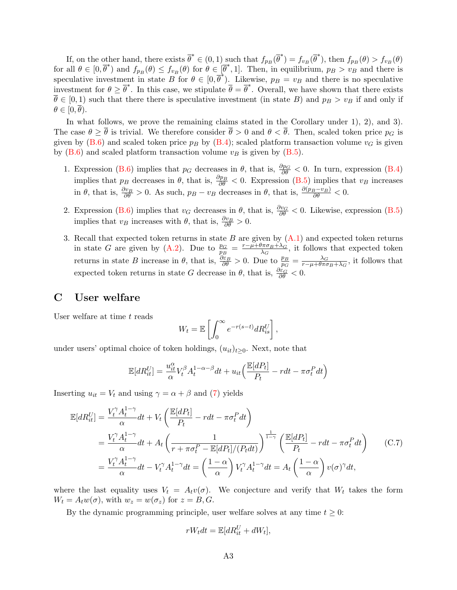If, on the other hand, there exists  $\overline{\theta}^* \in (0,1)$  such that  $f_{p_B}(\overline{\theta}^*) = f_{v_B}(\overline{\theta}^*)$ , then  $f_{p_B}(\theta) > f_{v_B}(\theta)$ for all  $\theta \in [0, \overline{\theta}^*)$  and  $f_{p_B}(\theta) \leq f_{v_B}(\theta)$  for  $\theta \in [\overline{\theta}^*, 1]$ . Then, in equilibrium,  $p_B > v_B$  and there is speculative investment in state B for  $\theta \in [0, \overline{\theta}^*)$ . Likewise,  $p_B = v_B$  and there is no speculative investment for  $\theta \geq \overline{\theta}^*$ . In this case, we stipulate  $\overline{\theta} = \overline{\theta}^*$ . Overall, we have shown that there exists  $\overline{\theta} \in [0,1)$  such that there there is speculative investment (in state B) and  $p_B > v_B$  if and only if  $\theta \in [0, \overline{\theta}).$ 

In what follows, we prove the remaining claims stated in the Corollary under 1), 2), and 3). The case  $\theta \geq \overline{\theta}$  is trivial. We therefore consider  $\overline{\theta} > 0$  and  $\theta < \overline{\theta}$ . Then, scaled token price  $p_G$  is given by [\(B.6\)](#page-44-1) and scaled token price  $p_B$  by [\(B.4\)](#page-44-0); scaled platform transaction volume  $v_G$  is given by  $(B.6)$  and scaled platform transaction volume  $v_B$  is given by  $(B.5)$ .

- 1. Expression [\(B.6\)](#page-44-1) implies that  $p_G$  decreases in  $\theta$ , that is,  $\frac{\partial p_G}{\partial \theta} < 0$ . In turn, expression [\(B.4\)](#page-44-0) implies that  $p_B$  decreases in  $\theta$ , that is,  $\frac{\partial p_B}{\partial \theta} < 0$ . Expression [\(B.5\)](#page-44-2) implies that  $v_B$  increases in  $\theta$ , that is,  $\frac{\partial v_B}{\partial \theta} > 0$ . As such,  $p_B - v_B$  decreases in  $\theta$ , that is,  $\frac{\partial (p_B - v_B)}{\partial \theta} < 0$ .
- 2. Expression [\(B.6\)](#page-44-1) implies that  $v_G$  decreases in  $\theta$ , that is,  $\frac{\partial v_G}{\partial \theta} < 0$ . Likewise, expression [\(B.5\)](#page-44-2) implies that  $v_B$  increases with  $\theta$ , that is,  $\frac{\partial v_B}{\partial \theta} > 0$ .
- 3. Recall that expected token returns in state  $B$  are given by  $(A.1)$  and expected token returns in state G are given by [\(A.2\)](#page-43-1). Due to  $\frac{p_G}{p_B} = \frac{r - \mu + \theta \pi \sigma_B + \lambda_G}{\lambda_G}$  $\frac{\sqrt{\pi}\sigma_B + \lambda_G}{\lambda_G}$ , it follows that expected token returns in state B increase in  $\theta$ , that is,  $\frac{\partial \varepsilon_B}{\partial \theta} > 0$ . Due to  $\frac{p_B}{p_G} = \frac{\lambda_G}{r - \mu + \theta \pi \sigma}$  $\frac{\lambda_G}{r-\mu+\theta\pi\sigma_B+\lambda_G}$ , it follows that expected token returns in state G decrease in  $\theta$ , that is,  $\frac{\partial \varepsilon_G}{\partial \theta} < 0$ .

### <span id="page-45-0"></span>C User welfare

User welfare at time  $t$  reads

$$
W_t = \mathbb{E}\left[\int_0^\infty e^{-r(s-t)} dR_{is}^U\right],
$$

under users' optimal choice of token holdings,  $(u_{it})_{t\geq0}$ . Next, note that

$$
\mathbb{E}[dR_{it}^U] = \frac{u_{it}^{\alpha}}{\alpha} V_t^{\beta} A_t^{1-\alpha-\beta} dt + u_{it} \left( \frac{\mathbb{E}[dP_t]}{P_t} - r dt - \pi \sigma_t^P dt \right)
$$

Inserting  $u_{it} = V_t$  and using  $\gamma = \alpha + \beta$  and [\(7\)](#page-9-3) yields

$$
\mathbb{E}[dR_{it}^U] = \frac{V_t^{\gamma} A_t^{1-\gamma}}{\alpha} dt + V_t \left( \frac{\mathbb{E}[dP_t]}{P_t} - r dt - \pi \sigma_t^P dt \right)
$$
\n
$$
= \frac{V_t^{\gamma} A_t^{1-\gamma}}{\alpha} dt + A_t \left( \frac{1}{r + \pi \sigma_t^P - \mathbb{E}[dP_t]/(P_t dt)} \right)^{\frac{1}{1-\gamma}} \left( \frac{\mathbb{E}[dP_t]}{P_t} - r dt - \pi \sigma_t^P dt \right) \qquad (C.7)
$$
\n
$$
= \frac{V_t^{\gamma} A_t^{1-\gamma}}{\alpha} dt - V_t^{\gamma} A_t^{1-\gamma} dt = \left( \frac{1-\alpha}{\alpha} \right) V_t^{\gamma} A_t^{1-\gamma} dt = A_t \left( \frac{1-\alpha}{\alpha} \right) v(\sigma)^{\gamma} dt,
$$

where the last equality uses  $V_t = A_t v(\sigma)$ . We conjecture and verify that  $W_t$  takes the form  $W_t = A_t w(\sigma)$ , with  $w_z = w(\sigma_z)$  for  $z = B, G$ .

By the dynamic programming principle, user welfare solves at any time  $t \geq 0$ :

<span id="page-45-1"></span>
$$
rW_t dt = \mathbb{E}[dR_{it}^U + dW_t],
$$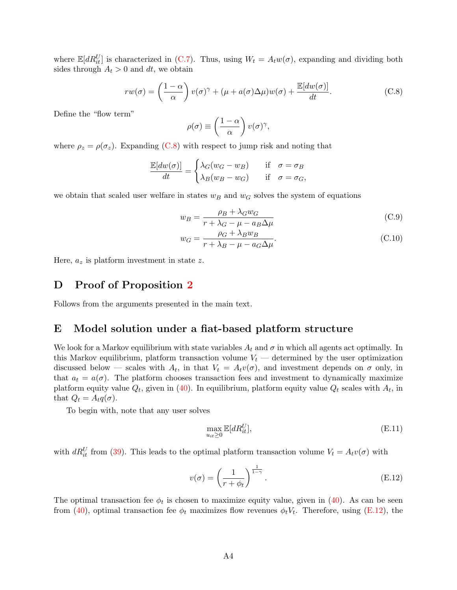where  $\mathbb{E}[dR_{it}^U]$  is characterized in [\(C.7\)](#page-45-1). Thus, using  $W_t = A_t w(\sigma)$ , expanding and dividing both sides through  $A_t > 0$  and dt, we obtain

<span id="page-46-1"></span>
$$
rw(\sigma) = \left(\frac{1-\alpha}{\alpha}\right) v(\sigma)^{\gamma} + (\mu + a(\sigma)\Delta\mu)w(\sigma) + \frac{\mathbb{E}[dw(\sigma)]}{dt}.
$$
 (C.8)

Define the "flow term"

$$
\rho(\sigma) \equiv \left(\frac{1-\alpha}{\alpha}\right) v(\sigma)^{\gamma},
$$

where  $\rho_z = \rho(\sigma_z)$ . Expanding [\(C.8\)](#page-46-1) with respect to jump risk and noting that

$$
\frac{\mathbb{E}[dw(\sigma)]}{dt} = \begin{cases} \lambda_G(w_G - w_B) & \text{if } \sigma = \sigma_B \\ \lambda_B(w_B - w_G) & \text{if } \sigma = \sigma_G, \end{cases}
$$

we obtain that scaled user welfare in states  $w_B$  and  $w_G$  solves the system of equations

<span id="page-46-3"></span>
$$
w_B = \frac{\rho_B + \lambda_G w_G}{r + \lambda_G - \mu - a_B \Delta \mu} \tag{C.9}
$$

$$
w_G = \frac{\rho_G + \lambda_B w_B}{r + \lambda_B - \mu - a_G \Delta \mu}.
$$
\n(C.10)

Here,  $a_z$  is platform investment in state z.

# D Proof of Proposition [2](#page-24-0)

Follows from the arguments presented in the main text.

### <span id="page-46-0"></span>E Model solution under a fiat-based platform structure

We look for a Markov equilibrium with state variables  $A_t$  and  $\sigma$  in which all agents act optimally. In this Markov equilibrium, platform transaction volume  $V_t$  — determined by the user optimization discussed below – scales with  $A_t$ , in that  $V_t = A_t v(\sigma)$ , and investment depends on  $\sigma$  only, in that  $a_t = a(\sigma)$ . The platform chooses transaction fees and investment to dynamically maximize platform equity value  $Q_t$ , given in [\(40\)](#page-29-4). In equilibrium, platform equity value  $Q_t$  scales with  $A_t$ , in that  $Q_t = A_t q(\sigma)$ .

To begin with, note that any user solves

$$
\max_{u_{it} \ge 0} \mathbb{E}[dR_{it}^U],\tag{E.11}
$$

with  $dR_{it}^U$  from [\(39\)](#page-29-1). This leads to the optimal platform transaction volume  $V_t = A_t v(\sigma)$  with

<span id="page-46-2"></span>
$$
v(\sigma) = \left(\frac{1}{r + \phi_t}\right)^{\frac{1}{1-\gamma}}.
$$
\n(E.12)

The optimal transaction fee  $\phi_t$  is chosen to maximize equity value, given in [\(40\)](#page-29-4). As can be seen from [\(40\)](#page-29-4), optimal transaction fee  $\phi_t$  maximizes flow revenues  $\phi_t V_t$ . Therefore, using [\(E.12\)](#page-46-2), the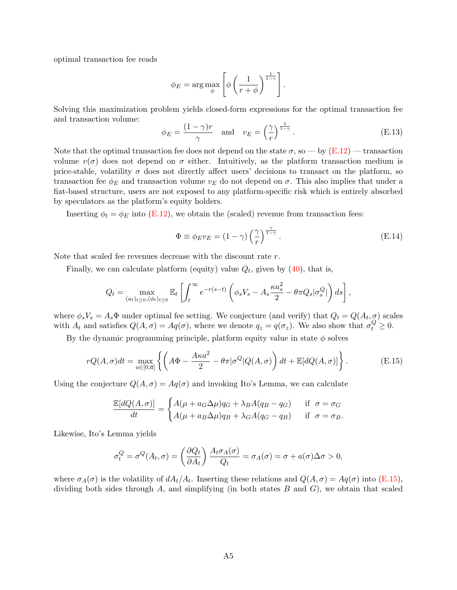optimal transaction fee reads

$$
\phi_E = \arg \max_{\phi} \left[ \phi \left( \frac{1}{r + \phi} \right)^{\frac{1}{1 - \gamma}} \right].
$$

Solving this maximization problem yields closed-form expressions for the optimal transaction fee and transaction volume:

<span id="page-47-1"></span>
$$
\phi_E = \frac{(1 - \gamma)r}{\gamma} \quad \text{and} \quad v_E = \left(\frac{\gamma}{r}\right)^{\frac{1}{1 - \gamma}}.
$$
\n(E.13)

Note that the optimal transaction fee does not depend on the state  $\sigma$ , so — by [\(E.12\)](#page-46-2) — transaction volume  $v(\sigma)$  does not depend on  $\sigma$  either. Intuitively, as the platform transaction medium is price-stable, volatility  $\sigma$  does not directly affect users' decisions to transact on the platform, so transaction fee  $\phi_E$  and transaction volume  $v_E$  do not depend on  $\sigma$ . This also implies that under a fiat-based structure, users are not exposed to any platform-specific risk which is entirely absorbed by speculators as the platform's equity holders.

Inserting  $\phi_t = \phi_E$  into [\(E.12\)](#page-46-2), we obtain the (scaled) revenue from transaction fees:

<span id="page-47-2"></span>
$$
\Phi \equiv \phi_E v_E = (1 - \gamma) \left(\frac{\gamma}{r}\right)^{\frac{\gamma}{1 - \gamma}}.
$$
\n(E.14)

Note that scaled fee revenues decrease with the discount rate r.

Finally, we can calculate platform (equity) value  $Q_t$ , given by [\(40\)](#page-29-4), that is,

$$
Q_t = \max_{(a_t)_{t \ge 0}, (\phi_t)_{t \ge 0}} \mathbb{E}_t \left[ \int_t^{\infty} e^{-r(s-t)} \left( \phi_s V_s - A_s \frac{\kappa a_s^2}{2} - \theta \pi Q_s |\sigma_s^Q| \right) ds \right],
$$

where  $\phi_s V_s = A_s \Phi$  under optimal fee setting. We conjecture (and verify) that  $Q_t = Q(A_t, \sigma)$  scales with  $A_t$  and satisfies  $Q(A, \sigma) = Aq(\sigma)$ , where we denote  $q_z = q(\sigma_z)$ . We also show that  $\sigma_t^Q \geq 0$ .

By the dynamic programming principle, platform equity value in state  $\phi$  solves

<span id="page-47-0"></span>
$$
rQ(A,\sigma)dt = \max_{a \in [0,\overline{a}]} \left\{ \left( A\Phi - \frac{A\kappa a^2}{2} - \theta\pi |\sigma^Q| Q(A,\sigma) \right) dt + \mathbb{E}[dQ(A,\sigma)] \right\}.
$$
 (E.15)

Using the conjecture  $Q(A, \sigma) = Aq(\sigma)$  and invoking Ito's Lemma, we can calculate

$$
\frac{\mathbb{E}[dQ(A,\sigma)]}{dt} = \begin{cases} A(\mu + a_G \Delta \mu)q_G + \lambda_B A(q_B - q_G) & \text{if } \sigma = \sigma_G \\ A(\mu + a_B \Delta \mu)q_B + \lambda_G A(q_G - q_B) & \text{if } \sigma = \sigma_B. \end{cases}
$$

Likewise, Ito's Lemma yields

$$
\sigma_t^Q = \sigma^Q(A_t, \sigma) = \left(\frac{\partial Q_t}{\partial A_t}\right) \frac{A_t \sigma_A(\sigma)}{Q_t} = \sigma_A(\sigma) = \sigma + a(\sigma) \Delta \sigma > 0,
$$

where  $\sigma_A(\sigma)$  is the volatility of  $dA_t/A_t$ . Inserting these relations and  $Q(A,\sigma) = Aq(\sigma)$  into [\(E.15\)](#page-47-0), dividing both sides through  $A$ , and simplifying (in both states  $B$  and  $G$ ), we obtain that scaled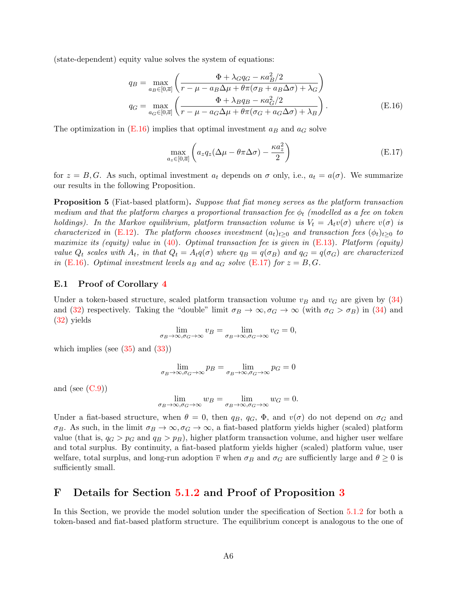(state-dependent) equity value solves the system of equations:

$$
q_B = \max_{a_B \in [0,\overline{a}]} \left( \frac{\Phi + \lambda_{G} q_G - \kappa a_B^2 / 2}{r - \mu - a_B \Delta \mu + \theta \pi (\sigma_B + a_B \Delta \sigma) + \lambda_G} \right)
$$
  

$$
q_G = \max_{a_G \in [0,\overline{a}]} \left( \frac{\Phi + \lambda_B q_B - \kappa a_G^2 / 2}{r - \mu - a_G \Delta \mu + \theta \pi (\sigma_G + a_G \Delta \sigma) + \lambda_B} \right).
$$
(E.16)

The optimization in  $(E.16)$  implies that optimal investment  $a_B$  and  $a_G$  solve

<span id="page-48-2"></span><span id="page-48-1"></span>
$$
\max_{a_z \in [0,\overline{a}]} \left( a_z q_z (\Delta \mu - \theta \pi \Delta \sigma) - \frac{\kappa a_z^2}{2} \right) \tag{E.17}
$$

for  $z = B, G$ . As such, optimal investment  $a_t$  depends on  $\sigma$  only, i.e.,  $a_t = a(\sigma)$ . We summarize our results in the following Proposition.

**Proposition 5** (Fiat-based platform). Suppose that fiat money serves as the platform transaction medium and that the platform charges a proportional transaction fee  $\phi_t$  (modelled as a fee on token holdings). In the Markov equilibrium, platform transaction volume is  $V_t = A_t v(\sigma)$  where  $v(\sigma)$  is characterized in [\(E.12\)](#page-46-2). The platform chooses investment  $(a_t)_{t>0}$  and transaction fees  $(\phi_t)_{t>0}$  to maximize its (equity) value in  $(40)$ . Optimal transaction fee is given in  $(E.13)$ . Platform (equity) value  $Q_t$  scales with  $A_t$ , in that  $Q_t = A_t q(\sigma)$  where  $q_B = q(\sigma_B)$  and  $q_G = q(\sigma_G)$  are characterized in [\(E.16\)](#page-48-1). Optimal investment levels  $a_B$  and  $a_G$  solve [\(E.17\)](#page-48-2) for  $z = B, G$ .

#### E.1 Proof of Corollary [4](#page-31-1)

Under a token-based structure, scaled platform transaction volume  $v_B$  and  $v_G$  are given by [\(34\)](#page-23-2) and [\(32\)](#page-23-0) respectively. Taking the "double" limit  $\sigma_B \to \infty, \sigma_G \to \infty$  (with  $\sigma_G > \sigma_B$ ) in [\(34\)](#page-23-2) and [\(32\)](#page-23-0) yields

$$
\lim_{\sigma_B \to \infty, \sigma_G \to \infty} v_B = \lim_{\sigma_B \to \infty, \sigma_G \to \infty} v_G = 0,
$$

which implies (see  $(35)$  and  $(33)$ )

$$
\lim_{\sigma_B \to \infty, \sigma_G \to \infty} p_B = \lim_{\sigma_B \to \infty, \sigma_G \to \infty} p_G = 0
$$

and (see  $(C.9)$ )

$$
\lim_{\sigma_B \to \infty, \sigma_G \to \infty} w_B = \lim_{\sigma_B \to \infty, \sigma_G \to \infty} w_G = 0.
$$

Under a fiat-based structure, when  $\theta = 0$ , then  $q_B$ ,  $q_G$ ,  $\Phi$ , and  $v(\sigma)$  do not depend on  $\sigma_G$  and  $\sigma_B$ . As such, in the limit  $\sigma_B \to \infty$ ,  $\sigma_G \to \infty$ , a fiat-based platform yields higher (scaled) platform value (that is,  $q_G > p_G$  and  $q_B > p_B$ ), higher platform transaction volume, and higher user welfare and total surplus. By continuity, a fiat-based platform yields higher (scaled) platform value, user welfare, total surplus, and long-run adoption  $\overline{v}$  when  $\sigma_B$  and  $\sigma_G$  are sufficiently large and  $\theta \geq 0$  is sufficiently small.

# <span id="page-48-0"></span>F Details for Section [5.1.2](#page-32-0) and Proof of Proposition [3](#page-33-2)

In this Section, we provide the model solution under the specification of Section [5.1.2](#page-32-0) for both a token-based and fiat-based platform structure. The equilibrium concept is analogous to the one of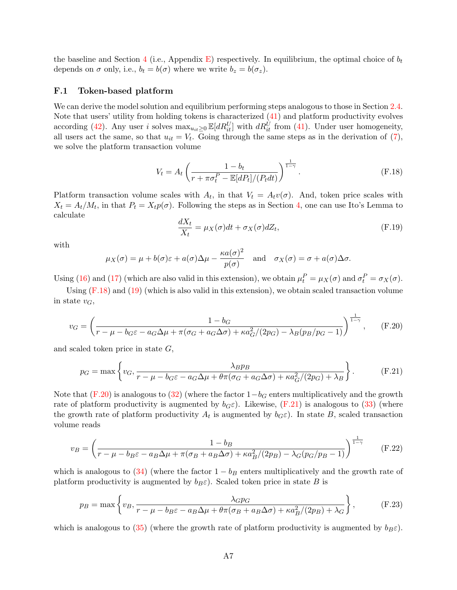the baseline and Section [4](#page-21-0) (i.e., Appendix [E\)](#page-46-0) respectively. In equilibrium, the optimal choice of  $b_t$ depends on  $\sigma$  only, i.e.,  $b_t = b(\sigma)$  where we write  $b_z = b(\sigma_z)$ .

### F.1 Token-based platform

We can derive the model solution and equilibrium performing steps analogous to those in Section [2.4.](#page-12-0) Note that users' utility from holding tokens is characterized [\(41\)](#page-32-1) and platform productivity evolves according [\(42\)](#page-32-2). Any user i solves  $\max_{u_{it}\geq 0} \mathbb{E}[dR_{it}^U]$  with  $dR_{it}^U$  from [\(41\)](#page-32-1). Under user homogeneity, all users act the same, so that  $u_{it} = V_t$ . Going through the same steps as in the derivation of [\(7\)](#page-9-3), we solve the platform transaction volume

<span id="page-49-0"></span>
$$
V_t = A_t \left( \frac{1 - b_t}{r + \pi \sigma_t^P - \mathbb{E}[dP_t]/(P_t dt)} \right)^{\frac{1}{1 - \gamma}}.
$$
 (F.18)

Platform transaction volume scales with  $A_t$ , in that  $V_t = A_t v(\sigma)$ . And, token price scales with  $X_t = A_t/M_t$ , in that  $P_t = X_t p(\sigma)$ . Following the steps as in Section [4,](#page-21-0) one can use Ito's Lemma to calculate

$$
\frac{dX_t}{X_t} = \mu_X(\sigma)dt + \sigma_X(\sigma)dZ_t,
$$
\n(F.19)

with

$$
\mu_X(\sigma) = \mu + b(\sigma)\varepsilon + a(\sigma)\Delta\mu - \frac{\kappa a(\sigma)^2}{p(\sigma)}
$$
 and  $\sigma_X(\sigma) = \sigma + a(\sigma)\Delta\sigma$ .

Using [\(16\)](#page-12-1) and [\(17\)](#page-12-2) (which are also valid in this extension), we obtain  $\mu_t^P = \mu_X(\sigma)$  and  $\sigma_t^P = \sigma_X(\sigma)$ .

Using  $(F.18)$  and  $(19)$  (which is also valid in this extension), we obtain scaled transaction volume in state  $v_G$ ,

<span id="page-49-1"></span>
$$
v_G = \left(\frac{1 - b_G}{r - \mu - b_G \varepsilon - a_G \Delta \mu + \pi (\sigma_G + a_G \Delta \sigma) + \kappa a_G^2/(2p_G) - \lambda_B (p_B/p_G - 1)}\right)^{\frac{1}{1 - \gamma}}, \quad (F.20)
$$

and scaled token price in state G,

<span id="page-49-2"></span>
$$
p_G = \max\left\{v_G, \frac{\lambda_B p_B}{r - \mu - b_G \varepsilon - a_G \Delta \mu + \theta \pi (\sigma_G + a_G \Delta \sigma) + \kappa a_G^2/(2p_G) + \lambda_B}\right\}.
$$
 (F.21)

Note that [\(F.20\)](#page-49-1) is analogous to [\(32\)](#page-23-0) (where the factor  $1-b<sub>G</sub>$  enters multiplicatively and the growth rate of platform productivity is augmented by  $b_G \varepsilon$ ). Likewise, [\(F.21\)](#page-49-2) is analogous to [\(33\)](#page-23-1) (where the growth rate of platform productivity  $A_t$  is augmented by  $b_G \varepsilon$ ). In state B, scaled transaction volume reads

<span id="page-49-4"></span>
$$
v_B = \left(\frac{1 - b_B}{r - \mu - b_B \varepsilon - a_B \Delta \mu + \pi(\sigma_B + a_B \Delta \sigma) + \kappa a_B^2 / (2p_B) - \lambda_G (p_G / p_B - 1)}\right)^{\frac{1}{1 - \gamma}}
$$
(F.22)

which is analogous to  $(34)$  (where the factor  $1 - b_B$  enters multiplicatively and the growth rate of platform productivity is augmented by  $b_B \varepsilon$ ). Scaled token price in state B is

<span id="page-49-3"></span>
$$
p_B = \max\left\{v_B, \frac{\lambda_G p_G}{r - \mu - b_B \varepsilon - a_B \Delta \mu + \theta \pi (\sigma_B + a_B \Delta \sigma) + \kappa a_B^2/(2p_B) + \lambda_G}\right\},\tag{F.23}
$$

which is analogous to [\(35\)](#page-23-3) (where the growth rate of platform productivity is augmented by  $b_B \varepsilon$ ).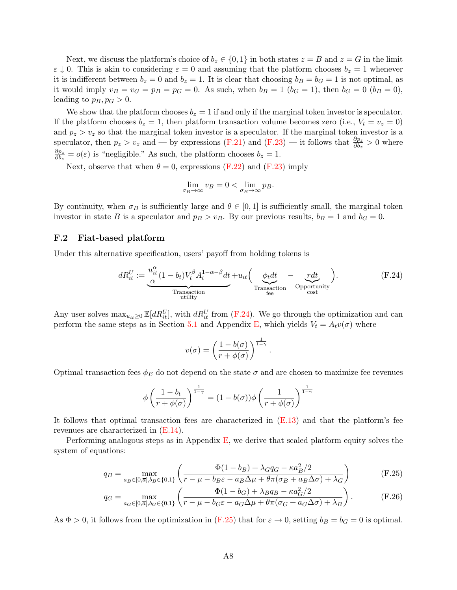Next, we discuss the platform's choice of  $b_z \in \{0,1\}$  in both states  $z = B$  and  $z = G$  in the limit  $\varepsilon \downarrow 0$ . This is akin to considering  $\varepsilon = 0$  and assuming that the platform chooses  $b_z = 1$  whenever it is indifferent between  $b_z = 0$  and  $b_z = 1$ . It is clear that choosing  $b_B = b_G = 1$  is not optimal, as it would imply  $v_B = v_G = p_B = p_G = 0$ . As such, when  $b_B = 1$  ( $b_G = 1$ ), then  $b_G = 0$  ( $b_B = 0$ ), leading to  $p_B$ ,  $p_G > 0$ .

We show that the platform chooses  $b_z = 1$  if and only if the marginal token investor is speculator. If the platform chooses  $b_z = 1$ , then platform transaction volume becomes zero (i.e.,  $V_t = v_z = 0$ ) and  $p_z > v_z$  so that the marginal token investor is a speculator. If the marginal token investor is a speculator, then  $p_z > v_z$  and — by expressions [\(F.21\)](#page-49-2) and [\(F.23\)](#page-49-3) — it follows that  $\frac{\partial p_z}{\partial b_z} > 0$  where  $\partial p_z$  $\frac{\partial p_z}{\partial b_z} = o(\varepsilon)$  is "negligible." As such, the platform chooses  $b_z = 1$ .

Next, observe that when  $\theta = 0$ , expressions [\(F.22\)](#page-49-4) and [\(F.23\)](#page-49-3) imply

$$
\lim_{\sigma_B \to \infty} v_B = 0 < \lim_{\sigma_B \to \infty} p_B.
$$

By continuity, when  $\sigma_B$  is sufficiently large and  $\theta \in [0, 1]$  is sufficiently small, the marginal token investor in state B is a speculator and  $p_B > v_B$ . By our previous results,  $b_B = 1$  and  $b_G = 0$ .

### F.2 Fiat-based platform

Under this alternative specification, users' payoff from holding tokens is

<span id="page-50-0"></span>
$$
dR_{it}^U := \underbrace{\frac{u_{it}^\alpha}{\alpha} (1 - b_t) V_t^\beta A_t^{1 - \alpha - \beta} dt}_{\text{Transaction}} + u_{it} \left( \underbrace{\phi_t dt}_{\text{Transaction}} - \underbrace{r dt}_{\text{Operation}} \right). \tag{F.24}
$$

Any user solves  $\max_{u_{it}\geq 0} \mathbb{E}[dR_{it}^U]$ , with  $dR_{it}^U$  from [\(F.24\)](#page-50-0). We go through the optimization and can perform the same steps as in Section [5.1](#page-28-2) and Appendix [E,](#page-46-0) which yields  $V_t = A_t v(\sigma)$  where

<span id="page-50-1"></span>
$$
v(\sigma) = \left(\frac{1 - b(\sigma)}{r + \phi(\sigma)}\right)^{\frac{1}{1 - \gamma}}.
$$

Optimal transaction fees  $\phi_E$  do not depend on the state  $\sigma$  and are chosen to maximize fee revenues

$$
\phi\left(\frac{1-b_t}{r+\phi(\sigma)}\right)^{\frac{1}{1-\gamma}} = (1-b(\sigma))\phi\left(\frac{1}{r+\phi(\sigma)}\right)^{\frac{1}{1-\gamma}}
$$

It follows that optimal transaction fees are characterized in [\(E.13\)](#page-47-1) and that the platform's fee revenues are characterized in [\(E.14\)](#page-47-2).

Performing analogous steps as in Appendix  $E$ , we derive that scaled platform equity solves the system of equations:

$$
q_B = \max_{a_B \in [0,\overline{a}], b_B \in \{0,1\}} \left( \frac{\Phi(1-b_B) + \lambda_{G} q_G - \kappa a_B^2 / 2}{r - \mu - b_B \varepsilon - a_B \Delta \mu + \theta \pi (\sigma_B + a_B \Delta \sigma) + \lambda_G} \right)
$$
(F.25)

$$
q_G = \max_{a_G \in [0,\overline{a}], b_G \in \{0,1\}} \left( \frac{\Phi(1-b_G) + \lambda_B q_B - \kappa a_G^2/2}{r - \mu - b_G \varepsilon - a_G \Delta \mu + \theta \pi (\sigma_G + a_G \Delta \sigma) + \lambda_B} \right). \tag{F.26}
$$

As  $\Phi > 0$ , it follows from the optimization in [\(F.25\)](#page-50-1) that for  $\varepsilon \to 0$ , setting  $b_B = b_G = 0$  is optimal.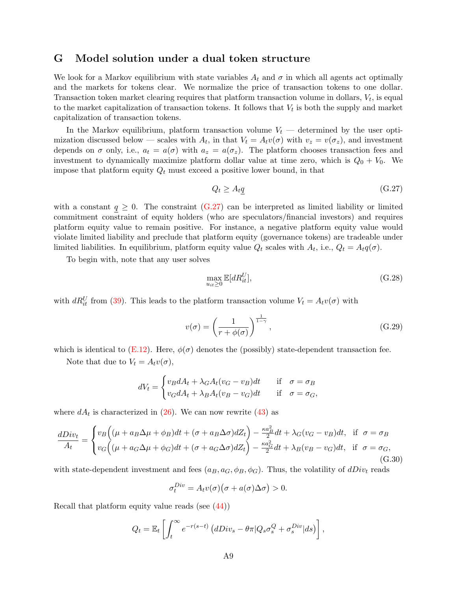# <span id="page-51-0"></span>G Model solution under a dual token structure

We look for a Markov equilibrium with state variables  $A_t$  and  $\sigma$  in which all agents act optimally and the markets for tokens clear. We normalize the price of transaction tokens to one dollar. Transaction token market clearing requires that platform transaction volume in dollars,  $V_t$ , is equal to the market capitalization of transaction tokens. It follows that  $V_t$  is both the supply and market capitalization of transaction tokens.

In the Markov equilibrium, platform transaction volume  $V_t$  — determined by the user optimization discussed below – scales with  $A_t$ , in that  $V_t = A_t v(\sigma)$  with  $v_z = v(\sigma_z)$ , and investment depends on  $\sigma$  only, i.e.,  $a_t = a(\sigma)$  with  $a_z = a(\sigma_z)$ . The platform chooses transaction fees and investment to dynamically maximize platform dollar value at time zero, which is  $Q_0 + V_0$ . We impose that platform equity  $Q_t$  must exceed a positive lower bound, in that

<span id="page-51-1"></span>
$$
Q_t \ge A_t q \tag{G.27}
$$

with a constant  $q \geq 0$ . The constraint  $(G.27)$  can be interpreted as limited liability or limited commitment constraint of equity holders (who are speculators/financial investors) and requires platform equity value to remain positive. For instance, a negative platform equity value would violate limited liability and preclude that platform equity (governance tokens) are tradeable under limited liabilities. In equilibrium, platform equity value  $Q_t$  scales with  $A_t$ , i.e.,  $Q_t = A_t q(\sigma)$ .

To begin with, note that any user solves

$$
\max_{u_{it} \ge 0} \mathbb{E}[dR_{it}^U],\tag{G.28}
$$

with  $dR_{it}^U$  from [\(39\)](#page-29-1). This leads to the platform transaction volume  $V_t = A_t v(\sigma)$  with

<span id="page-51-3"></span>
$$
v(\sigma) = \left(\frac{1}{r + \phi(\sigma)}\right)^{\frac{1}{1-\gamma}},
$$
\n(G.29)

which is identical to  $(E.12)$ . Here,  $\phi(\sigma)$  denotes the (possibly) state-dependent transaction fee.

Note that due to  $V_t = A_t v(\sigma)$ ,

$$
dV_t = \begin{cases} v_B dA_t + \lambda_G A_t (v_G - v_B) dt & \text{if } \sigma = \sigma_B \\ v_G dA_t + \lambda_B A_t (v_B - v_G) dt & \text{if } \sigma = \sigma_G, \end{cases}
$$

where  $dA_t$  is characterized in [\(26\)](#page-21-2). We can now rewrite [\(43\)](#page-34-1) as

<span id="page-51-2"></span>
$$
\frac{dDiv_t}{A_t} = \begin{cases} v_B \left( (\mu + a_B \Delta \mu + \phi_B) dt + (\sigma + a_B \Delta \sigma) dZ_t \right) - \frac{\kappa a_B^2}{2} dt + \lambda_G (v_G - v_B) dt, & \text{if } \sigma = \sigma_B \\ v_G \left( (\mu + a_G \Delta \mu + \phi_G) dt + (\sigma + a_G \Delta \sigma) dZ_t \right) - \frac{\kappa a_G^2}{2} dt + \lambda_B (v_B - v_G) dt, & \text{if } \sigma = \sigma_G, \end{cases}
$$
\n
$$
(G.30)
$$

with state-dependent investment and fees  $(a_B, a_G, \phi_B, \phi_G)$ . Thus, the volatility of  $dDiv_t$  reads

$$
\sigma_t^{Div} = A_t v(\sigma) \big( \sigma + a(\sigma) \Delta \sigma \big) > 0.
$$

Recall that platform equity value reads (see [\(44\)](#page-34-2))

$$
Q_t = \mathbb{E}_t \left[ \int_t^{\infty} e^{-r(s-t)} \left( dDiv_s - \theta \pi | Q_s \sigma_s^Q + \sigma_s^{Div} | ds \right) \right],
$$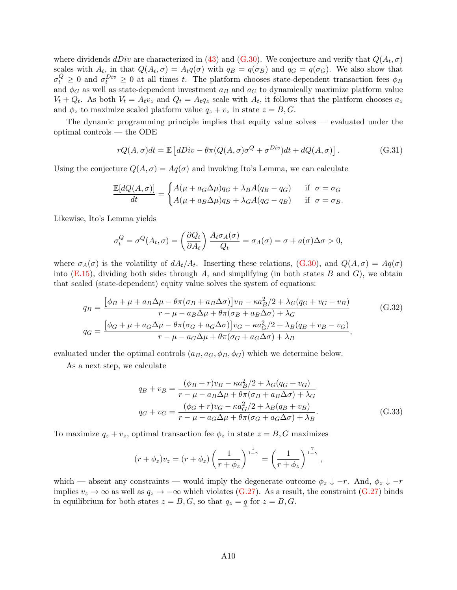where dividends  $dDiv$  are characterized in [\(43\)](#page-34-1) and [\(G.30\)](#page-51-2). We conjecture and verify that  $Q(A_t, \sigma)$ scales with  $A_t$ , in that  $Q(A_t, \sigma) = A_t q(\sigma)$  with  $q_B = q(\sigma_B)$  and  $q_G = q(\sigma_G)$ . We also show that  $\sigma_t^Q \geq 0$  and  $\sigma_t^{Div} \geq 0$  at all times t. The platform chooses state-dependent transaction fees  $\phi_B$ and  $\phi_G$  as well as state-dependent investment  $a_B$  and  $a_G$  to dynamically maximize platform value  $V_t + Q_t$ . As both  $V_t = A_t v_z$  and  $Q_t = A_t q_z$  scale with  $A_t$ , it follows that the platform chooses  $a_z$ and  $\phi_z$  to maximize scaled platform value  $q_z + v_z$  in state  $z = B, G$ .

The dynamic programming principle implies that equity value solves — evaluated under the optimal controls — the ODE

$$
rQ(A,\sigma)dt = \mathbb{E}\left[dDiv - \theta\pi(Q(A,\sigma)\sigma^{Q} + \sigma^{Div})dt + dQ(A,\sigma)\right].
$$
 (G.31)

Using the conjecture  $Q(A, \sigma) = Aq(\sigma)$  and invoking Ito's Lemma, we can calculate

$$
\frac{\mathbb{E}[dQ(A,\sigma)]}{dt} = \begin{cases} A(\mu + a_G \Delta \mu)q_G + \lambda_B A(q_B - q_G) & \text{if } \sigma = \sigma_G \\ A(\mu + a_B \Delta \mu)q_B + \lambda_G A(q_G - q_B) & \text{if } \sigma = \sigma_B. \end{cases}
$$

Likewise, Ito's Lemma yields

$$
\sigma_t^Q = \sigma^Q(A_t, \sigma) = \left(\frac{\partial Q_t}{\partial A_t}\right) \frac{A_t \sigma_A(\sigma)}{Q_t} = \sigma_A(\sigma) = \sigma + a(\sigma) \Delta \sigma > 0,
$$

where  $\sigma_A(\sigma)$  is the volatility of  $dA_t/A_t$ . Inserting these relations, [\(G.30\)](#page-51-2), and  $Q(A,\sigma) = Aq(\sigma)$ into  $(E.15)$ , dividing both sides through A, and simplifying (in both states B and G), we obtain that scaled (state-dependent) equity value solves the system of equations:

$$
q_B = \frac{\left[\phi_B + \mu + a_B \Delta \mu - \theta \pi (\sigma_B + a_B \Delta \sigma)\right] v_B - \kappa a_B^2 / 2 + \lambda_G (q_G + v_G - v_B)}{r - \mu - a_B \Delta \mu + \theta \pi (\sigma_B + a_B \Delta \sigma) + \lambda_G}
$$
(G.32)  

$$
q_G = \frac{\left[\phi_G + \mu + a_G \Delta \mu - \theta \pi (\sigma_G + a_G \Delta \sigma)\right] v_G - \kappa a_G^2 / 2 + \lambda_B (q_B + v_B - v_G)}{r - \mu - a_G \Delta \mu + \theta \pi (\sigma_G + a_G \Delta \sigma) + \lambda_B},
$$

evaluated under the optimal controls  $(a_B, a_G, \phi_B, \phi_G)$  which we determine below.

As a next step, we calculate

<span id="page-52-1"></span><span id="page-52-0"></span>
$$
q_B + v_B = \frac{(\phi_B + r)v_B - \kappa a_B^2/2 + \lambda_G(q_G + v_G)}{r - \mu - a_B \Delta \mu + \theta \pi (\sigma_B + a_B \Delta \sigma) + \lambda_G}
$$
  

$$
q_G + v_G = \frac{(\phi_G + r)v_G - \kappa a_G^2/2 + \lambda_B(q_B + v_B)}{r - \mu - a_G \Delta \mu + \theta \pi (\sigma_G + a_G \Delta \sigma) + \lambda_B}.
$$
 (G.33)

To maximize  $q_z + v_z$ , optimal transaction fee  $\phi_z$  in state  $z = B, G$  maximizes

$$
(r+\phi_z)v_z = (r+\phi_z)\left(\frac{1}{r+\phi_z}\right)^{\frac{1}{1-\gamma}} = \left(\frac{1}{r+\phi_z}\right)^{\frac{\gamma}{1-\gamma}},
$$

which — absent any constraints — would imply the degenerate outcome  $\phi_z \downarrow -r$ . And,  $\phi_z \downarrow -r$ implies  $v_z \to \infty$  as well as  $q_z \to -\infty$  which violates [\(G.27\)](#page-51-1). As a result, the constraint (G.27) binds in equilibrium for both states  $z = B, G$ , so that  $q_z = q$  for  $z = B, G$ .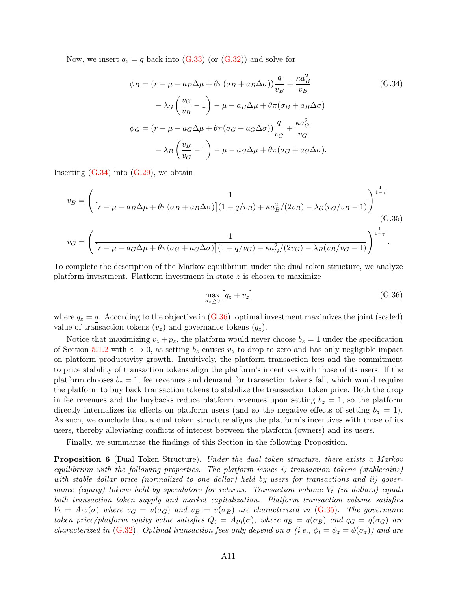Now, we insert  $q_z = q$  back into [\(G.33\)](#page-52-0) (or [\(G.32\)](#page-52-1)) and solve for

<span id="page-53-0"></span>
$$
\phi_B = (r - \mu - a_B \Delta \mu + \theta \pi (\sigma_B + a_B \Delta \sigma)) \frac{q}{v_B} + \frac{\kappa a_B^2}{v_B}
$$
(G.34)  

$$
- \lambda_G \left( \frac{v_G}{v_B} - 1 \right) - \mu - a_B \Delta \mu + \theta \pi (\sigma_B + a_B \Delta \sigma)
$$
  

$$
\phi_G = (r - \mu - a_G \Delta \mu + \theta \pi (\sigma_G + a_G \Delta \sigma)) \frac{q}{v_G} + \frac{\kappa a_G^2}{v_G}
$$
  

$$
- \lambda_B \left( \frac{v_B}{v_G} - 1 \right) - \mu - a_G \Delta \mu + \theta \pi (\sigma_G + a_G \Delta \sigma).
$$

Inserting  $(G.34)$  into  $(G.29)$ , we obtain

$$
v_B = \left(\frac{1}{\left[r - \mu - a_B \Delta \mu + \theta \pi (\sigma_B + a_B \Delta \sigma)\right](1 + \underline{q}/v_B) + \kappa a_B^2/(2v_B) - \lambda_G(v_G/v_B - 1)}\right)^{\frac{1}{1 - \gamma}}
$$
\n(G.35)\n
$$
v_G = \left(\frac{1}{\left[r - \mu - a_G \Delta \mu + \theta \pi (\sigma_G + a_G \Delta \sigma)\right](1 + \underline{q}/v_G) + \kappa a_G^2/(2v_G) - \lambda_B(v_B/v_G - 1)}\right)^{\frac{1}{1 - \gamma}}.
$$

To complete the description of the Markov equilibrium under the dual token structure, we analyze platform investment. Platform investment in state  $z$  is chosen to maximize

<span id="page-53-2"></span><span id="page-53-1"></span>
$$
\max_{a_z \ge 0} [q_z + v_z] \tag{G.36}
$$

where  $q_z = q$ . According to the objective in  $(G.36)$ , optimal investment maximizes the joint (scaled) value of transaction tokens  $(v_z)$  and governance tokens  $(q_z)$ .

Notice that maximizing  $v_z + p_z$ , the platform would never choose  $b_z = 1$  under the specification of Section [5.1.2](#page-32-0) with  $\varepsilon \to 0$ , as setting  $b_z$  causes  $v_z$  to drop to zero and has only negligible impact on platform productivity growth. Intuitively, the platform transaction fees and the commitment to price stability of transaction tokens align the platform's incentives with those of its users. If the platform chooses  $b_z = 1$ , fee revenues and demand for transaction tokens fall, which would require the platform to buy back transaction tokens to stabilize the transaction token price. Both the drop in fee revenues and the buybacks reduce platform revenues upon setting  $b_z = 1$ , so the platform directly internalizes its effects on platform users (and so the negative effects of setting  $b_z = 1$ ). As such, we conclude that a dual token structure aligns the platform's incentives with those of its users, thereby alleviating conflicts of interest between the platform (owners) and its users.

Finally, we summarize the findings of this Section in the following Proposition.

**Proposition 6** (Dual Token Structure). Under the dual token structure, there exists a Markov equilibrium with the following properties. The platform issues  $i$ ) transaction tokens (stablecoins) with stable dollar price (normalized to one dollar) held by users for transactions and ii) governance (equity) tokens held by speculators for returns. Transaction volume  $V_t$  (in dollars) equals both transaction token supply and market capitalization. Platform transaction volume satisfies  $V_t = A_t v(\sigma)$  where  $v_G = v(\sigma_G)$  and  $v_B = v(\sigma_B)$  are characterized in [\(G.35\)](#page-53-2). The governance token price/platform equity value satisfies  $Q_t = A_t q(\sigma)$ , where  $q_B = q(\sigma_B)$  and  $q_G = q(\sigma_G)$  are characterized in [\(G.32\)](#page-52-1). Optimal transaction fees only depend on  $\sigma$  (i.e.,  $\phi_t = \phi_z = \phi(\sigma_z)$ ) and are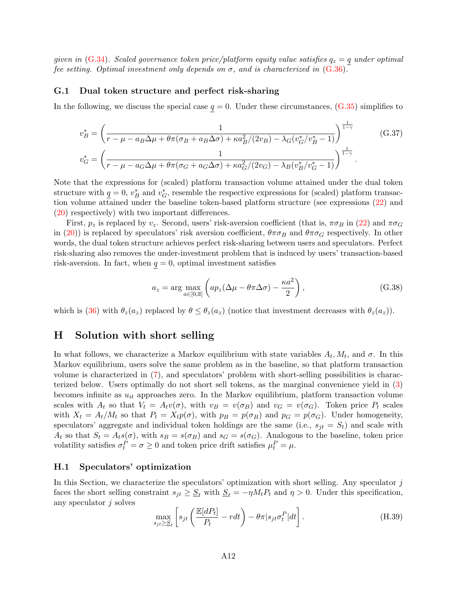given in [\(G.34\)](#page-53-0). Scaled governance token price/platform equity value satisfies  $q_z = q$  under optimal fee setting. Optimal investment only depends on  $\sigma$ , and is characterized in [\(G.36\)](#page-53-1).

### <span id="page-54-1"></span>G.1 Dual token structure and perfect risk-sharing

In the following, we discuss the special case  $q = 0$ . Under these circumstances,  $(G.35)$  simplifies to

$$
v_B^* = \left(\frac{1}{r - \mu - a_B \Delta \mu + \theta \pi (\sigma_B + a_B \Delta \sigma) + \kappa a_B^2 / (2v_B) - \lambda_G (v_G^* / v_B^* - 1)}\right)^{\frac{1}{1 - \gamma}} \qquad (G.37)
$$
  

$$
v_G^* = \left(\frac{1}{r - \mu - a_G \Delta \mu + \theta \pi (\sigma_G + a_G \Delta \sigma) + \kappa a_G^2 / (2v_G) - \lambda_B (v_B^* / v_G^* - 1)}\right)^{\frac{1}{1 - \gamma}}.
$$

Note that the expressions for (scaled) platform transaction volume attained under the dual token structure with  $q = 0, v_B^*$  and  $v_G^*$ , resemble the respective expressions for (scaled) platform transaction volume attained under the baseline token-based platform structure (see expressions [\(22\)](#page-13-5) and [\(20\)](#page-13-3) respectively) with two important differences.

First,  $p_z$  is replaced by  $v_z$ . Second, users' risk-aversion coefficient (that is,  $\pi \sigma_B$  in [\(22\)](#page-13-5) and  $\pi \sigma_G$ in [\(20\)](#page-13-3)) is replaced by speculators' risk aversion coefficient,  $\theta \pi \sigma_B$  and  $\theta \pi \sigma_G$  respectively. In other words, the dual token structure achieves perfect risk-sharing between users and speculators. Perfect risk-sharing also removes the under-investment problem that is induced by users' transaction-based risk-aversion. In fact, when  $q = 0$ , optimal investment satisfies

$$
a_z = \arg\max_{a \in [0,\overline{a}]} \left( ap_z(\Delta\mu - \theta \pi \Delta\sigma) - \frac{\kappa a^2}{2} \right),\tag{G.38}
$$

which is [\(36\)](#page-23-4) with  $\theta_z(a_z)$  replaced by  $\theta \leq \theta_z(a_z)$  (notice that investment decreases with  $\theta_z(a_z)$ ).

# <span id="page-54-0"></span>H Solution with short selling

In what follows, we characterize a Markov equilibrium with state variables  $A_t, M_t$ , and  $\sigma$ . In this Markov equilibrium, users solve the same problem as in the baseline, so that platform transaction volume is characterized in [\(7\)](#page-9-3), and speculators' problem with short-selling possibilities is characterized below. Users optimally do not short sell tokens, as the marginal convenience yield in [\(3\)](#page-7-3) becomes infinite as  $u_{it}$  approaches zero. In the Markov equilibrium, platform transaction volume scales with  $A_t$  so that  $V_t = A_t v(\sigma)$ , with  $v_B = v(\sigma_B)$  and  $v_G = v(\sigma_G)$ . Token price  $P_t$  scales with  $X_t = A_t/M_t$  so that  $P_t = X_t p(\sigma)$ , with  $p_B = p(\sigma_B)$  and  $p_G = p(\sigma_G)$ . Under homogeneity, speculators' aggregate and individual token holdings are the same (i.e.,  $s_{it} = S_t$ ) and scale with  $A_t$  so that  $S_t = A_t s(\sigma)$ , with  $s_B = s(\sigma_B)$  and  $s_G = s(\sigma_G)$ . Analogous to the baseline, token price volatility satisfies  $\sigma_t^P = \sigma \ge 0$  and token price drift satisfies  $\mu_t^P = \mu$ .

### H.1 Speculators' optimization

In this Section, we characterize the speculators' optimization with short selling. Any speculator  $j$ faces the short selling constraint  $s_{jt} \geq \underline{S}_t$  with  $\underline{S}_t = -\eta M_t P_t$  and  $\eta > 0$ . Under this specification, any speculator  $j$  solves

<span id="page-54-2"></span>
$$
\max_{s_{jt} \ge S_t} \left[ s_{jt} \left( \frac{\mathbb{E}[dP_t]}{P_t} - r dt \right) - \theta \pi | s_{jt} \sigma_t^P | dt \right]. \tag{H.39}
$$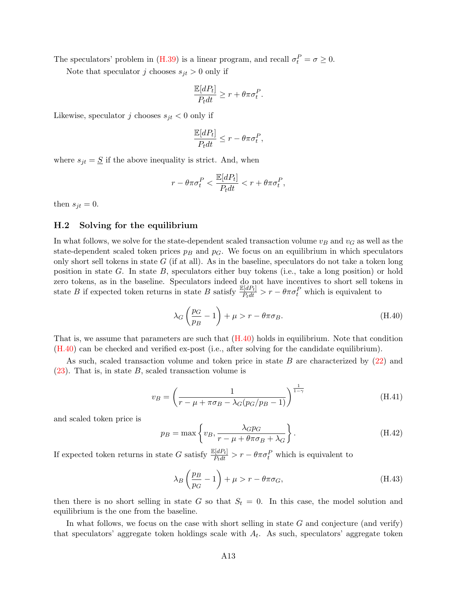The speculators' problem in [\(H.39\)](#page-54-2) is a linear program, and recall  $\sigma_t^P = \sigma \ge 0$ .

Note that speculator j chooses  $s_{jt} > 0$  only if

$$
\frac{\mathbb{E}[dP_t]}{P_t dt} \ge r + \theta \pi \sigma_t^P.
$$

Likewise, speculator j chooses  $s_{jt} < 0$  only if

$$
\frac{\mathbb{E}[dP_t]}{P_t dt} \le r - \theta \pi \sigma_t^P,
$$

where  $s_{jt} = \underline{S}$  if the above inequality is strict. And, when

$$
r - \theta \pi \sigma_t^P < \frac{\mathbb{E}[dP_t]}{P_t dt} < r + \theta \pi \sigma_t^P,
$$

then  $s_{jt} = 0$ .

### H.2 Solving for the equilibrium

In what follows, we solve for the state-dependent scaled transaction volume  $v_B$  and  $v_G$  as well as the state-dependent scaled token prices  $p_B$  and  $p_G$ . We focus on an equilibrium in which speculators only short sell tokens in state  $G$  (if at all). As in the baseline, speculators do not take a token long position in state  $G$ . In state  $B$ , speculators either buy tokens (i.e., take a long position) or hold zero tokens, as in the baseline. Speculators indeed do not have incentives to short sell tokens in state B if expected token returns in state B satisfy  $\frac{\mathbb{E}[dP_t]}{P_t dt} > r - \theta \pi \sigma_t^P$  which is equivalent to

<span id="page-55-0"></span>
$$
\lambda_G \left(\frac{p_G}{p_B} - 1\right) + \mu > r - \theta \pi \sigma_B. \tag{H.40}
$$

That is, we assume that parameters are such that  $(H.40)$  holds in equilibrium. Note that condition [\(H.40\)](#page-55-0) can be checked and verified ex-post (i.e., after solving for the candidate equilibrium).

As such, scaled transaction volume and token price in state B are characterized by [\(22\)](#page-13-5) and  $(23)$ . That is, in state B, scaled transaction volume is

<span id="page-55-2"></span>
$$
v_B = \left(\frac{1}{r - \mu + \pi \sigma_B - \lambda_G (p_G/p_B - 1)}\right)^{\frac{1}{1 - \gamma}}
$$
(H.41)

and scaled token price is

<span id="page-55-3"></span>
$$
p_B = \max \left\{ v_B, \frac{\lambda G p_G}{r - \mu + \theta \pi \sigma_B + \lambda_G} \right\}.
$$
 (H.42)

If expected token returns in state G satisfy  $\frac{\mathbb{E}[dP_t]}{P_tdt} > r - \theta \pi \sigma_t^P$  which is equivalent to

<span id="page-55-1"></span>
$$
\lambda_B \left(\frac{p_B}{p_G} - 1\right) + \mu > r - \theta \pi \sigma_G,
$$
\n(H.43)

then there is no short selling in state G so that  $S_t = 0$ . In this case, the model solution and equilibrium is the one from the baseline.

In what follows, we focus on the case with short selling in state  $G$  and conjecture (and verify) that speculators' aggregate token holdings scale with  $A_t$ . As such, speculators' aggregate token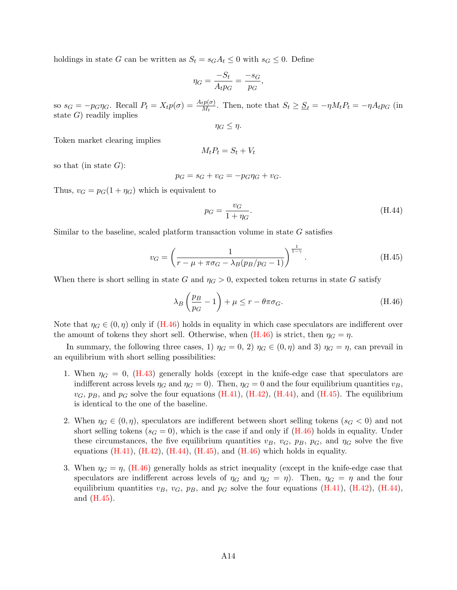holdings in state G can be written as  $S_t = s_G A_t \leq 0$  with  $s_G \leq 0$ . Define

$$
\eta_G = \frac{-S_t}{A_t p_G} = \frac{-s_G}{p_G},
$$

so  $s_G = -p_G \eta_G$ . Recall  $P_t = X_t p(\sigma) = \frac{A_t p(\sigma)}{M_t}$ . Then, note that  $S_t \geq \underline{S}_t = -\eta M_t P_t = -\eta A_t p_G$  (in state  $G$ ) readily implies

 $\eta_G \leq \eta$ .

Token market clearing implies

$$
M_t P_t = S_t + V_t
$$

so that (in state  $G$ ):

$$
p_G = s_G + v_G = -p_G \eta_G + v_G.
$$

Thus,  $v_G = p_G(1 + \eta_G)$  which is equivalent to

<span id="page-56-1"></span>
$$
p_G = \frac{v_G}{1 + \eta_G}.\tag{H.44}
$$

Similar to the baseline, scaled platform transaction volume in state G satisfies

<span id="page-56-2"></span>
$$
v_G = \left(\frac{1}{r - \mu + \pi \sigma_G - \lambda_B (p_B/p_G - 1)}\right)^{\frac{1}{1 - \gamma}}.
$$
\n(H.45)

When there is short selling in state G and  $\eta_G > 0$ , expected token returns in state G satisfy

<span id="page-56-0"></span>
$$
\lambda_B \left(\frac{p_B}{p_G} - 1\right) + \mu \le r - \theta \pi \sigma_G. \tag{H.46}
$$

Note that  $\eta_G \in (0, \eta)$  only if [\(H.46\)](#page-56-0) holds in equality in which case speculators are indifferent over the amount of tokens they short sell. Otherwise, when  $(H.46)$  is strict, then  $\eta_G = \eta$ .

In summary, the following three cases, 1)  $\eta_G = 0$ , 2)  $\eta_G \in (0, \eta)$  and 3)  $\eta_G = \eta$ , can prevail in an equilibrium with short selling possibilities:

- 1. When  $\eta_G = 0$ , [\(H.43\)](#page-55-1) generally holds (except in the knife-edge case that speculators are indifferent across levels  $\eta_G$  and  $\eta_G = 0$ . Then,  $\eta_G = 0$  and the four equilibrium quantities  $v_B$ ,  $v_G$ ,  $p_B$ , and  $p_G$  solve the four equations [\(H.41\)](#page-55-2), [\(H.42\)](#page-55-3), [\(H.44\)](#page-56-1), and [\(H.45\)](#page-56-2). The equilibrium is identical to the one of the baseline.
- 2. When  $\eta_G \in (0, \eta)$ , speculators are indifferent between short selling tokens  $(s_G < 0)$  and not short selling tokens ( $s_G = 0$ ), which is the case if and only if [\(H.46\)](#page-56-0) holds in equality. Under these circumstances, the five equilibrium quantities  $v_B$ ,  $v_G$ ,  $p_B$ ,  $p_G$ , and  $\eta_G$  solve the five equations  $(H.41)$ ,  $(H.42)$ ,  $(H.44)$ ,  $(H.45)$ , and  $(H.46)$  which holds in equality.
- 3. When  $\eta_G = \eta$ , [\(H.46\)](#page-56-0) generally holds as strict inequality (except in the knife-edge case that speculators are indifferent across levels of  $\eta_G$  and  $\eta_G = \eta$ . Then,  $\eta_G = \eta$  and the four equilibrium quantities  $v_B$ ,  $v_G$ ,  $p_B$ , and  $p_G$  solve the four equations [\(H.41\)](#page-55-2), [\(H.42\)](#page-55-3), [\(H.44\)](#page-56-1), and [\(H.45\)](#page-56-2).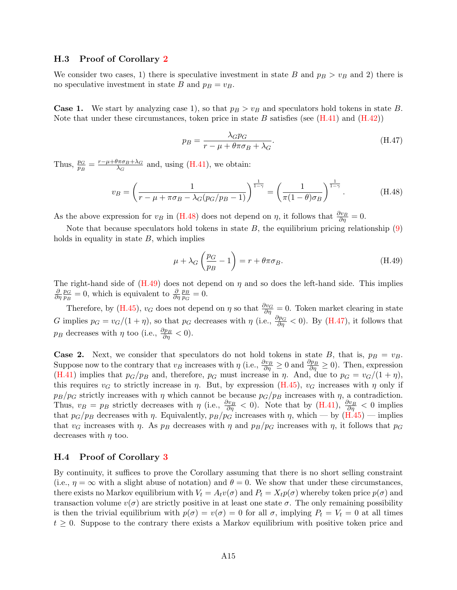### H.3 Proof of Corollary [2](#page-20-2)

We consider two cases, 1) there is speculative investment in state B and  $p_B > v_B$  and 2) there is no speculative investment in state B and  $p_B = v_B$ .

**Case 1.** We start by analyzing case 1), so that  $p_B > v_B$  and speculators hold tokens in state B. Note that under these circumstances, token price in state B satisfies (see  $(H.41)$  and  $(H.42)$ )

<span id="page-57-2"></span>
$$
p_B = \frac{\lambda G p G}{r - \mu + \theta \pi \sigma_B + \lambda_G}.
$$
\n(H.47)

Thus,  $\frac{p_G}{p_B} = \frac{r - \mu + \theta \pi \sigma_B + \lambda_G}{\lambda_G}$  $\frac{\sqrt{\pi \sigma_B + \lambda_G}}{\lambda_G}$  and, using [\(H.41\)](#page-55-2), we obtain:

<span id="page-57-0"></span>
$$
v_B = \left(\frac{1}{r - \mu + \pi \sigma_B - \lambda_G (p_G/p_B - 1)}\right)^{\frac{1}{1 - \gamma}} = \left(\frac{1}{\pi (1 - \theta) \sigma_B}\right)^{\frac{1}{1 - \gamma}}.
$$
 (H.48)

As the above expression for  $v_B$  in [\(H.48\)](#page-57-0) does not depend on  $\eta$ , it follows that  $\frac{\partial v_B}{\partial \eta} = 0$ .

Note that because speculators hold tokens in state  $B$ , the equilibrium pricing relationship  $(9)$ holds in equality in state  $B$ , which implies

<span id="page-57-1"></span>
$$
\mu + \lambda_G \left(\frac{p_G}{p_B} - 1\right) = r + \theta \pi \sigma_B. \tag{H.49}
$$

The right-hand side of  $(H.49)$  does not depend on  $\eta$  and so does the left-hand side. This implies ∂  $\frac{\partial}{\partial \eta} \frac{p_G}{p_B}$  $\frac{p_G}{p_B} = 0$ , which is equivalent to  $\frac{\partial p_B}{\partial \eta p_G}$  $\frac{p_B}{p_G}=0.$ 

Therefore, by [\(H.45\)](#page-56-2),  $v_G$  does not depend on  $\eta$  so that  $\frac{\partial v_G}{\partial \eta} = 0$ . Token market clearing in state G implies  $p_G = v_G/(1 + \eta)$ , so that  $p_G$  decreases with  $\eta$  (i.e.,  $\frac{\partial p_G}{\partial \eta} < 0$ ). By [\(H.47\)](#page-57-2), it follows that  $p_B$  decreases with  $\eta$  too (i.e.,  $\frac{\partial p_B}{\partial \eta} < 0$ ).

**Case 2.** Next, we consider that speculators do not hold tokens in state B, that is,  $p_B = v_B$ . Suppose now to the contrary that  $v_B$  increases with  $\eta$  (i.e.,  $\frac{\partial v_B}{\partial \eta} \ge 0$  and  $\frac{\partial p_B}{\partial \eta} \ge 0$ ). Then, expression [\(H.41\)](#page-55-2) implies that  $p_G/p_B$  and, therefore,  $p_G$  must increase in  $\eta$ . And, due to  $p_G = v_G/(1 + \eta)$ , this requires  $v_G$  to strictly increase in  $\eta$ . But, by expression [\(H.45\)](#page-56-2),  $v_G$  increases with  $\eta$  only if  $p_B/p_G$  strictly increases with  $\eta$  which cannot be because  $p_G/p_B$  increases with  $\eta$ , a contradiction. Thus,  $v_B = p_B$  strictly decreases with  $\eta$  (i.e.,  $\frac{\partial v_B}{\partial \eta} < 0$ ). Note that by [\(H.41\)](#page-55-2),  $\frac{\partial v_B}{\partial \eta} < 0$  implies that  $p_G/p_B$  decreases with  $\eta$ . Equivalently,  $p_B/p_G$  increases with  $\eta$ , which — by  $(H.45)$  — implies that  $v_G$  increases with  $\eta$ . As  $p_B$  decreases with  $\eta$  and  $p_B/p_G$  increases with  $\eta$ , it follows that  $p_G$ decreases with  $\eta$  too.

### H.4 Proof of Corollary [3](#page-21-3)

By continuity, it suffices to prove the Corollary assuming that there is no short selling constraint (i.e.,  $\eta = \infty$  with a slight abuse of notation) and  $\theta = 0$ . We show that under these circumstances, there exists no Markov equilibrium with  $V_t = A_t v(\sigma)$  and  $P_t = X_t p(\sigma)$  whereby token price  $p(\sigma)$  and transaction volume  $v(\sigma)$  are strictly positive in at least one state  $\sigma$ . The only remaining possibility is then the trivial equilibrium with  $p(\sigma) = v(\sigma) = 0$  for all  $\sigma$ , implying  $P_t = V_t = 0$  at all times  $t \geq 0$ . Suppose to the contrary there exists a Markov equilibrium with positive token price and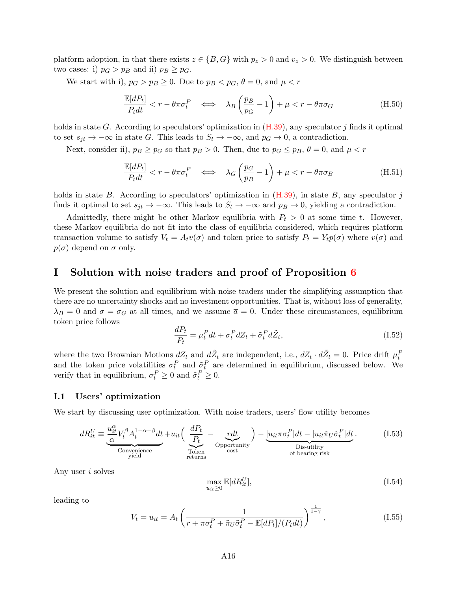platform adoption, in that there exists  $z \in \{B, G\}$  with  $p_z > 0$  and  $v_z > 0$ . We distinguish between two cases: i)  $p_G > p_B$  and ii)  $p_B \geq p_G$ .

We start with i),  $p_G > p_B \geq 0$ . Due to  $p_B < p_G$ ,  $\theta = 0$ , and  $\mu < r$ 

$$
\frac{\mathbb{E}[dP_t]}{P_t dt} < r - \theta \pi \sigma_t^P \iff \lambda_B \left(\frac{p_B}{p_G} - 1\right) + \mu < r - \theta \pi \sigma_G \tag{H.50}
$$

holds in state G. According to speculators' optimization in  $(H.39)$ , any speculator j finds it optimal to set  $s_{it} \to -\infty$  in state G. This leads to  $S_t \to -\infty$ , and  $p_G \to 0$ , a contradiction.

Next, consider ii),  $p_B \geq p_G$  so that  $p_B > 0$ . Then, due to  $p_G \leq p_B$ ,  $\theta = 0$ , and  $\mu < r$ 

$$
\frac{\mathbb{E}[dP_t]}{P_t dt} < r - \theta \pi \sigma_t^P \iff \lambda_G \left(\frac{p_G}{p_B} - 1\right) + \mu < r - \theta \pi \sigma_B \tag{H.51}
$$

holds in state B. According to speculators' optimization in  $(H.39)$ , in state B, any speculator j finds it optimal to set  $s_{jt} \to -\infty$ . This leads to  $S_t \to -\infty$  and  $p_B \to 0$ , yielding a contradiction.

Admittedly, there might be other Markov equilibria with  $P_t > 0$  at some time t. However, these Markov equilibria do not fit into the class of equilibria considered, which requires platform transaction volume to satisfy  $V_t = A_t v(\sigma)$  and token price to satisfy  $P_t = Y_t p(\sigma)$  where  $v(\sigma)$  and  $p(\sigma)$  depend on  $\sigma$  only.

### <span id="page-58-0"></span>I Solution with noise traders and proof of Proposition [6](#page-37-1)

We present the solution and equilibrium with noise traders under the simplifying assumption that there are no uncertainty shocks and no investment opportunities. That is, without loss of generality,  $\lambda_B = 0$  and  $\sigma = \sigma_G$  at all times, and we assume  $\bar{a} = 0$ . Under these circumstances, equilibrium token price follows

<span id="page-58-2"></span>
$$
\frac{dP_t}{P_t} = \mu_t^P dt + \sigma_t^P dZ_t + \tilde{\sigma}_t^P d\tilde{Z}_t, \tag{I.52}
$$

where the two Brownian Motions  $dZ_t$  and  $d\tilde{Z}_t$  are independent, i.e.,  $dZ_t \cdot d\tilde{Z}_t = 0$ . Price drift  $\mu_t^P$ and the token price volatilities  $\sigma_t^P$  and  $\tilde{\sigma}_t^P$  are determined in equilibrium, discussed below. We verify that in equilibrium,  $\sigma_t^P \ge 0$  and  $\tilde{\sigma}_t^P \ge 0$ .

#### I.1 Users' optimization

We start by discussing user optimization. With noise traders, users' flow utility becomes

$$
dR_{it}^U \equiv \underbrace{\frac{u_{it}^{\alpha}}{\alpha} V_t^{\beta} A_t^{1-\alpha-\beta} dt}_{\text{Convenience}} + u_{it} \left( \underbrace{\frac{dP_t}{P_t}}_{\text{Token}} - \underbrace{\frac{rdt}{\text{opentunity}}}_{\text{cost}} \right) - \underbrace{\left| u_{it} \pi \sigma_t^P \right| dt - \left| u_{it} \tilde{\pi}_U \tilde{\sigma}_t^P \right| dt}_{\text{Dis-utility}}.
$$
\n(1.53)

Any user i solves

<span id="page-58-1"></span>
$$
\max_{u_{it} \ge 0} \mathbb{E}[dR_{it}^U],\tag{I.54}
$$

leading to

<span id="page-58-3"></span>
$$
V_t = u_{it} = A_t \left( \frac{1}{r + \pi \sigma_t^P + \tilde{\pi}_U \tilde{\sigma}_t^P - \mathbb{E}[dP_t]/(P_t dt)} \right)^{\frac{1}{1 - \gamma}}, \qquad (I.55)
$$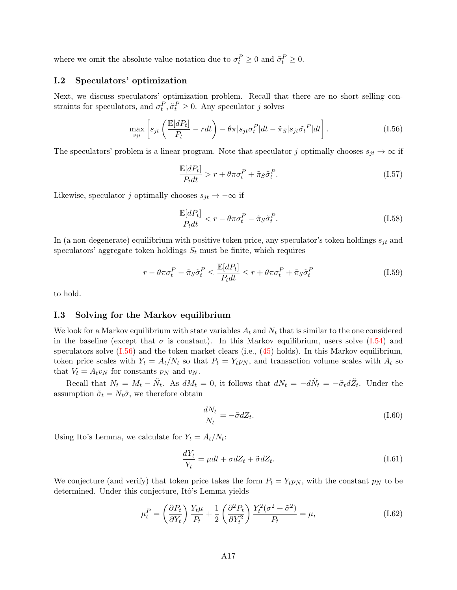where we omit the absolute value notation due to  $\sigma_t^P \geq 0$  and  $\tilde{\sigma}_t^P \geq 0$ .

### I.2 Speculators' optimization

Next, we discuss speculators' optimization problem. Recall that there are no short selling constraints for speculators, and  $\sigma_t^P, \tilde{\sigma}_t^P \geq 0$ . Any speculator j solves

<span id="page-59-0"></span>
$$
\max_{s_{jt}} \left[ s_{jt} \left( \frac{\mathbb{E}[dP_t]}{P_t} - rdt \right) - \theta \pi | s_{jt} \sigma_t^P | dt - \tilde{\pi}_S | s_{jt} \tilde{\sigma}_t^P | dt \right]. \tag{I.56}
$$

The speculators' problem is a linear program. Note that speculator j optimally chooses  $s_{it} \to \infty$  if

$$
\frac{\mathbb{E}[dP_t]}{P_t dt} > r + \theta \pi \sigma_t^P + \tilde{\pi}_S \tilde{\sigma}_t^P.
$$
\n(1.57)

Likewise, speculator j optimally chooses  $s_{jt} \to -\infty$  if

$$
\frac{\mathbb{E}[dP_t]}{P_t dt} < r - \theta \pi \sigma_t^P - \tilde{\pi}_S \tilde{\sigma}_t^P. \tag{I.58}
$$

In (a non-degenerate) equilibrium with positive token price, any speculator's token holdings  $s_{it}$  and speculators' aggregate token holdings  $S_t$  must be finite, which requires

<span id="page-59-1"></span>
$$
r - \theta \pi \sigma_t^P - \tilde{\pi}_S \tilde{\sigma}_t^P \le \frac{\mathbb{E}[dP_t]}{P_t dt} \le r + \theta \pi \sigma_t^P + \tilde{\pi}_S \tilde{\sigma}_t^P \tag{I.59}
$$

to hold.

### I.3 Solving for the Markov equilibrium

We look for a Markov equilibrium with state variables  $A_t$  and  $N_t$  that is similar to the one considered in the baseline (except that  $\sigma$  is constant). In this Markov equilibrium, users solve [\(I.54\)](#page-58-1) and speculators solve  $(1.56)$  and the token market clears (i.e.,  $(45)$  holds). In this Markov equilibrium, token price scales with  $Y_t = A_t/N_t$  so that  $P_t = Y_t p_N$ , and transaction volume scales with  $A_t$  so that  $V_t = A_t v_N$  for constants  $p_N$  and  $v_N$ .

Recall that  $N_t = M_t - \tilde{N}_t$ . As  $dM_t = 0$ , it follows that  $dN_t = -d\tilde{N}_t = -\tilde{\sigma}_t d\tilde{Z}_t$ . Under the assumption  $\tilde{\sigma}_t = N_t \tilde{\sigma}$ , we therefore obtain

$$
\frac{dN_t}{N_t} = -\tilde{\sigma} dZ_t.
$$
\n(1.60)

Using Ito's Lemma, we calculate for  $Y_t = A_t/N_t$ :

$$
\frac{dY_t}{Y_t} = \mu dt + \sigma dZ_t + \tilde{\sigma} dZ_t.
$$
\n(1.61)

We conjecture (and verify) that token price takes the form  $P_t = Y_t p_N$ , with the constant  $p_N$  to be determined. Under this conjecture, Itô's Lemma yields

$$
\mu_t^P = \left(\frac{\partial P_t}{\partial Y_t}\right) \frac{Y_t \mu}{P_t} + \frac{1}{2} \left(\frac{\partial^2 P_t}{\partial Y_t^2}\right) \frac{Y_t^2 (\sigma^2 + \tilde{\sigma}^2)}{P_t} = \mu,
$$
\n(1.62)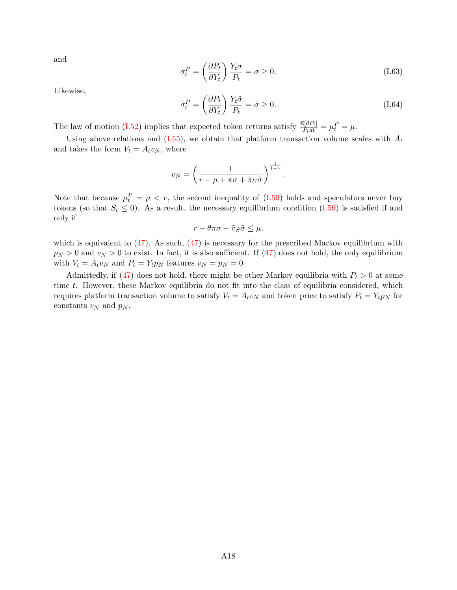and

$$
\sigma_t^P = \left(\frac{\partial P_t}{\partial Y_t}\right) \frac{Y_t \sigma}{P_t} = \sigma \ge 0.
$$
\n(1.63)

Likewise,

$$
\tilde{\sigma}_t^P = \left(\frac{\partial P_t}{\partial Y_t}\right) \frac{Y_t \tilde{\sigma}}{P_t} = \tilde{\sigma} \ge 0.
$$
\n(1.64)

.

The law of motion [\(I.52\)](#page-58-2) implies that expected token returns satisfy  $\frac{\mathbb{E}[dP_t]}{P_tdt} = \mu_t^P = \mu$ .

Using above relations and  $(1.55)$ , we obtain that platform transaction volume scales with  $A_t$ and takes the form  $V_t = A_t v_N$ , where

$$
v_N = \left(\frac{1}{r - \mu + \pi\sigma + \tilde{\pi}_U\tilde{\sigma}}\right)^{\frac{1}{1 - \gamma}}
$$

Note that because  $\mu_t^P = \mu \langle r, \rangle$  the second inequality of [\(I.59\)](#page-59-1) holds and speculators never buy tokens (so that  $S_t \leq 0$ ). As a result, the necessary equilibrium condition [\(I.59\)](#page-59-1) is satisfied if and only if

$$
r - \theta \pi \sigma - \tilde{\pi}_S \tilde{\sigma} \le \mu,
$$

which is equivalent to  $(47)$ . As such,  $(47)$  is necessary for the prescribed Markov equilibrium with  $p_N > 0$  and  $v_N > 0$  to exist. In fact, it is also sufficient. If [\(47\)](#page-37-0) does not hold, the only equilibrium with  $V_t = A_t v_N$  and  $P_t = Y_t p_N$  features  $v_N = p_N = 0$ 

Admittedly, if [\(47\)](#page-37-0) does not hold, there might be other Markov equilibria with  $P_t > 0$  at some time t. However, these Markov equilibria do not fit into the class of equilibria considered, which requires platform transaction volume to satisfy  $V_t = A_t v_N$  and token price to satisfy  $P_t = Y_t p_N$  for constants  $v_N$  and  $p_N$ .